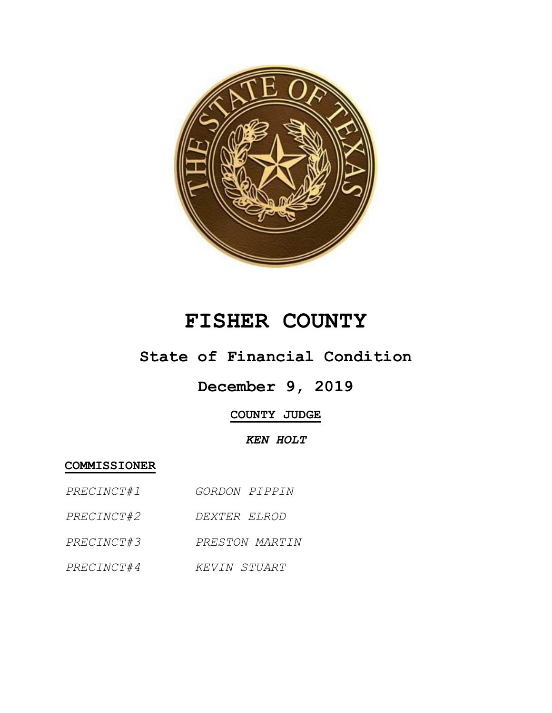

# **FISHER COUNTY**

## **State of Financial Condition**

# **December 9, 2019**

### **COUNTY JUDGE**

#### *KEN HOLT*

#### **COMMISSIONER**

- *PRECINCT#1 GORDON PIPPIN*
- *PRECINCT#2 DEXTER ELROD*
- *PRECINCT#3 PRESTON MARTIN*
- *PRECINCT#4 KEVIN STUART*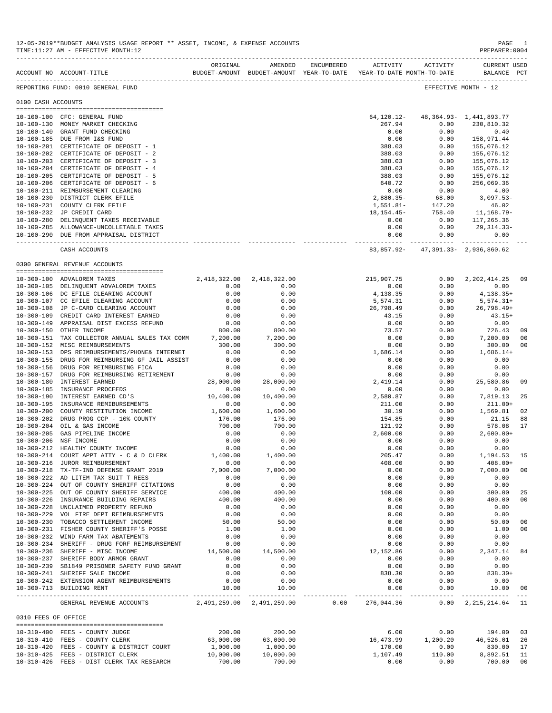|                                | ACCOUNT NO ACCOUNT-TITLE                                                          | ORIGINAL              | AMENDED                        | ENCUMBERED ACTIVITY ACTIVITY |                           | BUDGET-AMOUNT BUDGET-AMOUNT YEAR-TO-DATE YEAR-TO-DATE MONTH-TO-DATE | <b>CURRENT USED</b><br>BALANCE PCT      |                |
|--------------------------------|-----------------------------------------------------------------------------------|-----------------------|--------------------------------|------------------------------|---------------------------|---------------------------------------------------------------------|-----------------------------------------|----------------|
|                                | REPORTING FUND: 0010 GENERAL FUND                                                 |                       |                                |                              |                           |                                                                     | EFFECTIVE MONTH - 12                    |                |
| 0100 CASH ACCOUNTS             |                                                                                   |                       |                                |                              |                           |                                                                     |                                         |                |
|                                |                                                                                   |                       |                                |                              |                           | 48, 364. 93 - 1, 441, 893. 77                                       |                                         |                |
|                                | 10-100-100 CFC: GENERAL FUND<br>10-100-130 MONEY MARKET CHECKING                  |                       |                                |                              | 64,120.12-<br>267.94      | 0.00                                                                | 230,810.32                              |                |
|                                | 10-100-140 GRANT FUND CHECKING                                                    |                       |                                |                              | 0.00                      | 0.00                                                                | 0.40                                    |                |
|                                | 10-100-185 DUE FROM I&S FUND                                                      |                       |                                |                              | 0.00                      | 0.00                                                                | 158,971.44                              |                |
|                                | 10-100-201 CERTIFICATE OF DEPOSIT - 1                                             |                       |                                |                              | 388.03                    | 0.00                                                                | 155,076.12                              |                |
|                                | 10-100-202 CERTIFICATE OF DEPOSIT - 2                                             |                       |                                |                              | 388.03                    | 0.00                                                                | 155,076.12                              |                |
|                                | 10-100-203 CERTIFICATE OF DEPOSIT - 3                                             |                       |                                |                              | 388.03                    | 0.00                                                                | 155,076.12                              |                |
|                                | 10-100-204 CERTIFICATE OF DEPOSIT - 4                                             |                       |                                |                              | 388.03                    | 0.00                                                                | 155,076.12                              |                |
|                                | 10-100-205 CERTIFICATE OF DEPOSIT - 5                                             |                       |                                |                              | 388.03                    | 0.00                                                                | 155,076.12                              |                |
|                                | 10-100-206 CERTIFICATE OF DEPOSIT - 6                                             |                       |                                |                              | 640.72                    | 0.00                                                                | 256,069.36                              |                |
|                                | 10-100-211 REIMBURSEMENT CLEARING                                                 |                       |                                |                              | 0.00                      | 0.00                                                                | 4.00                                    |                |
|                                | 10-100-230 DISTRICT CLERK EFILE                                                   |                       |                                |                              | $2,880.35-$               | 68.00                                                               | 3,097.53-                               |                |
|                                | 10-100-231 COUNTY CLERK EFILE                                                     |                       |                                |                              | 1,551.81-                 | 147.20                                                              | 46.02                                   |                |
|                                | 10-100-232 JP CREDIT CARD                                                         |                       |                                |                              | 18,154.45-                | 758.40                                                              | 11,168.79-                              |                |
|                                | 10-100-280 DELINQUENT TAXES RECEIVABLE                                            |                       |                                |                              | 0.00                      | 0.00                                                                | 117,265.36                              |                |
|                                | 10-100-285 ALLOWANCE-UNCOLLETABLE TAXES<br>10-100-290 DUE FROM APPRAISAL DISTRICT |                       |                                |                              | 0.00                      | 0.00                                                                | 29, 314. 33-<br>0.00                    |                |
|                                |                                                                                   |                       |                                |                              | 0.00<br>----------- -     | 0.00                                                                | ------------ -------------              |                |
|                                | CASH ACCOUNTS                                                                     |                       |                                |                              |                           | 83,857.92- 47,391.33- 2,936,860.62                                  |                                         |                |
|                                | 0300 GENERAL REVENUE ACCOUNTS                                                     |                       |                                |                              |                           |                                                                     |                                         |                |
|                                | 10-300-100 ADVALOREM TAXES                                                        | 2,418,322.00          | 2,418,322.00                   |                              | 215,907.75                | 0.00                                                                | 2, 202, 414.25                          | 09             |
|                                | 10-300-105 DELINQUENT ADVALOREM TAXES                                             | 0.00                  | 0.00                           |                              | 0.00                      | 0.00                                                                | 0.00                                    |                |
|                                | 10-300-106 DC EFILE CLEARING ACCOUNT                                              | 0.00                  | 0.00                           |                              | 4,138.35                  | 0.00                                                                | $4,138.35+$                             |                |
|                                | 10-300-107 CC EFILE CLEARING ACCOUNT                                              | 0.00                  | 0.00                           |                              | 5,574.31                  | 0.00                                                                | $5,574.31+$                             |                |
|                                | 10-300-108 JP C-CARD CLEARING ACCOUNT                                             | 0.00                  | 0.00                           |                              | 26,798.49                 | 0.00                                                                | $26,798.49+$                            |                |
| $10 - 300 - 109$               | CREDIT CARD INTEREST EARNED                                                       | 0.00                  | 0.00                           |                              | 43.15                     | 0.00                                                                | $43.15+$                                |                |
|                                | 10-300-149 APPRAISAL DIST EXCESS REFUND                                           | 0.00                  | 0.00                           |                              | 0.00                      | 0.00                                                                | 0.00                                    |                |
| $10 - 300 - 150$               | OTHER INCOME                                                                      | 800.00                | 800.00                         |                              | 73.57                     | 0.00                                                                | 726.43                                  | 09             |
| $10 - 300 - 151$               | TAX COLLECTOR ANNUAL SALES TAX COMM                                               | 7,200.00              | 7,200.00                       |                              | 0.00                      | 0.00                                                                | 7,200.00                                | 0 <sub>0</sub> |
|                                | 10-300-152 MISC REIMBURSEMENTS                                                    | 300.00                | 300.00                         |                              | 0.00                      | 0.00                                                                | 300.00                                  | 0 <sub>0</sub> |
| $10 - 300 - 153$               | DPS REIMBURSEMENTS/PHONE& INTERNET                                                | 0.00                  | 0.00                           |                              | 1,686.14                  | 0.00                                                                | $1,686.14+$                             |                |
|                                | 10-300-155 DRUG FOR REIMBURSING GF JAIL ASSIST                                    | 0.00                  | 0.00                           |                              | 0.00                      | 0.00                                                                | 0.00                                    |                |
| 10-300-156                     | DRUG FOR REIMBURSING FICA                                                         | 0.00                  | 0.00                           |                              | 0.00                      | 0.00                                                                | 0.00                                    |                |
| $10 - 300 - 157$               | DRUG FOR REIMBURSING RETIREMENT                                                   | 0.00                  | 0.00                           |                              | 0.00                      | 0.00                                                                | 0.00                                    |                |
| $10 - 300 - 180$               | <b>INTEREST EARNED</b><br>INSURANCE PROCEEDS                                      | 28,000.00             | 28,000.00                      |                              | 2,419.14                  | 0.00                                                                | 25,580.86                               | 09             |
| 10-300-185<br>$10 - 300 - 190$ | INTEREST EARNED CD'S                                                              | 0.00<br>10,400.00     | 0.00<br>10,400.00              |                              | 0.00<br>2,580.87          | 0.00<br>0.00                                                        | 0.00<br>7,819.13                        | 25             |
| $10 - 300 - 195$               | INSURANCE REMIBURSEMENTS                                                          | 0.00                  | 0.00                           |                              | 211.00                    | 0.00                                                                | $211.00+$                               |                |
| $10 - 300 - 200$               | COUNTY RESTITUTION INCOME                                                         | 1,600.00              | 1,600.00                       |                              | 30.19                     | 0.00                                                                | 1,569.81                                | 02             |
| $10 - 300 - 202$               | DRUG PROG CCP - 10% COUNTY                                                        | 176.00                | 176.00                         |                              | 154.85                    | 0.00                                                                | 21.15                                   | 88             |
| $10 - 300 - 204$               | OIL & GAS INCOME                                                                  | 700.00                | 700.00                         |                              | 121.92                    | 0.00                                                                | 578.08                                  | 17             |
| $10 - 300 - 205$               | GAS PIPELINE INCOME                                                               | 0.00                  | 0.00                           |                              | 2,600.00                  | 0.00                                                                | $2,600.00+$                             |                |
|                                | 10-300-206 NSF INCOME                                                             | 0.00                  | 0.00                           |                              | 0.00                      | 0.00                                                                | 0.00                                    |                |
| 10-300-212                     | HEALTHY COUNTY INCOME                                                             | 0.00                  | 0.00                           |                              | 0.00                      | 0.00                                                                | 0.00                                    |                |
| $10 - 300 - 214$               | COURT APPT ATTY - C & D CLERK                                                     | 1,400.00              | 1,400.00                       |                              | 205.47                    | 0.00                                                                | 1,194.53                                | 15             |
|                                | 10-300-216 JUROR REIMBURSEMENT                                                    | 0.00                  | 0.00                           |                              | 408.00                    | 0.00                                                                | $408.00+$                               |                |
| $10 - 300 - 218$               | TX-TF-IND DEFENSE GRANT 2019                                                      | 7,000.00              | 7,000.00                       |                              | 0.00                      | 0.00                                                                | 7,000.00                                | 00             |
|                                | 10-300-222 AD LITEM TAX SUIT T REES                                               | 0.00                  | 0.00                           |                              | 0.00                      | 0.00                                                                | 0.00                                    |                |
|                                | 10-300-224 OUT OF COUNTY SHERIFF CITATIONS                                        | 0.00                  | 0.00                           |                              | 0.00                      | 0.00                                                                | 0.00                                    |                |
|                                | 10-300-225 OUT OF COUNTY SHERIFF SERVICE                                          | 400.00                | 400.00                         |                              | 100.00                    | 0.00                                                                | 300.00                                  | 25             |
|                                | 10-300-226 INSURANCE BUILDING REPAIRS                                             | 400.00                | 400.00                         |                              | 0.00                      | 0.00                                                                | 400.00                                  | 00             |
|                                | 10-300-228 UNCLAIMED PROPERTY REFUND                                              | 0.00                  | 0.00                           |                              | 0.00                      | 0.00                                                                | 0.00                                    |                |
|                                | 10-300-229 VOL FIRE DEPT REIMBURSEMENTS                                           | 0.00                  | 0.00                           |                              | 0.00                      | 0.00                                                                | 0.00                                    |                |
|                                | 10-300-230 TOBACCO SETTLEMENT INCOME                                              | 50.00                 | 50.00                          |                              | 0.00                      | 0.00                                                                | 50.00                                   | 00<br>00       |
|                                | 10-300-231 FISHER COUNTY SHERIFF'S POSSE<br>10-300-232 WIND FARM TAX ABATEMENTS   | 1.00<br>0.00          | 1.00<br>0.00                   |                              | 0.00<br>0.00              | 0.00<br>0.00                                                        | 1.00<br>0.00                            |                |
|                                | 10-300-234 SHERIFF - DRUG FORF REIMBURSEMENT                                      | 0.00                  | 0.00                           |                              | 0.00                      | 0.00                                                                | 0.00                                    |                |
|                                | 10-300-236 SHERIFF - MISC INCOME                                                  | 14,500.00             | 14,500.00                      |                              | 12,152.86                 | 0.00                                                                | 2,347.14                                | 84             |
|                                | 10-300-237 SHERIFF BODY ARMOR GRANT                                               | 0.00                  | 0.00                           |                              | 0.00                      | 0.00                                                                | 0.00                                    |                |
|                                | 10-300-239 SB1849 PRISONER SAFETY FUND GRANT                                      | 0.00                  | 0.00                           |                              | 0.00                      | 0.00                                                                | 0.00                                    |                |
|                                | 10-300-241 SHERIFF SALE INCOME                                                    | 0.00                  | 0.00                           |                              | 838.30                    | 0.00                                                                | $838.30+$                               |                |
|                                | 10-300-242 EXTENSION AGENT REIMBURSEMENTS                                         | 0.00                  | 0.00                           |                              | 0.00                      | 0.00                                                                | 0.00                                    |                |
|                                | 10-300-713 BUILDING RENT                                                          | 10.00                 | 10.00                          |                              | 0.00                      | 0.00                                                                | 10.00 00                                |                |
|                                | GENERAL REVENUE ACCOUNTS                                                          |                       | .<br>2,491,259.00 2,491,259.00 | 0.00                         | -----------<br>276,044.36 | ----------                                                          | .<br>$0.00 \quad 2,215,214.64 \quad 11$ |                |
| 0310 FEES OF OFFICE            |                                                                                   |                       |                                |                              |                           |                                                                     |                                         |                |
|                                |                                                                                   |                       |                                |                              |                           |                                                                     |                                         |                |
|                                | 10-310-400 FEES - COUNTY JUDGE                                                    | 200.00                | 200.00                         |                              | 6.00                      | 0.00                                                                | 194.00                                  | 03             |
|                                | 10-310-410 FEES - COUNTY CLERK                                                    | 63,000.00             | 63,000.00                      |                              | 16,473.99                 | 1,200.20                                                            | 46,526.01 26                            |                |
|                                | 10-310-420 FEES - COUNTY & DISTRICT COURT<br>10-310-425 FEES - DISTRICT CLERK     | 1,000.00<br>10,000.00 | 1,000.00<br>10,000.00          |                              | 170.00<br>1,107.49        | 0.00<br>110.00                                                      | 830.00<br>8,892.51                      | 17<br>11       |
|                                | 10-310-426 FEES - DIST CLERK TAX RESEARCH                                         | 700.00                | 700.00                         |                              | 0.00                      | 0.00                                                                | 700.00                                  | 00             |
|                                |                                                                                   |                       |                                |                              |                           |                                                                     |                                         |                |

12-05-2019\*\*BUDGET ANALYSIS USAGE REPORT \*\* ASSET, INCOME, & EXPENSE ACCOUNTS PAGE 1

TIME:11:27 AM - EFFECTIVE MONTH:12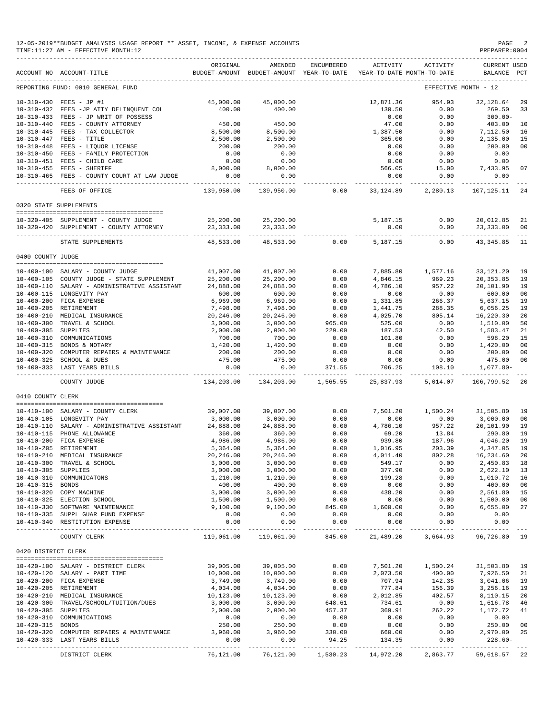|                     | 12-05-2019**BUDGET ANALYSIS USAGE REPORT ** ASSET, INCOME, & EXPENSE ACCOUNTS<br>TIME:11:27 AM - EFFECTIVE MONTH:12 |                                         |                             |                      |                                                                                 |                         | PAGE<br>PREPARER: 0004             | -2                                                                                                                                                                                                                                                                                                                                                                                                 |
|---------------------|---------------------------------------------------------------------------------------------------------------------|-----------------------------------------|-----------------------------|----------------------|---------------------------------------------------------------------------------|-------------------------|------------------------------------|----------------------------------------------------------------------------------------------------------------------------------------------------------------------------------------------------------------------------------------------------------------------------------------------------------------------------------------------------------------------------------------------------|
|                     | ACCOUNT NO ACCOUNT-TITLE                                                                                            | ORIGINAL                                | AMENDED                     | <b>ENCUMBERED</b>    | ACTIVITY<br>BUDGET-AMOUNT BUDGET-AMOUNT YEAR-TO-DATE YEAR-TO-DATE MONTH-TO-DATE | ACTIVITY                | <b>CURRENT USED</b><br>BALANCE PCT |                                                                                                                                                                                                                                                                                                                                                                                                    |
|                     | REPORTING FUND: 0010 GENERAL FUND                                                                                   |                                         |                             |                      |                                                                                 |                         | EFFECTIVE MONTH - 12               |                                                                                                                                                                                                                                                                                                                                                                                                    |
|                     | 10-310-430 FEES - JP #1                                                                                             | 45,000.00                               | 45,000.00                   |                      | 12,871.36                                                                       | 954.93                  | 32,128.64                          | 29                                                                                                                                                                                                                                                                                                                                                                                                 |
|                     | 10-310-432 FEES -JP ATTY DELINQUENT COL                                                                             | 400.00                                  | 400.00                      |                      | 130.50                                                                          | 0.00                    | 269.50                             | 33                                                                                                                                                                                                                                                                                                                                                                                                 |
|                     | 10-310-433 FEES - JP WRIT OF POSSESS                                                                                |                                         |                             |                      | 0.00                                                                            | 0.00                    | $300.00 -$                         |                                                                                                                                                                                                                                                                                                                                                                                                    |
| $10 - 310 - 440$    | FEES - COUNTY ATTORNEY                                                                                              | 450.00                                  | 450.00<br>8,500.00          |                      | 47.00<br>1,387.50                                                               | 0.00                    | 403.00                             | 10                                                                                                                                                                                                                                                                                                                                                                                                 |
|                     | 10-310-445 FEES - TAX COLLECTOR<br>10-310-447 FEES - TITLE                                                          | 8,500.00<br>2,500.00                    | 2,500.00                    |                      | 365.00                                                                          | 0.00<br>0.00            | 7,112.50<br>2,135.00               | 16<br>15                                                                                                                                                                                                                                                                                                                                                                                           |
|                     | 10-310-448 FEES - LIQUOR LICENSE                                                                                    | 200.00                                  | 200.00                      |                      | 0.00                                                                            | 0.00                    | 200.00                             | 00                                                                                                                                                                                                                                                                                                                                                                                                 |
|                     | 10-310-450 FEES - FAMILY PROTECTION                                                                                 | 0.00                                    | 0.00                        |                      | 0.00                                                                            | 0.00                    | 0.00                               |                                                                                                                                                                                                                                                                                                                                                                                                    |
|                     | 10-310-451 FEES - CHILD CARE                                                                                        | 0.00                                    | 0.00                        |                      | 0.00                                                                            | 0.00                    | 0.00                               |                                                                                                                                                                                                                                                                                                                                                                                                    |
|                     | 10-310-455 FEES - SHERIFF<br>10-310-465 FEES - COUNTY COURT AT LAW JUDGE                                            | 8,000.00<br>0.00                        | 8,000.00<br>0.00            |                      | 566.05<br>0.00                                                                  | 15.00<br>0.00           | 7,433.95<br>0.00                   | 07                                                                                                                                                                                                                                                                                                                                                                                                 |
|                     | FEES OF OFFICE                                                                                                      | .<br>139,950.00                         | ----------<br>139,950.00    | 0.00                 | -----------<br>33,124.89                                                        | -----------<br>2,280.13 | ----------<br>107,125.11           | 24                                                                                                                                                                                                                                                                                                                                                                                                 |
|                     | 0320 STATE SUPPLEMENTS                                                                                              |                                         |                             |                      |                                                                                 |                         |                                    |                                                                                                                                                                                                                                                                                                                                                                                                    |
|                     |                                                                                                                     |                                         |                             |                      |                                                                                 |                         |                                    |                                                                                                                                                                                                                                                                                                                                                                                                    |
|                     | 10-320-405 SUPPLEMENT - COUNTY JUDGE<br>10-320-420 SUPPLEMENT - COUNTY ATTORNEY                                     | 25,200.00<br>23, 333.00                 | 25,200.00<br>23,333.00      |                      | 5,187.15<br>0.00                                                                | 0.00<br>0.00            | 20,012.85<br>23,333.00             | 21<br>00                                                                                                                                                                                                                                                                                                                                                                                           |
|                     | STATE SUPPLEMENTS                                                                                                   | ----------<br>48,533.00                 | 48,533.00                   | 0.00                 | 5,187.15                                                                        | ----------<br>0.00      | -----------<br>43,345.85           | $\frac{1}{2} \frac{1}{2} \frac{1}{2} \frac{1}{2} \frac{1}{2} \frac{1}{2} \frac{1}{2} \frac{1}{2} \frac{1}{2} \frac{1}{2} \frac{1}{2} \frac{1}{2} \frac{1}{2} \frac{1}{2} \frac{1}{2} \frac{1}{2} \frac{1}{2} \frac{1}{2} \frac{1}{2} \frac{1}{2} \frac{1}{2} \frac{1}{2} \frac{1}{2} \frac{1}{2} \frac{1}{2} \frac{1}{2} \frac{1}{2} \frac{1}{2} \frac{1}{2} \frac{1}{2} \frac{1}{2} \frac{$<br>11 |
| 0400 COUNTY JUDGE   |                                                                                                                     |                                         |                             |                      |                                                                                 |                         |                                    |                                                                                                                                                                                                                                                                                                                                                                                                    |
|                     | 10-400-100 SALARY - COUNTY JUDGE                                                                                    | 41,007.00                               | 41,007.00                   | 0.00                 | 7,885.80                                                                        | 1,577.16                | 33, 121. 20                        | 19                                                                                                                                                                                                                                                                                                                                                                                                 |
|                     | 10-400-105 COUNTY JUDGE - STATE SUPPLEMENT                                                                          | 25,200.00                               | 25,200.00                   | 0.00                 | 4,846.15                                                                        | 969.23                  | 20, 353.85                         | 19                                                                                                                                                                                                                                                                                                                                                                                                 |
|                     | 10-400-110 SALARY - ADMINISTRATIVE ASSISTANT                                                                        | 24,888.00                               | 24,888.00                   | 0.00                 | 4,786.10                                                                        | 957.22                  | 20,101.90                          | 19                                                                                                                                                                                                                                                                                                                                                                                                 |
|                     | 10-400-115 LONGEVITY PAY                                                                                            | 600.00                                  | 600.00                      | 0.00                 | 0.00                                                                            | 0.00                    | 600.00                             | 00                                                                                                                                                                                                                                                                                                                                                                                                 |
|                     | 10-400-200 FICA EXPENSE                                                                                             | 6,969.00                                | 6,969.00                    | 0.00                 | 1,331.85                                                                        | 266.37                  | 5,637.15                           | 19                                                                                                                                                                                                                                                                                                                                                                                                 |
|                     | 10-400-205 RETIREMENT<br>10-400-210 MEDICAL INSURANCE                                                               | 7,498.00<br>20,246.00                   | 7,498.00                    | 0.00<br>0.00         | 1,441.75<br>4,025.70                                                            | 288.35<br>805.14        | 6,056.25<br>16,220.30              | 19<br>20                                                                                                                                                                                                                                                                                                                                                                                           |
|                     | 10-400-300 TRAVEL & SCHOOL                                                                                          | 3,000.00                                | 20,246.00<br>3,000.00       | 965.00               | 525.00                                                                          | 0.00                    | 1,510.00                           | 50                                                                                                                                                                                                                                                                                                                                                                                                 |
| $10 - 400 - 305$    | SUPPLIES                                                                                                            | 2,000.00                                | 2,000.00                    | 229.00               | 187.53                                                                          | 42.50                   | 1,583.47                           | 21                                                                                                                                                                                                                                                                                                                                                                                                 |
|                     | 10-400-310 COMMUNICATIONS                                                                                           | 700.00                                  | 700.00                      | 0.00                 | 101.80                                                                          | 0.00                    | 598.20                             | 15                                                                                                                                                                                                                                                                                                                                                                                                 |
|                     | 10-400-315 BONDS & NOTARY                                                                                           | 1,420.00                                | 1,420.00                    | 0.00                 | 0.00                                                                            | 0.00                    | 1,420.00                           | 00                                                                                                                                                                                                                                                                                                                                                                                                 |
|                     | 10-400-320 COMPUTER REPAIRS & MAINTENANCE                                                                           | 200.00                                  | 200.00                      | 0.00                 | 0.00                                                                            | 0.00                    | 200.00                             | 00                                                                                                                                                                                                                                                                                                                                                                                                 |
|                     | 10-400-325 SCHOOL & DUES<br>10-400-333 LAST YEARS BILLS                                                             | 475.00<br>0.00                          | 475.00<br>0.00              | 0.00<br>371.55       | 0.00<br>706.25                                                                  | 0.00<br>108.10          | 475.00<br>1,077.80-                | 00                                                                                                                                                                                                                                                                                                                                                                                                 |
|                     | COUNTY JUDGE                                                                                                        | . _ _ _ _ _ _ _ _ _ _ _ _<br>134,203.00 | -----------<br>134,203.00   | 1,565.55             | ____________________<br>25,837.93                                               | 5,014.07                | -------------<br>106,799.52        | -20                                                                                                                                                                                                                                                                                                                                                                                                |
| 0410 COUNTY CLERK   |                                                                                                                     |                                         |                             |                      |                                                                                 |                         |                                    |                                                                                                                                                                                                                                                                                                                                                                                                    |
|                     | 10-410-100 SALARY - COUNTY CLERK                                                                                    | 39,007.00                               | 39,007.00                   | 0.00                 | 7,501.20                                                                        | 1,500.24                | 31,505.80                          | 19                                                                                                                                                                                                                                                                                                                                                                                                 |
|                     | 10-410-105 LONGEVITY PAY                                                                                            | 3,000.00                                | 3,000.00                    | 0.00                 | 0.00                                                                            | 0.00                    | 3,000.00                           | 00                                                                                                                                                                                                                                                                                                                                                                                                 |
|                     | 10-410-110 SALARY - ADMINISTRATIVE ASSISTANT                                                                        | 24,888.00                               | 24,888.00                   | 0.00                 | 4,786.10                                                                        | 957.22                  | 20,101.90                          | 19                                                                                                                                                                                                                                                                                                                                                                                                 |
|                     | 10-410-115 PHONE ALLOWANCE                                                                                          | 360.00                                  | 360.00                      | 0.00                 | 69.20                                                                           | 13.84                   | 290.80                             | 19                                                                                                                                                                                                                                                                                                                                                                                                 |
|                     | 10-410-200 FICA EXPENSE                                                                                             | 4,986.00                                | 4,986.00                    | 0.00                 | 939.80                                                                          | 187.96                  | 4,046.20 19                        |                                                                                                                                                                                                                                                                                                                                                                                                    |
|                     | 10-410-205 RETIREMENT                                                                                               | 5,364.00                                | 5,364.00                    | 0.00                 | 1,016.95                                                                        | 203.39                  | 4,347.05 19                        |                                                                                                                                                                                                                                                                                                                                                                                                    |
|                     | 10-410-210 MEDICAL INSURANCE<br>10-410-300 TRAVEL & SCHOOL                                                          | 20,246.00<br>3,000.00                   | 20,246.00<br>3,000.00       | 0.00<br>0.00         | 4,011.40<br>549.17                                                              | 802.28<br>0.00          | 16,234.60 20<br>2,450.83 18        |                                                                                                                                                                                                                                                                                                                                                                                                    |
| 10-410-305 SUPPLIES |                                                                                                                     | 3,000.00                                | 3,000.00                    | 0.00                 | 377.90                                                                          | 0.00                    | 2,622.10                           | 13                                                                                                                                                                                                                                                                                                                                                                                                 |
|                     | 10-410-310 COMMUNICATONS                                                                                            | 1,210.00                                | 1,210.00                    | 0.00                 | 199.28                                                                          | 0.00                    | 1,010.72 16                        |                                                                                                                                                                                                                                                                                                                                                                                                    |
| 10-410-315 BONDS    |                                                                                                                     | 400.00                                  | 400.00                      | 0.00                 | 0.00                                                                            | 0.00                    | 400.00 00                          |                                                                                                                                                                                                                                                                                                                                                                                                    |
|                     | 10-410-320 COPY MACHINE                                                                                             | 3,000.00                                | 3,000.00                    | 0.00                 | 438.20                                                                          | 0.00                    | 2,561.80 15                        |                                                                                                                                                                                                                                                                                                                                                                                                    |
|                     | 10-410-325 ELECTION SCHOOL                                                                                          | 1,500.00                                | 1,500.00                    | 0.00                 | 0.00                                                                            | 0.00                    | 1,500.00                           | 00                                                                                                                                                                                                                                                                                                                                                                                                 |
|                     | 10-410-330 SOFTWARE MAINTENANCE<br>10-410-335 SUPPL GUAR FUND EXPENSE                                               | 9,100.00<br>0.00                        | 9,100.00<br>0.00            | 845.00<br>0.00       | 1,600.00<br>0.00                                                                | 0.00<br>0.00            | 6,655.00<br>0.00                   | 27                                                                                                                                                                                                                                                                                                                                                                                                 |
|                     | 10-410-340 RESTITUTION EXPENSE                                                                                      | 0.00<br>-----------                     | 0.00                        | 0.00<br>------------ | 0.00<br>-----------                                                             | 0.00<br>------------    | 0.00                               |                                                                                                                                                                                                                                                                                                                                                                                                    |
|                     | COUNTY CLERK                                                                                                        | 119,061.00                              | -------------<br>119,061.00 | 845.00               | 21,489.20                                                                       | 3,664.93                | -----------<br>96,726.80 19        |                                                                                                                                                                                                                                                                                                                                                                                                    |
| 0420 DISTRICT CLERK |                                                                                                                     |                                         |                             |                      |                                                                                 |                         |                                    |                                                                                                                                                                                                                                                                                                                                                                                                    |
|                     | 10-420-100 SALARY - DISTRICT CLERK                                                                                  | 39,005.00                               | 39,005.00                   | 0.00                 | 7,501.20                                                                        | 1,500.24                | 31,503.80 19                       |                                                                                                                                                                                                                                                                                                                                                                                                    |
|                     | 10-420-120 SALARY - PART TIME                                                                                       | 10,000.00                               | 10,000.00                   | 0.00                 | 2,073.50                                                                        | 400.00                  | 7,926.50 21                        |                                                                                                                                                                                                                                                                                                                                                                                                    |
|                     | 10-420-200 FICA EXPENSE                                                                                             | 3,749.00                                | 3,749.00                    | 0.00                 | 707.94                                                                          | 142.35                  | 3,041.06                           | 19                                                                                                                                                                                                                                                                                                                                                                                                 |
|                     | 10-420-205 RETIREMENT                                                                                               | 4,034.00                                | 4,034.00                    | 0.00                 | 777.84                                                                          | 156.39                  | 3,256.16                           | 19                                                                                                                                                                                                                                                                                                                                                                                                 |
|                     | 10-420-210 MEDICAL INSURANCE                                                                                        | 10,123.00                               | 10,123.00                   | 0.00                 | 2,012.85                                                                        | 402.57                  | 8,110.15                           | 20                                                                                                                                                                                                                                                                                                                                                                                                 |
|                     | 10-420-300 TRAVEL/SCHOOL/TUITION/DUES                                                                               | 3,000.00                                | 3,000.00                    | 648.61               | 734.61                                                                          | 0.00                    | 1,616.78                           | 46                                                                                                                                                                                                                                                                                                                                                                                                 |
| 10-420-305 SUPPLIES | 10-420-310 COMMUNICATIONS                                                                                           | 2,000.00<br>0.00                        | 2,000.00<br>0.00            | 457.37<br>0.00       | 369.91<br>0.00                                                                  | 262.22<br>0.00          | 1,172.72<br>0.00                   | 41                                                                                                                                                                                                                                                                                                                                                                                                 |
| 10-420-315 BONDS    |                                                                                                                     | 250.00                                  | 250.00                      | 0.00                 | 0.00                                                                            | 0.00                    | 250.00                             | 00                                                                                                                                                                                                                                                                                                                                                                                                 |
|                     | 10-420-320 COMPUTER REPAIRS & MAINTENANCE                                                                           | 3,960.00                                | 3,960.00                    | 330.00               | 660.00                                                                          | 0.00                    | 2,970.00 25                        |                                                                                                                                                                                                                                                                                                                                                                                                    |
|                     | 10-420-333 LAST YEARS BILLS                                                                                         | 0.00                                    | 0.00                        | 94.25                | 134.35                                                                          | 0.00                    | $228.60 -$                         |                                                                                                                                                                                                                                                                                                                                                                                                    |
|                     |                                                                                                                     |                                         |                             |                      |                                                                                 |                         |                                    |                                                                                                                                                                                                                                                                                                                                                                                                    |
|                     | DISTRICT CLERK                                                                                                      | 76,121.00                               |                             |                      | 76,121.00  1,530.23  14,972.20                                                  | 2,863.77                | 59,618.57 22                       |                                                                                                                                                                                                                                                                                                                                                                                                    |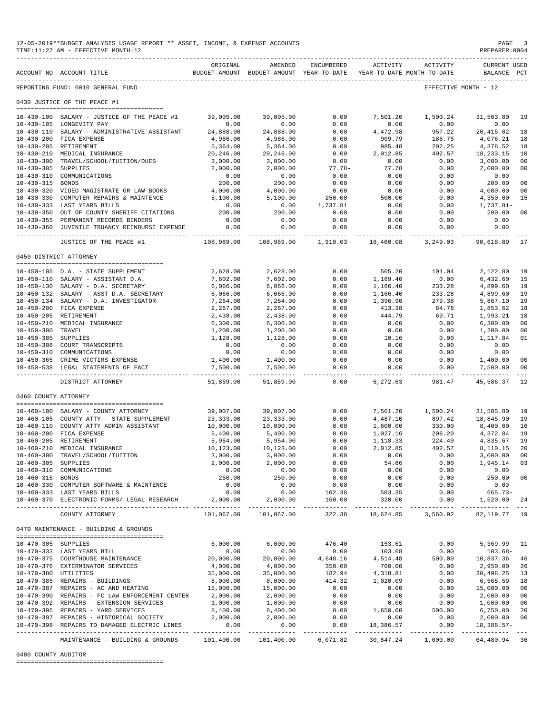|                      | 12-05-2019**BUDGET ANALYSIS USAGE REPORT ** ASSET, INCOME, & EXPENSE ACCOUNTS<br>TIME: 11:27 AM - EFFECTIVE MONTH: 12 |                            |                                                                                |                        |                          |                         | $\mathop{\mathtt{PAGE}}$<br>PREPARER:0004 | -3                               |
|----------------------|-----------------------------------------------------------------------------------------------------------------------|----------------------------|--------------------------------------------------------------------------------|------------------------|--------------------------|-------------------------|-------------------------------------------|----------------------------------|
|                      | _________________________________<br>ACCOUNT NO ACCOUNT-TITLE                                                         | ORIGINAL                   | AMENDED<br>BUDGET-AMOUNT BUDGET-AMOUNT YEAR-TO-DATE YEAR-TO-DATE MONTH-TO-DATE | ENCUMBERED             |                          | ACTIVITY ACTIVITY       | <b>CURRENT USED</b><br>BALANCE PCT        |                                  |
|                      | -----------------------------<br>REPORTING FUND: 0010 GENERAL FUND                                                    |                            |                                                                                |                        |                          |                         | EFFECTIVE MONTH - 12                      |                                  |
|                      | 0430 JUSTICE OF THE PEACE #1                                                                                          |                            |                                                                                |                        |                          |                         |                                           |                                  |
|                      | 10-430-100 SALARY - JUSTICE OF THE PEACE #1                                                                           | 39,005.00                  | 39,005.00                                                                      | 0.00                   | 7,501.20                 | 1,500.24                | 31,503.80                                 | 19                               |
|                      | 10-430-105 LONGEVITY PAY                                                                                              | 0.00                       | 0.00                                                                           | 0.00                   | 0.00                     | 0.00                    | 0.00                                      |                                  |
|                      | 10-430-110 SALARY - ADMINISTRATIVE ASSISTANT                                                                          | 24,888.00                  | 24,888.00                                                                      | 0.00                   | 4,472.98                 | 957.22                  | 20,415.02                                 | 18                               |
|                      | 10-430-200 FICA EXPENSE                                                                                               | 4,986.00                   | 4,986.00                                                                       | 0.00                   | 909.79                   | 186.75                  | 4,076.21                                  | 18                               |
|                      | 10-430-205 RETIREMENT                                                                                                 | 5,364.00<br>20,246.00      | 5,364.00                                                                       | 0.00<br>0.00           | 985.48                   | 202.25                  | 4,378.52                                  | 18<br>10                         |
|                      | 10-430-210 MEDICAL INSURANCE<br>10-430-300 TRAVEL/SCHOOL/TUITION/DUES                                                 | 3,000.00                   | 20,246.00<br>3,000.00                                                          | 0.00                   | 2,012.85<br>0.00         | 402.57<br>0.00          | 18,233.15<br>3,000.00                     | 0 <sub>0</sub>                   |
| 10-430-305 SUPPLIES  |                                                                                                                       | 2,000.00                   | 2,000.00                                                                       | $77.78-$               | 77.78                    | 0.00                    | 2,000.00                                  | 0 <sub>0</sub>                   |
| $10 - 430 - 310$     | COMMUNICATIONS                                                                                                        | 0.00                       | 0.00                                                                           | 0.00                   | 0.00                     | 0.00                    | 0.00                                      |                                  |
| 10-430-315 BONDS     |                                                                                                                       | 200.00                     | 200.00                                                                         | 0.00                   | 0.00                     | 0.00                    | 200.00                                    | 0 <sub>0</sub>                   |
|                      | 10-430-320 VIDEO MAGISTRATE OR LAW BOOKS                                                                              | 4,000.00                   | 4,000.00<br>5,100.00                                                           | 0.00<br>250.00         | 0.00<br>500.00           | 0.00<br>0.00            | 4,000.00                                  | 0 <sub>0</sub><br>15             |
|                      | 10-430-330 COMPUTER REPAIRS & MAINTENCE 5,100.00<br>10-430-333 LAST YEARS BILLS                                       | 0.00                       | 0.00                                                                           | 1,737.81               | 0.00                     | 0.00                    | 4,350.00<br>1,737.81-                     |                                  |
|                      | 10-430-350 OUT OF COUNTY SHERIFF CITATIONS                                                                            | 200.00                     | 200.00                                                                         | 0.00                   | 0.00                     | 0.00                    | 200.00                                    | 0 <sub>0</sub>                   |
|                      | 10-430-355 PERMANENT RECORDS BINDERS                                                                                  | 0.00                       | 0.00                                                                           | 0.00                   | 0.00                     | 0.00                    | 0.00                                      |                                  |
|                      | 10-430-360 JUVENILE TRUANCY REINBURSE EXPENSE<br>_________________________________                                    | 0.00                       | 0.00                                                                           | 0.00                   | 0.00                     | 0.00                    | 0.00                                      |                                  |
|                      | JUSTICE OF THE PEACE #1                                                                                               | 108,989.00                 |                                                                                | 108,989.00 1,910.03    | 16,460.08                | 3,249.03                | 90,618.89                                 | 17                               |
|                      | 0450 DISTRICT ATTORNEY                                                                                                |                            |                                                                                |                        |                          |                         |                                           |                                  |
|                      | 10-450-105 D.A. - STATE SUPPLEMENT                                                                                    | 2,628.00                   | 2,628.00                                                                       | 0.00                   | 505.20                   | 101.04                  | 2,122.80                                  | 19                               |
|                      | 10-450-110 SALARY - ASSISTANT D.A.                                                                                    | 7,602.00                   | 7,602.00                                                                       | 0.00                   | 1,169.40                 | 0.00                    | 6,432.60                                  | 15                               |
|                      | 10-450-130 SALARY - D.A. SECRETARY                                                                                    | 6,066.00                   | 6,066.00                                                                       | 0.00                   | 1,166.40                 | 233.28                  | 4,899.60                                  | 19                               |
|                      | 10-450-132 SALARY - ASST D.A. SECRETARY                                                                               | 6,066.00                   | 6,066.00                                                                       | 0.00                   | 1,166.40                 | 233.28                  | 4,899.60                                  | 19                               |
|                      | 10-450-134 SALARY - D.A. INVESTIGATOR                                                                                 | 7,264.00                   | 7,264.00                                                                       | 0.00                   | 1,396.90                 | 279.38                  | 5,867.10                                  | 19                               |
|                      | 10-450-200 FICA EXPENSE                                                                                               | 2,267.00                   | 2,267.00                                                                       | 0.00                   | 413.38                   | 64.78                   | 1,853.62                                  | 18                               |
|                      | 10-450-205 RETIREMENT<br>10-450-210 MEDICAL INSURANCE                                                                 | 2,438.00<br>6,300.00       | 2,438.00<br>6,300.00                                                           | 0.00<br>0.00           | 444.79<br>0.00           | 69.71<br>0.00           | 1,993.21<br>6,300.00                      | 18<br>0 <sub>0</sub>             |
| 10-450-300 TRAVEL    |                                                                                                                       | 1,200.00                   | 1,200.00                                                                       | 0.00                   | 0.00                     | 0.00                    | 1,200.00                                  | 0 <sub>0</sub>                   |
| 10-450-305 SUPPLIES  |                                                                                                                       | 1,128.00                   | 1,128.00                                                                       | 0.00                   | 10.16                    | 0.00                    | 1,117.84                                  | 01                               |
|                      | 10-450-308 COURT TRANSCRIPTS                                                                                          | 0.00                       | 0.00                                                                           | 0.00                   | 0.00                     | 0.00                    | 0.00                                      |                                  |
|                      | 10-450-310 COMMUNICATIONS                                                                                             | 0.00                       | 0.00                                                                           | 0.00                   | 0.00                     | 0.00                    | 0.00                                      |                                  |
|                      | 10-450-365 CRIME VICTIMS EXPENSE<br>10-450-538 LEGAL STATEMENTS OF FACT                                               | 1,400.00<br>7,500.00       | 1,400.00<br>7,500.00                                                           | 0.00<br>0.00           | 0.00<br>0.00             | 0.00<br>0.00            | 1,400.00<br>7,500.00                      | 0 <sub>0</sub><br>0 <sub>0</sub> |
|                      | DISTRICT ATTORNEY                                                                                                     | -------------<br>51,859.00 | 51,859.00                                                                      | 0.00                   | . <u>.</u><br>6,272.63   | -------------<br>981.47 | -------------<br>45,586.37                | $- - -$<br>12                    |
|                      |                                                                                                                       |                            |                                                                                |                        |                          |                         |                                           |                                  |
| 0460 COUNTY ATTORNEY |                                                                                                                       |                            |                                                                                |                        |                          |                         |                                           |                                  |
|                      | 10-460-100 SALARY - COUNTY ATTORNEY                                                                                   | 39,007.00                  | 39,007.00                                                                      | 0.00                   |                          | 7,501.20 1,500.24       | 31,505.80                                 | 19                               |
|                      | 10-460-105 COUNTY ATTY - STATE SUPPLEMENT                                                                             | 23,333.00                  | 23, 333.00                                                                     | 0.00                   | 4,487.10                 | 897.42                  | 18,845.90                                 | 19                               |
|                      | 10-460-110 COUNTY ATTY ADMIN ASSISTANT                                                                                | 10,000.00                  | 10,000.00                                                                      | 0.00                   | 1,600.00                 | 330.00                  | 8,400.00                                  | 16                               |
|                      | 10-460-200 FICA EXPENSE<br>10-460-205 RETIREMENT                                                                      | 5,400.00<br>5,954.00       | 5,400.00<br>5,954.00                                                           | 0.00<br>0.00           | 1,027.16<br>1,118.33     | 206.20<br>224.49        | 4,372.84<br>4,835.67                      | 19<br>19                         |
|                      | 10-460-210 MEDICAL INSURANCE                                                                                          | 10,123.00                  | 10,123.00                                                                      | 0.00                   | 2,012.85                 | 402.57                  | 8,110.15                                  | 20                               |
|                      | 10-460-300 TRAVEL/SCHOOL/TUITION                                                                                      | 3,000.00                   | 3,000.00                                                                       | 0.00                   | 0.00                     | 0.00                    | 3,000.00                                  | 0 <sub>0</sub>                   |
| 10-460-305 SUPPLIES  |                                                                                                                       | 2,000.00                   | 2,000.00                                                                       | 0.00                   | 54.86                    | 0.00                    | 1,945.14                                  | 03                               |
|                      | 10-460-310 COMMUNICATIONS                                                                                             | 0.00                       | 0.00                                                                           | 0.00                   | 0.00                     | 0.00                    | 0.00                                      |                                  |
| 10-460-315 BONDS     | 10-460-330 COMPUTER SOFTWARE & MAINTENCE                                                                              | 250.00<br>0.00             | 250.00<br>0.00                                                                 | 0.00<br>0.00           | 0.00<br>0.00             | 0.00<br>0.00            | 250.00<br>0.00                            | 0 <sub>0</sub>                   |
|                      | 10-460-333 LAST YEARS BILLS                                                                                           | 0.00                       | 0.00                                                                           | 162.38                 | 503.35                   | 0.00                    | 665.73-                                   |                                  |
|                      | 10-460-370 ELECTRONIC FORMS/ LEGAL RESEARCH                                                                           | 2,000.00                   | 2,000.00                                                                       | 160.00                 | 320.00                   | 0.00                    | 1,520.00                                  | 24                               |
|                      | COUNTY ATTORNEY                                                                                                       | 101,067.00                 | 101,067.00                                                                     | . <b>.</b> .<br>322.38 | -----------<br>18,624.85 | ----------<br>3,560.92  | ___________<br>82, 119. 77 19             |                                  |
|                      | 0470 MAINTENANCE - BUILDING & GROUNDS                                                                                 |                            |                                                                                |                        |                          |                         |                                           |                                  |
|                      |                                                                                                                       | 6,000.00                   | 6,000.00                                                                       |                        |                          | 0.00                    |                                           | 11                               |
| 10-470-305 SUPPLIES  | 10-470-333 LAST YEARS BILL                                                                                            | 0.00                       | 0.00                                                                           | 476.40<br>0.00         | 153.61<br>103.68         | 0.00                    | 5,369.99<br>$103.68-$                     |                                  |
|                      | 10-470-375 COURTHOUSE MAINTENANCE                                                                                     | 20,000.00                  | 20,000.00                                                                      | 4,648.16               | 4,514.48                 | 500.00                  | 10,837.36                                 | 46                               |
|                      | 10-470-376 EXTERMINATOR SERVICES                                                                                      | 4,000.00                   | 4,000.00                                                                       | 350.00                 | 700.00                   | 0.00                    | 2,950.00                                  | 26                               |
| 10-470-380 UTILITIES |                                                                                                                       | 35,000.00                  | 35,000.00                                                                      | 182.94                 | 4,318.81                 | 0.00                    | 30,498.25                                 | 13                               |
|                      | 10-470-385 REPAIRS - BUILDINGS                                                                                        | 8,000.00                   | 8,000.00                                                                       | 414.32                 | 1,020.09                 | 0.00                    | 6,565.59                                  | 18                               |
|                      | 10-470-387 REPAIRS - AC AND HEATING<br>10-470-390 REPAIRS - FC LAW ENFORCEMENT CENTER                                 | 15,000.00<br>2,000.00      | 15,000.00<br>2,000.00                                                          | 0.00<br>0.00           | 0.00<br>0.00             | 0.00<br>0.00            | 15,000.00<br>2,000.00                     | 0 <sub>0</sub><br>0 <sub>0</sub> |
|                      | 10-470-392 REPAIRS - EXTENSION SERVICES                                                                               | 1,000.00                   | 1,000.00                                                                       | 0.00                   | 0.00                     | 0.00                    | 1,000.00                                  | 0 <sub>0</sub>                   |
|                      | 10-470-395 REPAIRS - YARD SERVICES                                                                                    | 8,400.00                   | 8,400.00                                                                       | 0.00                   | 1,650.00                 | 500.00                  | 6,750.00                                  | 20                               |
|                      | 10-470-397 REPAIRS - HISTORICAL SOCIETY                                                                               | 2,000.00                   | 2,000.00                                                                       | 0.00                   | 0.00                     | 0.00                    | 2,000.00                                  | 0 <sub>0</sub>                   |
|                      | 10-470-398 REPAIRS TO DAMAGED ELECTRIC LINES<br>--------------------------------------                                | 0.00<br>----------         | 0.00<br>-----------                                                            | 0.00<br>-----------    | 18,386.57<br>. <u>.</u>  | 0.00<br>-----------     | $18,386.57-$<br>-------------             |                                  |
|                      | MAINTENANCE - BUILDING & GROUNDS                                                                                      | 101,400.00                 | 101,400.00                                                                     | 6,071.82               | 30,847.24                | 1,000.00                | 64,480.94 36                              |                                  |

#### 0480 COUNTY AUDITOR

========================================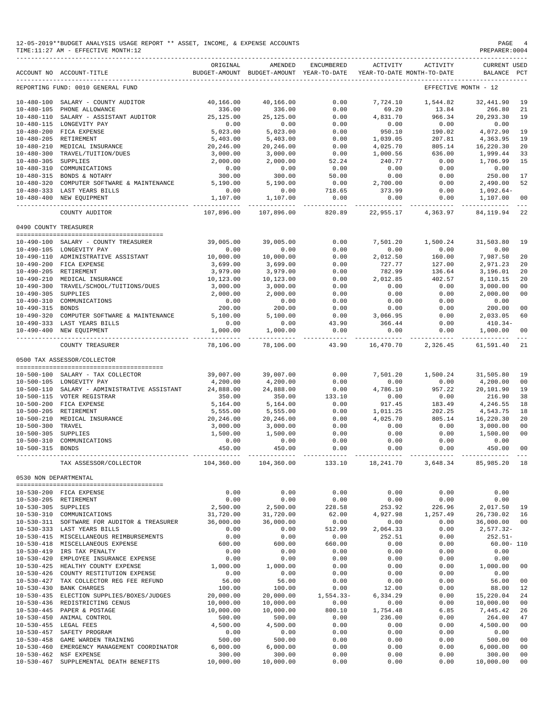|                       | 12-05-2019**BUDGET ANALYSIS USAGE REPORT ** ASSET, INCOME, & EXPENSE ACCOUNTS<br>TIME: 11:27 AM - EFFECTIVE MONTH: 12 |                      |                                                     |                     |                    |                                        | PAGE<br>PREPARER: 0004                                 |              |
|-----------------------|-----------------------------------------------------------------------------------------------------------------------|----------------------|-----------------------------------------------------|---------------------|--------------------|----------------------------------------|--------------------------------------------------------|--------------|
|                       | ACCOUNT NO ACCOUNT-TITLE                                                                                              | ORIGINAL             | AMENDED<br>BUDGET-AMOUNT BUDGET-AMOUNT YEAR-TO-DATE | ENCUMBERED          | ACTIVITY           | ACTIVITY<br>YEAR-TO-DATE MONTH-TO-DATE | <b>CURRENT USED</b><br>BALANCE                         | $_{\rm PCT}$ |
|                       | REPORTING FUND: 0010 GENERAL FUND                                                                                     |                      |                                                     |                     |                    |                                        | EFFECTIVE MONTH - 12                                   |              |
|                       | 10-480-100 SALARY - COUNTY AUDITOR                                                                                    | 40,166.00            | 40,166.00                                           | 0.00                | 7,724.10           | 1,544.82                               | 32,441.90                                              | 19           |
|                       | 10-480-105 PHONE ALLOWANCE                                                                                            | 336.00               | 336.00                                              | 0.00                | 69.20              | 13.84                                  | 266.80                                                 | 21           |
| 10-480-110            | SALARY - ASSISTANT AUDITOR                                                                                            | 25,125.00            | 25,125.00                                           | 0.00                | 4,831.70           | 966.34                                 | 20, 293.30                                             | 19           |
|                       | 10-480-115 LONGEVITY PAY                                                                                              | 0.00                 | 0.00                                                | 0.00                | 0.00               | 0.00                                   | 0.00                                                   |              |
|                       | 10-480-200 FICA EXPENSE<br>10-480-205 RETIREMENT                                                                      | 5,023.00<br>5,403.00 | 5,023.00<br>5,403.00                                | 0.00<br>0.00        | 950.10<br>1,039.05 | 190.02<br>207.81                       | 4,072.90<br>4,363.95                                   | 19<br>19     |
|                       | 10-480-210 MEDICAL INSURANCE                                                                                          | 20,246.00            | 20,246.00                                           | 0.00                | 4,025.70           | 805.14                                 | 16,220.30                                              | 20           |
|                       | 10-480-300 TRAVEL/TUITION/DUES                                                                                        | 3,000.00             | 3,000.00                                            | 0.00                | 1,000.56           | 636.00                                 | 1,999.44                                               | 33           |
| 10-480-305 SUPPLIES   |                                                                                                                       | 2,000.00             | 2,000.00                                            | 52.24               | 240.77             | 0.00                                   | 1,706.99                                               | 15           |
|                       | 10-480-310 COMMUNICATIONS                                                                                             | 0.00                 | 0.00                                                | 0.00                | 0.00               | 0.00                                   | 0.00                                                   |              |
|                       | 10-480-315 BONDS & NOTARY                                                                                             | 300.00               | 300.00                                              | 50.00               | 0.00               | 0.00                                   | 250.00                                                 | 17           |
|                       | 10-480-320 COMPUTER SOFTWARE & MAINTENANCE<br>10-480-333 LAST YEARS BILLS                                             | 5,190.00<br>0.00     | 5,190.00<br>0.00                                    | 0.00<br>718.65      | 2,700.00           | 0.00<br>0.00                           | 2,490.00                                               | 52           |
|                       | 10-480-400 NEW EQUIPMENT                                                                                              | 1,107.00             | 1,107.00                                            | 0.00                | 373.99<br>0.00     | 0.00                                   | $1,092.64-$<br>1,107.00                                | 00           |
|                       |                                                                                                                       | <i></i>              | ------------                                        | -----------         |                    |                                        |                                                        | $--$         |
|                       | COUNTY AUDITOR                                                                                                        | 107,896.00           | 107,896.00                                          | 820.89              | 22,955.17          | 4,363.97                               | 84, 119.94                                             | 22           |
| 0490 COUNTY TREASURER |                                                                                                                       |                      |                                                     |                     |                    |                                        |                                                        |              |
|                       | 10-490-100 SALARY - COUNTY TREASURER                                                                                  | 39,005.00            | 39,005.00                                           | 0.00                | 7,501.20           | 1,500.24                               | 31,503.80                                              | 19           |
|                       | 10-490-105 LONGEVITY PAY                                                                                              | 0.00                 | 0.00                                                | 0.00                | 0.00               | 0.00                                   | 0.00                                                   |              |
|                       | 10-490-110 ADMINISTRATIVE ASSISTANT                                                                                   | 10,000.00            | 10,000.00                                           | 0.00                | 2,012.50           | 160.00                                 | 7,987.50                                               | 20           |
|                       | 10-490-200 FICA EXPENSE<br>10-490-205 RETIREMENT                                                                      | 3,699.00<br>3,979.00 | 3,699.00<br>3,979.00                                | 0.00<br>0.00        | 727.77<br>782.99   | 127.00<br>136.64                       | 2,971.23<br>3,196.01                                   | 20<br>20     |
|                       | 10-490-210 MEDICAL INSURANCE                                                                                          | 10,123.00            | 10,123.00                                           | 0.00                | 2,012.85           | 402.57                                 | 8,110.15                                               | 20           |
|                       | 10-490-300 TRAVEL/SCHOOL/TUITIONS/DUES                                                                                | 3,000.00             | 3,000.00                                            | 0.00                | 0.00               | 0.00                                   | 3,000.00                                               | 00           |
| 10-490-305 SUPPLIES   |                                                                                                                       | 2,000.00             | 2,000.00                                            | 0.00                | 0.00               | 0.00                                   | 2,000.00                                               | 00           |
| $10 - 490 - 310$      | COMMUNICATIONS                                                                                                        | 0.00                 | 0.00                                                | 0.00                | 0.00               | 0.00                                   | 0.00                                                   |              |
| 10-490-315 BONDS      |                                                                                                                       | 200.00               | 200.00                                              | 0.00                | 0.00               | 0.00                                   | 200.00                                                 | 00           |
|                       | 10-490-320 COMPUTER SOFTWARE & MAINTENANCE<br>10-490-333 LAST YEARS BILLS                                             | 5,100.00<br>0.00     | 5,100.00<br>0.00                                    | 0.00<br>43.90       | 3,066.95<br>366.44 | 0.00<br>0.00                           | 2,033.05<br>$410.34-$                                  | 60           |
|                       | 10-490-400 NEW EQUIPMENT                                                                                              | 1,000.00             | 1,000.00                                            | 0.00                | 0.00               | 0.00                                   | 1,000.00                                               | 00           |
|                       | COUNTY TREASURER                                                                                                      | 78,106.00            | 78,106.00                                           | ------<br>43.90     | 16,470.70          | 2,326.45                               | 61,591.40                                              | 21           |
|                       |                                                                                                                       |                      |                                                     |                     |                    |                                        |                                                        |              |
|                       | 0500 TAX ASSESSOR/COLLECTOR                                                                                           |                      |                                                     |                     |                    |                                        |                                                        |              |
|                       | 10-500-100 SALARY - TAX COLLECTOR                                                                                     | 39,007.00            | 39,007.00                                           | 0.00                | 7,501.20           | 1,500.24                               | 31,505.80                                              | 19           |
|                       | 10-500-105 LONGEVITY PAY                                                                                              | 4,200.00             | 4,200.00                                            | 0.00                | 0.00               | 0.00                                   | 4,200.00                                               | 00           |
|                       | 10-500-110 SALARY - ADMINISTRATIVE ASSISTANT                                                                          | 24,888.00            | 24,888.00                                           | 0.00                | 4,786.10           | 957.22                                 | 20,101.90                                              | 19           |
|                       | 10-500-115 VOTER REGISTRAR<br>10-500-200 FICA EXPENSE                                                                 | 350.00<br>5,164.00   | 350.00<br>5,164.00                                  | 133.10<br>0.00      | 0.00<br>917.45     | 0.00<br>183.49                         | 216.90<br>4,246.55                                     | 38<br>18     |
|                       | 10-500-205 RETIREMENT                                                                                                 | 5,555.00             | 5,555.00                                            | 0.00                | 1,011.25           | 202.25                                 | 4,543.75                                               | 18           |
|                       | 10-500-210 MEDICAL INSURANCE                                                                                          | 20,246.00            | 20,246.00                                           | 0.00                | 4,025.70           | 805.14                                 | 16,220.30                                              | 20           |
| $10 - 500 - 300$      | TRAVEL                                                                                                                | 3,000.00             | 3,000.00                                            | 0.00                | 0.00               | 0.00                                   | 3,000.00                                               | 00           |
| $10 - 500 - 305$      | SUPPLIES                                                                                                              | 1,500.00             | 1,500.00                                            | 0.00                | 0.00               | 0.00                                   | 1,500.00                                               | 00           |
| $10 - 500 - 310$      | COMMUNICATIONS                                                                                                        | 0.00                 | 0.00                                                | 0.00                | 0.00               | 0.00                                   | 0.00                                                   |              |
| 10-500-315 BONDS      |                                                                                                                       | 450.00               | 450.00<br>______________                            | 0.00                | 0.00               | 0.00                                   | 450.00 00                                              |              |
|                       | TAX ASSESSOR/COLLECTOR                                                                                                | 104,360.00           |                                                     |                     |                    |                                        | 104,360.00  133.10  18,241.70  3,648.34  85,985.20  18 |              |
| 0530 NON DEPARTMENTAL |                                                                                                                       |                      |                                                     |                     |                    |                                        |                                                        |              |
|                       | 10-530-200 FICA EXPENSE                                                                                               | 0.00                 | 0.00                                                | 0.00                | 0.00               | 0.00                                   | 0.00                                                   |              |
|                       | 10-530-205 RETIREMENT                                                                                                 | 0.00                 | 0.00                                                | 0.00                | 0.00               | 0.00                                   | 0.00                                                   |              |
| 10-530-305 SUPPLIES   |                                                                                                                       | 2,500.00             | 2,500.00                                            | 228.58              | 253.92             | 226.96                                 | 2,017.50 19                                            |              |
|                       | 10-530-310 COMMUNICATIONS                                                                                             | 31,720.00            | 31,720.00                                           | 62.00               | 4,927.98           | 1,257.49                               | 26,730.02 16                                           |              |
|                       | 10-530-311 SOFTWARE FOR AUDITOR & TREASURER                                                                           | 36,000.00            | 36,000.00                                           | 0.00                | 0.00               | 0.00                                   | 36,000.00 00                                           |              |
|                       | 10-530-333 LAST YEARS BILLS<br>10-530-415 MISCELLANEOUS REIMBURSEMENTS                                                | 0.00<br>0.00         | 0.00<br>0.00                                        | 512.99<br>0.00      | 2,064.33<br>252.51 | 0.00<br>0.00                           | $2,577.32-$<br>$252.51-$                               |              |
|                       | 10-530-418 MISCELLANEOUS EXPENSE                                                                                      | 600.00               | 600.00                                              | 660.00              | 0.00               | 0.00                                   | $60.00 - 110$                                          |              |
|                       | 10-530-419 IRS TAX PENALTY                                                                                            | 0.00                 | 0.00                                                | 0.00                | 0.00               | 0.00                                   | 0.00                                                   |              |
|                       | 10-530-420 EMPLOYEE INSURANCE EXPENSE                                                                                 | 0.00                 | 0.00                                                | 0.00                | 0.00               | 0.00                                   | 0.00                                                   |              |
|                       | 10-530-425 HEALTHY COUNTY EXPENSE                                                                                     | 1,000.00             | 1,000.00                                            | 0.00                | 0.00               | 0.00                                   | 1,000.00                                               | 00           |
|                       | 10-530-426 COUNTY RESTITUTION EXPENSE                                                                                 | 0.00                 | 0.00                                                | 0.00                | 0.00               | 0.00                                   | 0.00                                                   |              |
| 10-530-427            | TAX COLLECTOR REG FEE REFUND                                                                                          | 56.00                | 56.00                                               | 0.00                | 0.00               | 0.00                                   | 56.00                                                  | 00           |
|                       | 10-530-430 BANK CHARGES<br>10-530-435 ELECTION SUPPLIES/BOXES/JUDGES                                                  | 100.00<br>20,000.00  | 100.00<br>20,000.00                                 | 0.00<br>$1,554.33-$ | 12.00<br>6,334.29  | 0.00<br>0.00                           | 88.00<br>15,220.04                                     | 12<br>24     |
|                       | 10-530-436 REDISTRICTING CENUS                                                                                        | 10,000.00            | 10,000.00                                           | 0.00                | 0.00               | 0.00                                   | 10,000.00                                              | 00           |
|                       | 10-530-445 PAPER & POSTAGE                                                                                            | 10,000.00            | 10,000.00                                           | 800.10              | 1,754.48           | 6.85                                   | 7,445.42                                               | 26           |
|                       | 10-530-450 ANIMAL CONTROL                                                                                             | 500.00               | 500.00                                              | 0.00                | 236.00             | 0.00                                   | 264.00                                                 | 47           |
|                       | 10-530-455 LEGAL FEES                                                                                                 | 4,500.00             | 4,500.00                                            | 0.00                | 0.00               | 0.00                                   | 4,500.00                                               | 00           |
| $10 - 530 - 457$      | SAFETY PROGRAM                                                                                                        | 0.00                 | 0.00                                                | 0.00                | 0.00               | 0.00                                   | 0.00                                                   |              |
|                       | 10-530-458 GAME WARDEN TRAINING                                                                                       | 500.00               | 500.00                                              | 0.00                | 0.00               | 0.00                                   | 500.00                                                 | 00           |
| $10 - 530 - 460$      | EMERGENCY MANAGEMENT COORDINATOR<br>10-530-462 NSF EXPENSE                                                            | 6,000.00<br>300.00   | 6,000.00<br>300.00                                  | 0.00<br>0.00        | 0.00<br>0.00       | 0.00<br>0.00                           | 6,000.00<br>300.00                                     | 00<br>00     |
| 10-530-467            | SUPPLEMENTAL DEATH BENEFITS                                                                                           | 10,000.00            | 10,000.00                                           | 0.00                | 0.00               | 0.00                                   | 10,000.00                                              | 00           |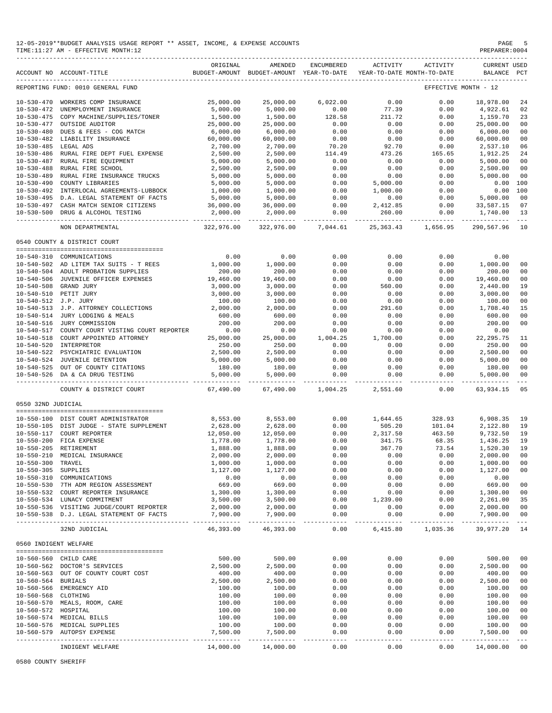|                                          | 12-05-2019**BUDGET ANALYSIS USAGE REPORT ** ASSET, INCOME, & EXPENSE ACCOUNTS<br>TIME:11:27 AM - EFFECTIVE MONTH:12 |                            |                                                     |                           |                                        |                           | PAGE<br>PREPARER: 0004             | 5                    |
|------------------------------------------|---------------------------------------------------------------------------------------------------------------------|----------------------------|-----------------------------------------------------|---------------------------|----------------------------------------|---------------------------|------------------------------------|----------------------|
|                                          | ACCOUNT NO ACCOUNT-TITLE                                                                                            | ORIGINAL                   | AMENDED<br>BUDGET-AMOUNT BUDGET-AMOUNT YEAR-TO-DATE | ENCUMBERED                | ACTIVITY<br>YEAR-TO-DATE MONTH-TO-DATE | ACTIVITY                  | <b>CURRENT USED</b><br>BALANCE PCT |                      |
|                                          | REPORTING FUND: 0010 GENERAL FUND                                                                                   |                            |                                                     |                           |                                        |                           | EFFECTIVE MONTH - 12               |                      |
|                                          | 10-530-470 WORKERS COMP INSURANCE                                                                                   | 25,000.00                  | 25,000.00                                           | 6,022.00                  | 0.00                                   | 0.00                      | 18,978.00                          | 24                   |
|                                          | 10-530-472 UNEMPLOYMENT INSURANCE                                                                                   | 5,000.00                   | 5,000.00                                            | 0.00                      | 77.39                                  | 0.00                      | 4,922.61                           | 02                   |
|                                          | 10-530-475 COPY MACHINE/SUPPLIES/TONER                                                                              | 1,500.00                   | 1,500.00                                            | 128.58                    | 211.72                                 | 0.00                      | 1,159.70                           | 23                   |
|                                          | 10-530-477 OUTSIDE AUDITOR                                                                                          | 25,000.00                  | 25,000.00                                           | 0.00                      | 0.00                                   | 0.00                      | 25,000.00                          | 00                   |
|                                          | 10-530-480 DUES & FEES - COG MATCH                                                                                  | 6,000.00                   | 6,000.00                                            | 0.00                      | 0.00                                   | 0.00                      | 6,000.00                           | 00                   |
|                                          | 10-530-482 LIABILITY INSURANCE                                                                                      | 60,000.00                  | 60,000.00                                           | 0.00                      | 0.00                                   | 0.00                      | 60,000.00                          | 00                   |
| 10-530-485 LEGAL ADS                     |                                                                                                                     | 2,700.00                   | 2,700.00                                            | 70.20                     | 92.70                                  | 0.00                      | 2,537.10                           | 06                   |
|                                          | 10-530-486 RURAL FIRE DEPT FUEL EXPENSE                                                                             | 2,500.00                   | 2,500.00                                            | 114.49                    | 473.26                                 | 165.65                    | 1,912.25                           | 24                   |
|                                          | 10-530-487 RURAL FIRE EQUIPMENT                                                                                     | 5,000.00                   | 5,000.00                                            | 0.00                      | 0.00                                   | 0.00                      | 5,000.00                           | 00                   |
|                                          | 10-530-488 RURAL FIRE SCHOOL                                                                                        | 2,500.00                   | 2,500.00                                            | 0.00<br>0.00              | 0.00<br>0.00                           | 0.00<br>0.00              | 2,500.00<br>5,000.00               | 00                   |
| 10-530-489                               | RURAL FIRE INSURANCE TRUCKS<br>10-530-490 COUNTY LIBRARIES                                                          | 5,000.00<br>5,000.00       | 5,000.00<br>5,000.00                                | 0.00                      | 5,000.00                               | 0.00                      | 0.00                               | 00<br>100            |
|                                          | 10-530-492 INTERLOCAL AGREEMENTS-LUBBOCK                                                                            | 1,000.00                   | 1,000.00                                            | 0.00                      | 1,000.00                               | 0.00                      | 0.00                               | 100                  |
|                                          | 10-530-495 D.A. LEGAL STATEMENT OF FACTS                                                                            | 5,000.00                   | 5,000.00                                            | 0.00                      | 0.00                                   | 0.00                      | 5,000.00                           | 00                   |
|                                          | 10-530-497 CASH MATCH SENIOR CITIZENS                                                                               | 36,000.00                  | 36,000.00                                           | 0.00                      | 2,412.85                               | 0.00                      | 33,587.15                          | 07                   |
|                                          | 10-530-500 DRUG & ALCOHOL TESTING                                                                                   | 2,000.00                   | 2,000.00                                            | 0.00                      | 260.00                                 | 0.00                      | 1,740.00                           | 13                   |
|                                          | NON DEPARTMENTAL                                                                                                    | .<br>322,976.00            | -------------<br>322,976.00                         | _____________<br>7,044.61 | -----------<br>25, 363. 43             | -------------<br>1,656.95 | -----------<br>290,567.96          | $\sim$ $ \sim$<br>10 |
|                                          |                                                                                                                     |                            |                                                     |                           |                                        |                           |                                    |                      |
|                                          | 0540 COUNTY & DISTRICT COURT                                                                                        |                            |                                                     |                           |                                        |                           |                                    |                      |
|                                          | 10-540-310 COMMUNICATIONS                                                                                           | 0.00                       | 0.00                                                | 0.00                      | 0.00                                   | 0.00                      | 0.00                               |                      |
|                                          | 10-540-502 AD LITEM TAX SUITS - T REES                                                                              | 1,000.00                   | 1,000.00                                            | 0.00                      | 0.00                                   | 0.00                      | 1,000.00                           | 00                   |
|                                          | 10-540-504 ADULT PROBATION SUPPLIES                                                                                 | 200.00                     | 200.00                                              | 0.00                      | 0.00                                   | 0.00                      | 200.00                             | 00                   |
|                                          | 10-540-506 JUVENILE OFFICER EXPENSES                                                                                | 19,460.00                  | 19,460.00                                           | 0.00                      | 0.00                                   | 0.00                      | 19,460.00                          | 00                   |
|                                          | 10-540-508 GRAND JURY                                                                                               | 3,000.00                   | 3,000.00                                            | 0.00                      | 560.00                                 | 0.00                      | 2,440.00                           | 19                   |
|                                          | 10-540-510 PETIT JURY                                                                                               | 3,000.00                   | 3,000.00                                            | 0.00                      | 0.00                                   | 0.00                      | 3,000.00                           | 00                   |
| 10-540-512 J.P. JURY                     |                                                                                                                     | 100.00                     | 100.00                                              | 0.00                      | 0.00                                   | 0.00                      | 100.00                             | 00                   |
|                                          | 10-540-513 J.P. ATTORNEY COLLECTIONS                                                                                | 2,000.00                   | 2,000.00                                            | 0.00                      | 291.60                                 | 0.00                      | 1,708.40                           | 15                   |
|                                          | 10-540-514 JURY LODGING & MEALS                                                                                     | 600.00                     | 600.00                                              | 0.00                      | 0.00                                   | 0.00                      | 600.00                             | 00                   |
|                                          | 10-540-516 JURY COMMISSION                                                                                          | 200.00                     | 200.00                                              | 0.00                      | 0.00                                   | 0.00                      | 200.00                             | 00                   |
|                                          | 10-540-517 COUNTY COURT VISTING COURT REPORTER                                                                      | 0.00                       | 0.00                                                | 0.00                      | 0.00                                   | 0.00                      | 0.00                               |                      |
|                                          | 10-540-518 COURT APPOINTED ATTORNEY<br>10-540-520 INTERPRETOR                                                       | 25,000.00<br>250.00        | 25,000.00<br>250.00                                 | 1,004.25<br>0.00          | 1,700.00<br>0.00                       | 0.00<br>0.00              | 22, 295.75<br>250.00               | 11<br>00             |
|                                          | 10-540-522 PSYCHIATRIC EVALUATION                                                                                   | 2,500.00                   | 2,500.00                                            | 0.00                      | 0.00                                   | 0.00                      | 2,500.00                           | 00                   |
|                                          | 10-540-524 JUVENILE DETENTION                                                                                       | 5,000.00                   | 5,000.00                                            | 0.00                      | 0.00                                   | 0.00                      | 5,000.00                           | 00                   |
|                                          | 10-540-525 OUT OF COUNTY CITATIONS                                                                                  | 180.00                     | 180.00                                              | 0.00                      | 0.00                                   | 0.00                      | 180.00                             | 00                   |
|                                          | 10-540-526 DA & CA DRUG TESTING                                                                                     | 5,000.00                   | 5,000.00                                            | 0.00                      | 0.00                                   | 0.00                      | 5,000.00                           | 00                   |
|                                          | -------------------------------<br>COUNTY & DISTRICT COURT                                                          | -------------<br>67,490.00 | -------------<br>67,490.00                          | -------------<br>1,004.25 | 2,551.60                               | .<br>0.00                 | 63,934.15                          | $- - -$<br>05        |
| 0550 32ND JUDICIAL                       |                                                                                                                     |                            |                                                     |                           |                                        |                           |                                    |                      |
|                                          |                                                                                                                     |                            |                                                     |                           |                                        |                           |                                    |                      |
|                                          | 10-550-100 DIST COURT ADMINISTRATOR                                                                                 | 8,553.00                   | 8,553.00                                            | 0.00                      | 1,644.65                               | 328.93                    | 6,908.35                           | 19                   |
|                                          | 10-550-105 DIST JUDGE - STATE SUPPLEMENT                                                                            | 2,628.00                   | 2,628.00                                            | 0.00                      | 505.20                                 | 101.04                    | 2,122.80                           | 19                   |
|                                          | 10-550-117 COURT REPORTER                                                                                           | 12,050.00                  | 12,050.00                                           | 0.00                      | 2,317.50                               | 463.50                    | 9,732.50                           | 19                   |
|                                          | 10-550-200 FICA EXPENSE                                                                                             | 1,778.00                   | 1,778.00                                            | 0.00                      | 341.75                                 | 68.35                     | 1,436.25                           | 19                   |
|                                          | 10-550-205 RETIREMENT                                                                                               | 1,888.00                   | 1,888.00                                            | 0.00                      | 367.70                                 | 73.54                     | 1,520.30                           | 19                   |
|                                          | 10-550-210 MEDICAL INSURANCE                                                                                        | 2,000.00                   | 2,000.00                                            | 0.00                      | 0.00                                   | 0.00                      | 2,000.00                           | 00                   |
| 10-550-300 TRAVEL<br>10-550-305 SUPPLIES |                                                                                                                     | 1,000.00<br>1,127.00       | 1,000.00<br>1,127.00                                | 0.00<br>0.00              | 0.00<br>0.00                           | 0.00<br>0.00              | 1,000.00<br>1,127.00               | 00<br>00             |
|                                          | 10-550-310 COMMUNICATIONS                                                                                           | 0.00                       | 0.00                                                | 0.00                      | 0.00                                   | 0.00                      | 0.00                               |                      |
|                                          | 10-550-530 7TH ADM REGION ASSESSMENT                                                                                | 669.00                     | 669.00                                              | 0.00                      | 0.00                                   | 0.00                      | 669.00                             | 00                   |
|                                          | 10-550-532 COURT REPORTER INSURANCE                                                                                 | 1,300.00                   | 1,300.00                                            | 0.00                      | 0.00                                   | 0.00                      | 1,300.00                           | 00                   |
|                                          | 10-550-534 LUNACY COMMITMENT                                                                                        | 3,500.00                   | 3,500.00                                            | 0.00                      | 1,239.00                               | 0.00                      | 2,261.00                           | 35                   |
|                                          | 10-550-536 VISITING JUDGE/COURT REPORTER                                                                            | 2,000.00                   | 2,000.00                                            | 0.00                      | 0.00                                   | 0.00                      | 2,000.00                           | 00                   |
|                                          | 10-550-538 D.J. LEGAL STATEMENT OF FACTS                                                                            | 7,900.00<br>----------     | 7,900.00<br>-------------                           | 0.00<br>$- - - - - -$     | 0.00<br>$---$                          | 0.00<br>----------        | 7,900.00<br>-------------          | 00<br>$- - - \, -$   |
|                                          | 32ND JUDICIAL                                                                                                       | 46,393.00                  | 46,393.00                                           | 0.00                      | 6,415.80                               | 1,035.36                  | 39,977.20                          | 14                   |
| 0560 INDIGENT WELFARE                    |                                                                                                                     |                            |                                                     |                           |                                        |                           |                                    |                      |
|                                          |                                                                                                                     |                            |                                                     |                           |                                        |                           |                                    |                      |
|                                          | 10-560-560 CHILD CARE<br>10-560-562 DOCTOR'S SERVICES                                                               | 500.00                     | 500.00                                              | 0.00<br>0.00              | 0.00<br>0.00                           | 0.00<br>0.00              | 500.00                             | 00<br>00             |
|                                          | 10-560-563 OUT OF COUNTY COURT COST                                                                                 | 2,500.00<br>400.00         | 2,500.00<br>400.00                                  | 0.00                      | 0.00                                   | 0.00                      | 2,500.00<br>400.00                 | 00                   |
| 10-560-564 BURIALS                       |                                                                                                                     | 2,500.00                   | 2,500.00                                            | 0.00                      | 0.00                                   | 0.00                      | 2,500.00                           | 00                   |
|                                          | 10-560-566 EMERGENCY AID                                                                                            | 100.00                     | 100.00                                              | 0.00                      | 0.00                                   | 0.00                      | 100.00                             | 0 <sub>0</sub>       |
| 10-560-568 CLOTHING                      |                                                                                                                     | 100.00                     | 100.00                                              | 0.00                      | 0.00                                   | 0.00                      | 100.00                             | 00                   |
|                                          | 10-560-570 MEALS, ROOM, CARE                                                                                        | 100.00                     | 100.00                                              | 0.00                      | 0.00                                   | 0.00                      | 100.00                             | 00                   |
| 10-560-572 HOSPITAL                      |                                                                                                                     | 100.00                     | 100.00                                              | 0.00                      | 0.00                                   | 0.00                      | 100.00                             | 00                   |
|                                          | 10-560-574 MEDICAL BILLS                                                                                            | 100.00                     | 100.00                                              | 0.00                      | 0.00                                   | 0.00                      | 100.00                             | 00                   |
|                                          | 10-560-576 MEDICAL SUPPLIES                                                                                         | 100.00                     | 100.00                                              | 0.00                      | 0.00                                   | 0.00                      | 100.00                             | 00                   |
|                                          | 10-560-579 AUTOPSY EXPENSE                                                                                          | 7,500.00                   | 7,500.00                                            | 0.00                      | 0.00                                   | 0.00                      | 7,500.00                           | 00                   |
|                                          |                                                                                                                     |                            | -------------                                       |                           | ------                                 | .                         | -------------                      | $\sim$ $ \sim$       |
|                                          | INDIGENT WELFARE                                                                                                    | 14,000.00                  | 14,000.00                                           | 0.00                      | 0.00                                   | 0.00                      | 14,000.00                          | $00\,$               |

0580 COUNTY SHERIFF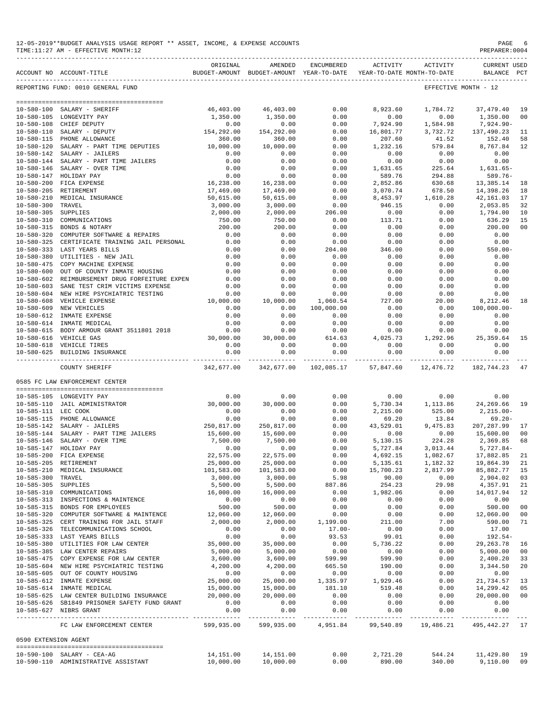|                      | TIME:11:27 AM - EFFECTIVE MONTH:12                                                  |                       |                                                                                |                  |                    |                                                              | PREPARER: 0004                     |                |
|----------------------|-------------------------------------------------------------------------------------|-----------------------|--------------------------------------------------------------------------------|------------------|--------------------|--------------------------------------------------------------|------------------------------------|----------------|
|                      | ACCOUNT NO ACCOUNT-TITLE                                                            | ORIGINAL              | AMENDED<br>BUDGET-AMOUNT BUDGET-AMOUNT YEAR-TO-DATE YEAR-TO-DATE MONTH-TO-DATE | ENCUMBERED       | ACTIVITY           | ACTIVITY                                                     | <b>CURRENT USED</b><br>BALANCE PCT |                |
|                      | REPORTING FUND: 0010 GENERAL FUND                                                   |                       |                                                                                |                  |                    |                                                              | EFFECTIVE MONTH - 12               |                |
|                      |                                                                                     |                       |                                                                                |                  |                    |                                                              |                                    |                |
| 10-580-100           | SALARY - SHERIFF                                                                    | 46,403.00             | 46,403.00                                                                      | 0.00             | 8,923.60           | 1,784.72                                                     | 37, 479.40                         | 19             |
| $10 - 580 - 108$     | 10-580-105 LONGEVITY PAY<br>CHIEF DEPUTY                                            | 1,350.00<br>0.00      | 1,350.00<br>0.00                                                               | 0.00<br>0.00     | 0.00<br>7,924.90   | 0.00<br>1,584.98                                             | 1,350.00<br>$7,924.90 -$           | 00             |
| $10 - 580 - 110$     | SALARY - DEPUTY                                                                     | 154,292.00            | 154,292.00                                                                     | 0.00             | 16,801.77          | 3,732.72                                                     | 137,490.23                         | 11             |
|                      | 10-580-115 PHONE ALLOWANCE                                                          | 360.00                | 360.00                                                                         | 0.00             | 207.60             | 41.52                                                        | 152.40                             | 58             |
| $10 - 580 - 120$     | SALARY - PART TIME DEPUTIES                                                         | 10,000.00             | 10,000.00                                                                      | 0.00             | 1,232.16           | 579.84                                                       | 8,767.84                           | 12             |
| $10 - 580 - 142$     | SALARY - JAILERS                                                                    | 0.00                  | 0.00                                                                           | 0.00             | 0.00               | 0.00                                                         | 0.00                               |                |
| $10 - 580 - 144$     | SALARY - PART TIME JAILERS                                                          | 0.00                  | 0.00                                                                           | 0.00             | 0.00               | 0.00                                                         | 0.00                               |                |
| $10 - 580 - 146$     | SALARY - OVER TIME                                                                  | 0.00                  | 0.00                                                                           | 0.00             | 1,631.65           | 225.64                                                       | $1,631.65-$                        |                |
|                      | 10-580-147 HOLIDAY PAY<br>10-580-200 FICA EXPENSE                                   | 0.00<br>16,238.00     | 0.00<br>16,238.00                                                              | 0.00<br>0.00     | 589.76<br>2,852.86 | 294.88<br>630.68                                             | $589.76 -$<br>13,385.14            | 18             |
|                      | 10-580-205 RETIREMENT                                                               | 17,469.00             | 17,469.00                                                                      | 0.00             | 3,070.74           | 678.50                                                       | 14,398.26                          | 18             |
|                      | 10-580-210 MEDICAL INSURANCE                                                        | 50,615.00             | 50,615.00                                                                      | 0.00             | 8,453.97           | 1,610.28                                                     | 42,161.03                          | 17             |
| 10-580-300 TRAVEL    |                                                                                     | 3,000.00              | 3,000.00                                                                       | 0.00             | 946.15             | 0.00                                                         | 2,053.85                           | 32             |
| $10 - 580 - 305$     | SUPPLIES                                                                            | 2,000.00              | 2,000.00                                                                       | 206.00           | 0.00               | 0.00                                                         | 1,794.00                           | 10             |
| $10 - 580 - 310$     | COMMUNICATIONS                                                                      | 750.00                | 750.00                                                                         | 0.00             | 113.71             | 0.00                                                         | 636.29                             | 15             |
|                      | 10-580-315 BONDS & NOTARY                                                           | 200.00                | 200.00                                                                         | 0.00             | 0.00               | 0.00                                                         | 200.00                             | 0 <sup>0</sup> |
| $10 - 580 - 320$     | COMPUTER SOFTWARE & REPAIRS                                                         | 0.00                  | 0.00                                                                           | 0.00             | 0.00               | 0.00                                                         | 0.00                               |                |
| $10 - 580 - 325$     | CERTIFICATE TRAINING JAIL PERSONAL<br>10-580-333 LAST YEARS BILLS                   | 0.00<br>0.00          | 0.00<br>0.00                                                                   | 0.00<br>204.00   | 0.00<br>346.00     | 0.00<br>0.00                                                 | 0.00<br>$550.00 -$                 |                |
|                      | 10-580-380 UTILITIES - NEW JAIL                                                     | 0.00                  | 0.00                                                                           | 0.00             | 0.00               | 0.00                                                         | 0.00                               |                |
| $10 - 580 - 475$     | COPY MACHINE EXPENSE                                                                | 0.00                  | 0.00                                                                           | 0.00             | 0.00               | 0.00                                                         | 0.00                               |                |
| $10 - 580 - 600$     | OUT OF COUNTY INMATE HOUSING                                                        | 0.00                  | 0.00                                                                           | 0.00             | 0.00               | 0.00                                                         | 0.00                               |                |
|                      | 10-580-602 REIMBURSEMENT DRUG FORFEITURE EXPEN                                      | 0.00                  | 0.00                                                                           | 0.00             | 0.00               | 0.00                                                         | 0.00                               |                |
| $10 - 580 - 603$     | SANE TEST CRIM VICTIMS EXPENSE                                                      | 0.00                  | 0.00                                                                           | 0.00             | 0.00               | 0.00                                                         | 0.00                               |                |
|                      | 10-580-604 NEW HIRE PSYCHIATRIC TESTING                                             | 0.00                  | 0.00                                                                           | 0.00             | 0.00               | 0.00                                                         | 0.00                               |                |
| $10 - 580 - 608$     | VEHICLE EXPENSE                                                                     | 10,000.00             | 10,000.00                                                                      | 1,060.54         | 727.00             | 20.00                                                        | 8,212.46                           | 18             |
|                      | 10-580-609 NEW VEHICLES                                                             | 0.00                  | 0.00                                                                           | 100,000.00       | 0.00               | 0.00                                                         | $100,000.00 -$                     |                |
|                      | 10-580-612 INMATE EXPENSE<br>10-580-614 INMATE MEDICAL                              | 0.00<br>0.00          | 0.00<br>0.00                                                                   | 0.00<br>0.00     | 0.00<br>0.00       | 0.00<br>0.00                                                 | 0.00<br>0.00                       |                |
|                      | 10-580-615 BODY ARMOUR GRANT 3511801 2018                                           | 0.00                  | 0.00                                                                           | 0.00             | 0.00               | 0.00                                                         | 0.00                               |                |
|                      | 10-580-616 VEHICLE GAS                                                              | 30,000.00             | 30,000.00                                                                      | 614.63           | 4,025.73           | 1,292.96                                                     | 25,359.64                          | 15             |
|                      | 10-580-618 VEHICLE TIRES                                                            | 0.00                  | 0.00                                                                           | 0.00             | 0.00               | 0.00                                                         | 0.00                               |                |
|                      | 10-580-625 BUILDING INSURANCE                                                       | 0.00                  | 0.00<br>-------------                                                          | 0.00             | 0.00               | 0.00                                                         | 0.00<br>-------------              |                |
|                      | COUNTY SHERIFF                                                                      | 342,677.00            | 342,677.00                                                                     | 102,085.17       | 57,847.60          | 12,476.72                                                    | 182,744.23                         | 47             |
|                      | 0585 FC LAW ENFORCEMENT CENTER                                                      |                       |                                                                                |                  |                    |                                                              |                                    |                |
|                      | 10-585-105 LONGEVITY PAY                                                            | 0.00                  | 0.00                                                                           | 0.00             | 0.00               | 0.00                                                         | 0.00                               |                |
|                      | 10-585-110 JAIL ADMINISTRATOR                                                       | 30,000.00             | 30,000.00                                                                      | 0.00             | 5,730.34           | 1,113.86                                                     | 24, 269.66 19                      |                |
| 10-585-111 LEC COOK  |                                                                                     | 0.00                  | 0.00                                                                           | 0.00             | 2,215.00           | 525.00                                                       | 2,215.00-                          |                |
|                      | 10-585-115 PHONE ALLOWANCE                                                          | 0.00                  | 0.00                                                                           | 0.00             | 69.20              | 13.84                                                        | $69.20 -$                          |                |
|                      | 10-585-142 SALARY - JAILERS                                                         | 250,817.00            | 250,817.00                                                                     | 0.00             | 43,529.01          | 9,475.83                                                     | 207,287.99                         | 17             |
|                      | 10-585-144 SALARY - PART TIME JAILERS                                               | 15,600.00             | 15,600.00                                                                      | 0.00             | 0.00               | 0.00                                                         | 15,600.00                          | 00             |
|                      | 10-585-146 SALARY - OVER TIME                                                       | 7,500.00              | 7,500.00                                                                       | 0.00             | 5,130.15           | 224.28                                                       | 2,369.85 68                        |                |
|                      | 10-585-147 HOLIDAY PAY<br>10-585-200 FICA EXPENSE                                   | 0.00<br>22,575.00     | 0.00<br>22,575.00                                                              | 0.00<br>0.00     |                    | 5,727.84 3,013.44 5,727.84<br>4,692.15 1,082.67 17,882.85 21 |                                    |                |
|                      | 10-585-205 RETIREMENT                                                               | 25,000.00             | 25,000.00                                                                      | 0.00             |                    | 5, 135.61   1, 182.32   19, 864.39   21                      |                                    |                |
|                      | 10-585-210 MEDICAL INSURANCE                                                        | 101,583.00            | 101,583.00                                                                     | 0.00             | 15,700.23          | 2,817.99                                                     | 85,882.77 15                       |                |
| 10-585-300 TRAVEL    |                                                                                     | 3,000.00              | 3,000.00                                                                       | 5.98             | 90.00              | 0.00                                                         | 2,904.02 03                        |                |
| 10-585-305 SUPPLIES  |                                                                                     | 5,500.00              | 5,500.00                                                                       | 887.86           | 254.23             | 29.98                                                        | 4,357.91 21                        |                |
|                      | 10-585-310 COMMUNICATIONS                                                           | 16,000.00             | 16,000.00                                                                      | 0.00             | 1,982.06           | 0.00                                                         | 14,017.94                          | 12             |
|                      | 10-585-313 INSPECTIONS & MAINTENCE                                                  | $0.00$<br>500.00      | 0.00                                                                           | 0.00             | 0.00               | 0.00                                                         | 0.00                               |                |
|                      | 10-585-315 BONDS FOR EMPLOYEES                                                      |                       | 500.00                                                                         | 0.00             | 0.00               | 0.00                                                         | 500.00                             | 00             |
|                      | 10-585-320 COMPUTER SOFTWARE & MAINTENCE<br>10-585-325 CERT TRAINING FOR JAIL STAFF | 12,060.00<br>2,000.00 | 12,060.00<br>2,000.00                                                          | 0.00<br>1,199.00 | 0.00<br>211.00     | 0.00<br>7.00                                                 | 12,060.00 00<br>590.00 71          |                |
|                      | 10-585-326 TELECOMMUNICATIONS SCHOOL                                                | 0.00                  |                                                                                | $17.00 -$        | 0.00               | 0.00                                                         | 17.00                              |                |
|                      | 10-585-333 LAST YEARS BILLS                                                         | 0.00                  | $\begin{array}{c} 0.00 \\ 0.00 \end{array}$                                    | 93.53            | 99.01              | 0.00                                                         | $192.54-$                          |                |
|                      | 10-585-380 UTILITIES FOR LAW CENTER                                                 | 35,000.00             | 35,000.00                                                                      | 0.00             | 5,736.22           | 0.00                                                         | 29, 263. 78 16                     |                |
|                      | 10-585-385 LAW CENTER REPAIRS                                                       | 5,000.00              | 5,000.00                                                                       | 0.00             |                    | 0.00                                                         |                                    |                |
|                      | 10-585-475 COPY EXPENSE FOR LAW CENTER                                              | 3,600.00              | 3,600.00                                                                       | 599.90           | 0.00<br>599.90     | 0.00                                                         | 5,000.00 00<br>2,400.20 33         |                |
|                      | 10-585-604 NEW HIRE PSYCHIATRIC TESTING                                             | 4,200.00              | 4,200.00                                                                       | 665.50           | 190.00             | 0.00                                                         | 3,344.50 20                        |                |
|                      | 10-585-605 OUT OF COUNTY HOUSING                                                    | 0.00                  | 0.00                                                                           | 0.00             | 0.00               | 0.00                                                         | 0.00                               |                |
|                      | 10-585-612 INMATE EXPENSE                                                           | 25,000.00             | 25,000.00<br>15,000.00<br>20,000.00                                            | 1,335.97         | 1,929.46           | 0.00                                                         | 21,734.57 13                       |                |
|                      | 10-585-614 INMATE MEDICAL<br>10-585-625 LAW CENTER BUILDING INSURANCE $20,000.00$   | 15,000.00             |                                                                                | 181.10<br>0.00   | 519.48<br>0.00     | 0.00<br>0.00                                                 | 14,299.42 05<br>20,000.00 00       |                |
|                      | 10-585-626 SB1849 PRISONER SAFETY FUND GRANT                                        | 0.00                  | 0.00                                                                           | 0.00             | 0.00               | 0.00                                                         | 0.00                               |                |
|                      | 10-585-627 NIBRS GRANT                                                              | 0.00                  | 0.00                                                                           | 0.00             | 0.00               | 0.00                                                         | 0.00                               |                |
|                      | FC LAW ENFORCEMENT CENTER                                                           |                       | 599,935.00 599,935.00 4,951.84 99,540.89 19,486.21 495,442.27 17               |                  |                    |                                                              |                                    |                |
| 0590 EXTENSION AGENT |                                                                                     |                       |                                                                                |                  |                    |                                                              |                                    |                |
|                      | -------------------------------------<br>10-590-100 SALARY - CEA-AG                 |                       | $14,151.00$ $14,151.00$ $0.00$ $2,721.20$ $544.24$ $11,429.80$ 19              |                  |                    |                                                              |                                    |                |
|                      |                                                                                     |                       |                                                                                |                  |                    |                                                              |                                    |                |

10-590-100 SALARY - CEA-AG 14,151.00 14,151.00 0.00 2,721.20 544.24 11,429.80 19 10-590-110 ADMINISTRATIVE ASSISTANT 10,000.00 10,000.00 0.00 890.00 340.00 9,110.00 09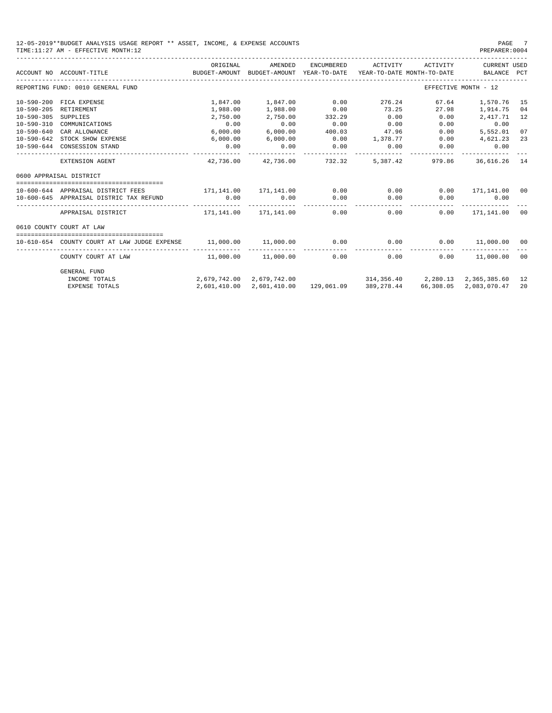| 12-05-2019**BUDGET ANALYSIS USAGE REPORT ** ASSET, INCOME, & EXPENSE ACCOUNTS | PAGE           |
|-------------------------------------------------------------------------------|----------------|
| TIME:11:27 AM - EFFECTIVE MONTH:12                                            | PREPARER: 0004 |

PREPARER:0004

|                  | ACCOUNT NO ACCOUNT-TITLE<br>BUDGET-AMOUNT BUDGET-AMOUNT YEAR-TO-DATE | ORIGINAL                                            | AMENDED  | ENCUMBERED       | ACTIVITY ACTIVITY<br>YEAR-TO-DATE MONTH-TO-DATE BALANCE PCT   |        | CURRENT USED           |    |
|------------------|----------------------------------------------------------------------|-----------------------------------------------------|----------|------------------|---------------------------------------------------------------|--------|------------------------|----|
|                  | REPORTING FUND: 0010 GENERAL FUND                                    |                                                     |          |                  |                                                               |        | EFFECTIVE MONTH - 12   |    |
| $10 - 590 - 200$ | FICA EXPENSE                                                         | 1,847.00                                            | 1,847.00 | 0.00             | 276.24 67.64                                                  |        | 1,570.76               | 15 |
| $10 - 590 - 205$ | RETIREMENT                                                           | 1,988.00                                            | 1,988.00 | 0.00             | 73.25                                                         | 27.98  | 1,914.75               | 04 |
| $10 - 590 - 305$ | SUPPLIES                                                             | 2,750.00                                            | 2,750.00 | 332.29           | 0.00                                                          | 0.00   | 2,417.71               | 12 |
| $10 - 590 - 310$ | COMMUNICATIONS                                                       | 0.00                                                | 0.00     | 0.00             | 0.00                                                          | 0.00   | 0.00                   |    |
| $10 - 590 - 640$ | CAR ALLOWANCE                                                        | 6,000.00                                            | 6,000.00 | 400.03           | 47.96                                                         | 0.00   | 5,552.01               | 07 |
| $10 - 590 - 642$ | STOCK SHOW EXPENSE                                                   | 6,000.00                                            | 6,000.00 |                  | $0.00$ 1,378.77                                               | 0.00   | 4,621.23               | 23 |
|                  | 10-590-644 CONSESSION STAND                                          | 0.00                                                | 0.00     | 0.00<br>.        | 0.00                                                          | 0.00   | 0.00                   |    |
|                  | EXTENSION AGENT                                                      | 42,736,00                                           |          | 42,736.00 732.32 | 5,387.42                                                      | 979.86 | 36,616.26 14           |    |
|                  | 0600 APPRAISAL DISTRICT                                              |                                                     |          |                  |                                                               |        |                        |    |
|                  |                                                                      |                                                     |          |                  |                                                               |        |                        |    |
|                  | 10-600-644 APPRAISAL DISTRICT FEES                                   | 171,141.00 171,141.00                               |          | 0.00             | 0.00                                                          | 0.00   | 171,141.00 00          |    |
|                  | 10-600-645 APPRAISAL DISTRIC TAX REFUND                              | 0.00                                                | 0.00     | 0.00             | 0.00<br>------------                                          | 0.00   | 0.00<br>-----------    |    |
|                  | APPRAISAL DISTRICT                                                   | $171.141.00$ $171.141.00$ 0.00                      |          |                  | 0.00                                                          | 0.00   | 171,141.00             | 00 |
|                  | 0610 COUNTY COURT AT LAW                                             |                                                     |          |                  |                                                               |        |                        |    |
|                  |                                                                      |                                                     |          |                  |                                                               |        |                        |    |
|                  | 10-610-654 COUNTY COURT AT LAW JUDGE EXPENSE                         | $11,000.00$ $11,000.00$ $0.00$ $0.00$ $0.00$ $0.00$ |          |                  | ------------                                                  |        | 11,000.00 00           |    |
|                  | COUNTY COURT AT LAW                                                  | $11,000.00$ $11,000.00$ 0.00                        |          |                  | 0.00                                                          |        | $0.00$ $11.000.00$ 00  |    |
|                  | <b>GENERAL FUND</b>                                                  |                                                     |          |                  |                                                               |        |                        |    |
|                  | INCOME TOTALS                                                        |                                                     |          |                  | 2,679,742.00 2,679,742.00 314,356.40 2,280.13 2,365,385.60 12 |        |                        |    |
|                  | <b>EXPENSE TOTALS</b>                                                |                                                     |          |                  | 2,601,410.00 2,601,410.00 129,061.09 389,278.44               |        | 66,308.05 2,083,070.47 | 20 |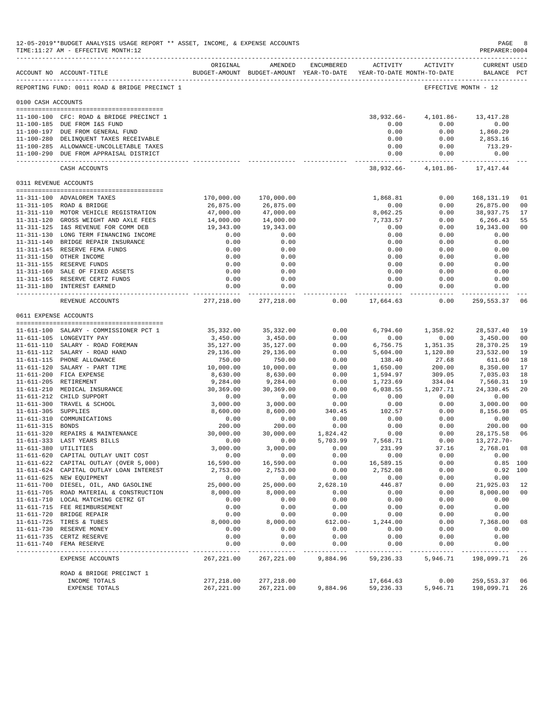|                     | 12-05-2019**BUDGET ANALYSIS USAGE REPORT ** ASSET, INCOME, & EXPENSE ACCOUNTS<br>TIME:11:27 AM - EFFECTIVE MONTH:12 |                           |                           |                |                                                                                 |                              | PAGE<br>PREPARER: 0004             | 8                    |
|---------------------|---------------------------------------------------------------------------------------------------------------------|---------------------------|---------------------------|----------------|---------------------------------------------------------------------------------|------------------------------|------------------------------------|----------------------|
|                     | ACCOUNT NO ACCOUNT-TITLE                                                                                            | ORIGINAL                  | AMENDED                   | ENCUMBERED     | ACTIVITY<br>BUDGET-AMOUNT BUDGET-AMOUNT YEAR-TO-DATE YEAR-TO-DATE MONTH-TO-DATE | ACTIVITY                     | <b>CURRENT USED</b><br>BALANCE PCT |                      |
|                     | REPORTING FUND: 0011 ROAD & BRIDGE PRECINCT 1                                                                       |                           |                           |                |                                                                                 |                              | EFFECTIVE MONTH - 12               |                      |
| 0100 CASH ACCOUNTS  |                                                                                                                     |                           |                           |                |                                                                                 |                              |                                    |                      |
|                     |                                                                                                                     |                           |                           |                |                                                                                 |                              |                                    |                      |
|                     | 11-100-100 CFC: ROAD & BRIDGE PRECINCT 1<br>11-100-185 DUE FROM I&S FUND                                            |                           |                           |                | $38,932.66 -$<br>0.00                                                           | 4,101.86-<br>0.00            | 13, 417. 28<br>0.00                |                      |
|                     | 11-100-197 DUE FROM GENERAL FUND                                                                                    |                           |                           |                | 0.00                                                                            | 0.00                         | 1,860.29                           |                      |
|                     | 11-100-280 DELINQUENT TAXES RECEIVABLE                                                                              |                           |                           |                | 0.00                                                                            | 0.00                         | 2,853.16                           |                      |
|                     | 11-100-285 ALLOWANCE-UNCOLLETABLE TAXES                                                                             |                           |                           |                | 0.00                                                                            | 0.00                         | 713.29-                            |                      |
|                     | 11-100-290 DUE FROM APPRAISAL DISTRICT<br>_____________________________                                             |                           |                           |                | 0.00<br>------------- -                                                         | 0.00<br>.                    | 0.00<br>-------------              |                      |
|                     | CASH ACCOUNTS                                                                                                       |                           |                           |                |                                                                                 | 38,932.66-4,101.86-17,417.44 |                                    |                      |
|                     | 0311 REVENUE ACCOUNTS                                                                                               |                           |                           |                |                                                                                 |                              |                                    |                      |
|                     | 11-311-100 ADVALOREM TAXES                                                                                          | 170,000.00                | 170,000.00                |                | 1,868.81                                                                        | 0.00                         | 168,131.19                         | 01                   |
|                     | 11-311-105 ROAD & BRIDGE                                                                                            | 26,875.00                 | 26,875.00                 |                | 0.00                                                                            | 0.00                         | 26,875.00                          | 0 <sub>0</sub>       |
|                     | 11-311-110 MOTOR VEHICLE REGISTRATION                                                                               | 47,000.00                 | 47,000.00                 |                | 8,062.25                                                                        | 0.00                         | 38,937.75                          | 17                   |
|                     | 11-311-120 GROSS WEIGHT AND AXLE FEES                                                                               | 14,000.00                 | 14,000.00                 |                | 7,733.57                                                                        | 0.00                         | 6,266.43                           | 55                   |
|                     | 11-311-125 I&S REVENUE FOR COMM DEB                                                                                 | 19,343.00                 | 19,343.00                 |                | 0.00                                                                            | 0.00                         | 19,343.00                          | 0 <sub>0</sub>       |
|                     | 11-311-130 LONG TERM FINANCING INCOME                                                                               | 0.00                      | 0.00                      |                | 0.00                                                                            | 0.00                         | 0.00                               |                      |
|                     | 11-311-140 BRIDGE REPAIR INSURANCE                                                                                  | 0.00                      | 0.00                      |                | 0.00                                                                            | 0.00                         | 0.00                               |                      |
|                     | 11-311-145 RESERVE FEMA FUNDS                                                                                       | 0.00                      | 0.00                      |                | 0.00                                                                            | 0.00                         | 0.00                               |                      |
|                     | 11-311-150 OTHER INCOME<br>11-311-155 RESERVE FUNDS                                                                 | 0.00<br>0.00              | 0.00<br>0.00              |                | 0.00<br>0.00                                                                    | 0.00<br>0.00                 | 0.00<br>0.00                       |                      |
|                     | 11-311-160 SALE OF FIXED ASSETS                                                                                     | 0.00                      | 0.00                      |                | 0.00                                                                            | 0.00                         | 0.00                               |                      |
|                     | 11-311-165 RESERVE CERTZ FUNDS                                                                                      | 0.00                      | 0.00                      |                | 0.00                                                                            | 0.00                         | 0.00                               |                      |
|                     | 11-311-180 INTEREST EARNED                                                                                          | 0.00                      | 0.00<br>.                 |                | 0.00<br>------------                                                            | 0.00                         | 0.00<br>-----------                |                      |
|                     | REVENUE ACCOUNTS                                                                                                    | 277,218.00                | 277,218.00                | 0.00           | 17,664.63                                                                       | -----<br>0.00                | 259,553.37                         | 06                   |
|                     | 0611 EXPENSE ACCOUNTS                                                                                               |                           |                           |                |                                                                                 |                              |                                    |                      |
|                     |                                                                                                                     |                           |                           |                |                                                                                 |                              |                                    |                      |
|                     | 11-611-100 SALARY - COMMISSIONER PCT 1                                                                              | 35,332.00                 | 35,332.00                 | 0.00           | 6,794.60                                                                        | 1,358.92                     | 28,537.40                          | 19                   |
|                     | 11-611-105 LONGEVITY PAY                                                                                            | 3,450.00                  | 3,450.00                  | 0.00           | 0.00                                                                            | 0.00                         | 3,450.00                           | 0 <sub>0</sub>       |
|                     | 11-611-110 SALARY - ROAD FOREMAN<br>11-611-112 SALARY - ROAD HAND                                                   | 35,127.00<br>29,136.00    | 35,127.00<br>29,136.00    | 0.00<br>0.00   | 6,756.75<br>5,604.00                                                            | 1,351.35<br>1,120.80         | 28,370.25<br>23,532.00             | 19<br>19             |
|                     | 11-611-115 PHONE ALLOWANCE                                                                                          | 750.00                    | 750.00                    | 0.00           | 138.40                                                                          | 27.68                        | 611.60                             | 18                   |
|                     | 11-611-120 SALARY - PART TIME                                                                                       | 10,000.00                 | 10,000.00                 | 0.00           | 1,650.00                                                                        | 200.00                       | 8,350.00                           | 17                   |
|                     | 11-611-200 FICA EXPENSE                                                                                             | 8,630.00                  | 8,630.00                  | 0.00           | 1,594.97                                                                        | 309.05                       | 7,035.03                           | 18                   |
|                     | 11-611-205 RETIREMENT                                                                                               | 9,284.00                  | 9,284.00                  | 0.00           | 1,723.69                                                                        | 334.04                       | 7,560.31                           | 19                   |
|                     | 11-611-210 MEDICAL INSURANCE                                                                                        | 30,369.00                 | 30,369.00                 | 0.00           | 6,038.55                                                                        | 1,207.71                     | 24,330.45                          | 20                   |
|                     | 11-611-212 CHILD SUPPORT                                                                                            | 0.00                      | 0.00                      | 0.00           | 0.00                                                                            | 0.00                         | 0.00                               |                      |
| 11-611-305 SUPPLIES | 11-611-300 TRAVEL & SCHOOL                                                                                          | 3,000.00                  | 3,000.00                  | 0.00           | 0.00                                                                            | 0.00                         | 3,000.00<br>8,156.98               | 0 <sub>0</sub><br>05 |
|                     | 11-611-310 COMMUNICATIONS                                                                                           | 8,600.00<br>0.00          | 8,600.00<br>0.00          | 340.45<br>0.00 | 102.57<br>0.00                                                                  | 0.00<br>0.00                 | 0.00                               |                      |
| 11-611-315 BONDS    |                                                                                                                     | 200.00                    | 200.00                    | 0.00           | 0.00                                                                            | 0.00                         | 200.00                             | 0 <sub>0</sub>       |
|                     | 11-611-320 REPAIRS & MAINTENANCE                                                                                    | 30,000.00                 | 30,000.00                 | 1,824.42       | 0.00                                                                            | 0.00                         | 28, 175.58                         | 06                   |
|                     | 11-611-333 LAST YEARS BILLS                                                                                         | 0.00                      | 0.00                      | 5,703.99       | 7,568.71                                                                        | 0.00                         | 13, 272. 70-                       |                      |
|                     | 11-611-380 UTILITIES                                                                                                | 3,000.00                  | 3,000.00                  | 0.00           | 231.99                                                                          | 37.16                        | 2,768.01 08                        |                      |
|                     | 11-611-620 CAPITAL OUTLAY UNIT COST                                                                                 | 0.00                      | 0.00                      | 0.00           | 0.00                                                                            | 0.00                         | 0.00                               |                      |
|                     | 11-611-622 CAPITAL OUTLAY (OVER 5,000)                                                                              | 16,590.00                 | 16,590.00                 | 0.00           | 16,589.15                                                                       | 0.00                         |                                    | $0.85$ 100           |
|                     | 11-611-624 CAPITAL OUTLAY LOAN INTEREST<br>11-611-625 NEW EQUIPMENT                                                 | 2,753.00<br>0.00          | 2,753.00<br>0.00          | 0.00<br>0.00   | 2,752.08<br>0.00                                                                | 0.00<br>0.00                 | 0.00                               | 0.92 100             |
|                     | 11-611-700 DIESEL, OIL, AND GASOLINE                                                                                | 25,000.00                 | 25,000.00                 | 2,628.10       | 446.87                                                                          | 0.00                         | 21,925.03                          | 12                   |
|                     | 11-611-705 ROAD MATERIAL & CONSTRUCTION                                                                             | 8,000.00                  | 8,000.00                  | 0.00           | 0.00                                                                            | 0.00                         | 8,000.00                           | 00                   |
|                     | 11-611-710 LOCAL MATCHING CETRZ GT                                                                                  | 0.00                      | 0.00                      | 0.00           | 0.00                                                                            | 0.00                         | 0.00                               |                      |
|                     | 11-611-715 FEE REIMBURSEMENT                                                                                        | 0.00                      | 0.00                      | 0.00           | 0.00                                                                            | 0.00                         | 0.00                               |                      |
|                     | 11-611-720 BRIDGE REPAIR                                                                                            | 0.00                      | 0.00                      | 0.00           | 0.00                                                                            | 0.00                         | 0.00                               |                      |
|                     | 11-611-725 TIRES & TUBES                                                                                            | 8,000.00                  | 8,000.00                  | $612.00 -$     | 1,244.00                                                                        | 0.00                         | 7,368.00                           | 08                   |
|                     | 11-611-730 RESERVE MONEY                                                                                            | 0.00                      | 0.00                      | 0.00           | 0.00                                                                            | 0.00                         | 0.00                               |                      |
|                     | 11-611-735 CERTZ RESERVE<br>11-611-740 FEMA RESERVE                                                                 | 0.00                      | 0.00                      | 0.00<br>0.00   | 0.00<br>0.00                                                                    | 0.00<br>0.00                 | 0.00                               |                      |
|                     |                                                                                                                     | 0.00<br>-----------       | 0.00<br>-------           | -------        | $- - - - - - -$                                                                 | -----                        | 0.00<br>-------                    |                      |
|                     | EXPENSE ACCOUNTS                                                                                                    | 267, 221.00               | 267, 221.00               | 9,884.96       | 59,236.33                                                                       | 5,946.71                     | 198,099.71                         | 26                   |
|                     | ROAD & BRIDGE PRECINCT 1                                                                                            |                           |                           |                |                                                                                 |                              |                                    |                      |
|                     | INCOME TOTALS<br>EXPENSE TOTALS                                                                                     | 277,218.00<br>267, 221.00 | 277,218.00<br>267, 221.00 | 9,884.96       | 17,664.63<br>59,236.33                                                          | 0.00<br>5,946.71             | 259,553.37<br>198,099.71           | 06<br>26             |
|                     |                                                                                                                     |                           |                           |                |                                                                                 |                              |                                    |                      |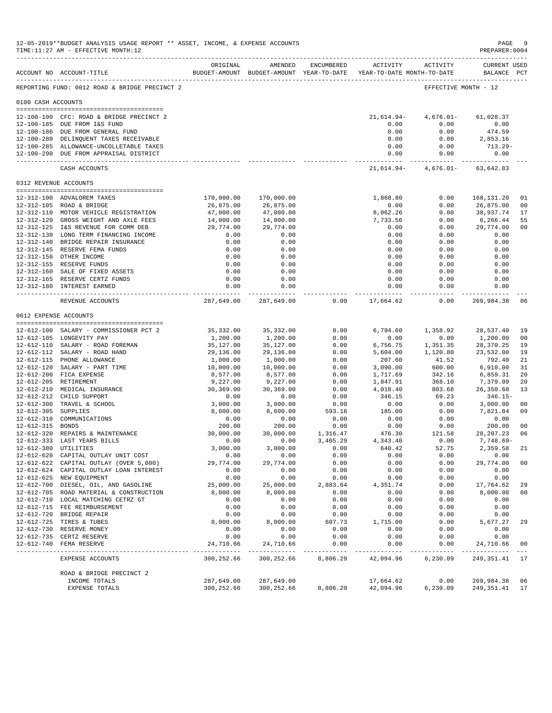|                       | 12-05-2019**BUDGET ANALYSIS USAGE REPORT ** ASSET, INCOME, & EXPENSE ACCOUNTS<br>TIME:11:27 AM - EFFECTIVE MONTH:12 |                             |                             |                          |                                                                                 |                                               | PAGE<br>PREPARER: 0004             | -9                   |
|-----------------------|---------------------------------------------------------------------------------------------------------------------|-----------------------------|-----------------------------|--------------------------|---------------------------------------------------------------------------------|-----------------------------------------------|------------------------------------|----------------------|
|                       | ACCOUNT NO ACCOUNT-TITLE                                                                                            | ORIGINAL                    | AMENDED                     | ENCUMBERED               | ACTIVITY<br>BUDGET-AMOUNT BUDGET-AMOUNT YEAR-TO-DATE YEAR-TO-DATE MONTH-TO-DATE | ACTIVITY                                      | <b>CURRENT USED</b><br>BALANCE PCT |                      |
|                       | REPORTING FUND: 0012 ROAD & BRIDGE PRECINCT 2                                                                       |                             |                             |                          |                                                                                 | EFFECTIVE MONTH - 12                          |                                    |                      |
| 0100 CASH ACCOUNTS    |                                                                                                                     |                             |                             |                          |                                                                                 |                                               |                                    |                      |
|                       | 12-100-100 CFC: ROAD & BRIDGE PRECINCT 2                                                                            |                             |                             |                          |                                                                                 | 21,614.94- 4,676.01- 61,028.37                |                                    |                      |
|                       | 12-100-185 DUE FROM I&S FUND                                                                                        |                             |                             |                          | 0.00                                                                            | 0.00                                          | 0.00                               |                      |
|                       | 12-100-186 DUE FROM GENERAL FUND                                                                                    |                             |                             |                          | 0.00                                                                            | 0.00                                          | 474.59                             |                      |
|                       | 12-100-280 DELINQUENT TAXES RECEIVABLE                                                                              |                             |                             |                          | 0.00                                                                            | 0.00                                          | 2,853.16                           |                      |
|                       | 12-100-285 ALLOWANCE-UNCOLLETABLE TAXES<br>12-100-290 DUE FROM APPRAISAL DISTRICT                                   |                             |                             |                          | 0.00<br>0.00                                                                    | 0.00<br>0.00                                  | $713.29 -$<br>0.00                 |                      |
|                       | CASH ACCOUNTS                                                                                                       |                             |                             |                          | ------------ -                                                                  | -----------<br>21,614.94- 4,676.01- 63,642.83 |                                    |                      |
| 0312 REVENUE ACCOUNTS |                                                                                                                     |                             |                             |                          |                                                                                 |                                               |                                    |                      |
|                       | 12-312-100 ADVALOREM TAXES                                                                                          | 170,000.00                  | 170,000.00                  |                          | 1,868.80                                                                        | 0.00                                          | 168,131.20                         | 01                   |
|                       | 12-312-105 ROAD & BRIDGE                                                                                            | 26,875.00                   | 26,875.00                   |                          | 0.00                                                                            | 0.00                                          | 26,875.00                          | 0 <sub>0</sub>       |
|                       | 12-312-110 MOTOR VEHICLE REGISTRATION                                                                               | 47,000.00                   | 47,000.00                   |                          | 8,062.26                                                                        | 0.00                                          | 38,937.74                          | 17                   |
|                       | 12-312-120 GROSS WEIGHT AND AXLE FEES                                                                               | 14,000.00                   | 14,000.00                   |                          | 7,733.56                                                                        | 0.00                                          | 6,266.44                           | 55                   |
|                       | 12-312-125 I&S REVENUE FOR COMM DEB                                                                                 | 29,774.00                   | 29,774.00                   |                          | 0.00                                                                            | 0.00                                          | 29,774.00                          | 00                   |
|                       | 12-312-130 LONG TERM FINANCING INCOME                                                                               | 0.00                        | 0.00                        |                          | 0.00                                                                            | 0.00                                          | 0.00                               |                      |
|                       | 12-312-140 BRIDGE REPAIR INSURANCE                                                                                  | 0.00                        | 0.00                        |                          | 0.00                                                                            | 0.00                                          | 0.00                               |                      |
|                       | 12-312-145 RESERVE FEMA FUNDS                                                                                       | 0.00                        | 0.00                        |                          | 0.00                                                                            | 0.00                                          | 0.00                               |                      |
|                       | 12-312-150 OTHER INCOME<br>12-312-155 RESERVE FUNDS                                                                 | 0.00<br>0.00                | 0.00<br>0.00                |                          | 0.00<br>0.00                                                                    | 0.00<br>0.00                                  | 0.00<br>0.00                       |                      |
|                       | 12-312-160 SALE OF FIXED ASSETS                                                                                     | 0.00                        | 0.00                        |                          | 0.00                                                                            | 0.00                                          | 0.00                               |                      |
|                       | 12-312-165 RESERVE CERTZ FUNDS                                                                                      | 0.00                        | 0.00                        |                          | 0.00                                                                            | 0.00                                          | 0.00                               |                      |
|                       | 12-312-180 INTEREST EARNED                                                                                          | 0.00<br>--------            | 0.00                        |                          | 0.00                                                                            | 0.00                                          | 0.00                               |                      |
|                       | REVENUE ACCOUNTS                                                                                                    |                             | 287,649.00 287,649.00       | 0.00                     | 17,664.62                                                                       | 0.00                                          | 269,984.38                         | 06                   |
| 0612 EXPENSE ACCOUNTS |                                                                                                                     |                             |                             |                          |                                                                                 |                                               |                                    |                      |
|                       |                                                                                                                     |                             |                             |                          |                                                                                 |                                               |                                    |                      |
|                       | 12-612-100 SALARY - COMMISSIONER PCT 2<br>12-612-105 LONGEVITY PAY                                                  | 35,332.00<br>1,200.00       | 35,332.00<br>1,200.00       | 0.00<br>0.00             | 6,794.60<br>0.00                                                                | 1,358.92<br>0.00                              | 28,537.40<br>1,200.00              | 19<br>0 <sub>0</sub> |
|                       | 12-612-110 SALARY - ROAD FOREMAN                                                                                    | 35,127.00                   | 35,127.00                   | 0.00                     | 6,756.75                                                                        | 1,351.35                                      | 28,370.25                          | 19                   |
|                       | 12-612-112 SALARY - ROAD HAND                                                                                       | 29,136.00                   | 29,136.00                   | 0.00                     | 5,604.00                                                                        | 1,120.80                                      | 23,532.00                          | 19                   |
|                       | 12-612-115 PHONE ALLOWANCE                                                                                          | 1,000.00                    | 1,000.00                    | 0.00                     | 207.60                                                                          | 41.52                                         | 792.40                             | 21                   |
|                       | 12-612-120 SALARY - PART TIME                                                                                       | 10,000.00                   | 10,000.00                   | 0.00                     | 3,090.00                                                                        | 600.00                                        | 6,910.00                           | 31                   |
|                       | 12-612-200 FICA EXPENSE                                                                                             | 8,577.00                    | 8,577.00                    | 0.00                     | 1,717.69                                                                        | 342.16                                        | 6,859.31                           | 20                   |
|                       | 12-612-205 RETIREMENT                                                                                               | 9,227.00                    | 9,227.00                    | 0.00                     | 1,847.91                                                                        | 368.10                                        | 7,379.09                           | 20                   |
|                       | 12-612-210 MEDICAL INSURANCE<br>12-612-212 CHILD SUPPORT                                                            | 30,369.00<br>0.00           | 30,369.00<br>0.00           | 0.00<br>0.00             | 4,018.40<br>346.15                                                              | 803.68<br>69.23                               | 26,350.60<br>$346.15-$             | 13                   |
|                       | 12-612-300 TRAVEL & SCHOOL                                                                                          | 3,000.00                    | 3,000.00                    | 0.00                     | 0.00                                                                            | 0.00                                          | 3,000.00                           | 00                   |
| 12-612-305 SUPPLIES   |                                                                                                                     | 8,600.00                    | 8,600.00                    | 593.16                   | 185.00                                                                          | 0.00                                          | 7,821.84                           | 09                   |
|                       | 12-612-310 COMMUNICATIONS                                                                                           | 0.00                        | 0.00                        | 0.00                     | 0.00                                                                            | 0.00                                          | 0.00                               |                      |
| 12-612-315 BONDS      |                                                                                                                     | 200.00                      | 200.00                      | 0.00                     | 0.00                                                                            | 0.00                                          | 200.00                             | 0 <sub>0</sub>       |
|                       | 12-612-320 REPAIRS & MAINTENANCE                                                                                    | 30,000.00                   | 30,000.00                   | 1,316.47                 | 476.30                                                                          | 121.58                                        | 28, 207. 23                        | 06                   |
|                       | 12-612-333 LAST YEARS BILLS                                                                                         | 0.00                        | 0.00                        | 3,405.29                 | 4,343.40                                                                        | 0.00                                          | 7,748.69-                          |                      |
| 12-612-380 UTILITIES  |                                                                                                                     | 3,000.00                    | 3,000.00                    | 0.00                     | 640.42                                                                          | 52.75                                         | 2,359.58                           | 21                   |
|                       | 12-612-620 CAPITAL OUTLAY UNIT COST<br>12-612-622 CAPITAL OUTLAY (OVER 5,000)                                       | 0.00<br>29,774.00           | 0.00<br>29,774.00           | 0.00<br>0.00             | 0.00<br>0.00                                                                    | 0.00<br>0.00                                  | 0.00<br>29,774.00                  |                      |
|                       | 12-612-624 CAPITAL OUTLAY LOAN INTEREST                                                                             | 0.00                        | 0.00                        | 0.00                     | 0.00                                                                            | 0.00                                          | 0.00                               | 0 <sub>0</sub>       |
|                       | 12-612-625 NEW EQUIPMENT                                                                                            | 0.00                        | 0.00                        | 0.00                     | 0.00                                                                            | 0.00                                          | 0.00                               |                      |
|                       | 12-612-700 DIESEL, OIL, AND GASOLINE                                                                                | 25,000.00                   | 25,000.00                   | 2,883.64                 | 4,351.74                                                                        | 0.00                                          | 17,764.62                          | 29                   |
|                       | 12-612-705 ROAD MATERIAL & CONSTRUCTION                                                                             | 8,000.00                    | 8,000.00                    | 0.00                     | 0.00                                                                            | 0.00                                          | 8,000.00                           | 0 <sub>0</sub>       |
|                       | 12-612-710 LOCAL MATCHING CETRZ GT                                                                                  | 0.00                        | 0.00                        | 0.00                     | 0.00                                                                            | 0.00                                          | 0.00                               |                      |
|                       | 12-612-715 FEE REIMBURSEMENT                                                                                        | 0.00                        | 0.00                        | 0.00                     | 0.00                                                                            | 0.00                                          | 0.00                               |                      |
|                       | 12-612-720 BRIDGE REPAIR                                                                                            | 0.00                        | 0.00                        | 0.00                     | 0.00                                                                            | 0.00                                          | 0.00                               |                      |
|                       | 12-612-725 TIRES & TUBES                                                                                            | 8,000.00                    | 8,000.00                    | 607.73                   | 1,715.00                                                                        | 0.00                                          | 5,677.27                           | 29                   |
|                       | 12-612-730 RESERVE MONEY<br>12-612-735 CERTZ RESERVE                                                                | 0.00<br>0.00                | 0.00<br>0.00                | 0.00<br>0.00             | 0.00<br>0.00                                                                    | 0.00<br>0.00                                  | 0.00<br>0.00                       |                      |
|                       | 12-612-740 FEMA RESERVE                                                                                             | 24,710.66                   | 24,710.66                   | 0.00                     | 0.00                                                                            | 0.00                                          | 24,710.66                          | 0 <sub>0</sub>       |
|                       | EXPENSE ACCOUNTS                                                                                                    | _____________<br>300,252.66 | -------------<br>300,252.66 | ------------<br>8,806.29 | --------<br>42,094.96                                                           | $- - - - -$<br>6,230.09                       | -------------<br>249,351.41        | 17                   |
|                       |                                                                                                                     |                             |                             |                          |                                                                                 |                                               |                                    |                      |
|                       | ROAD & BRIDGE PRECINCT 2<br>INCOME TOTALS                                                                           | 287,649.00                  | 287,649.00                  |                          | 17,664.62                                                                       | 0.00                                          | 269,984.38                         | 06                   |
|                       | EXPENSE TOTALS                                                                                                      | 300,252.66                  | 300,252.66                  | 8,806.29                 | 42,094.96                                                                       | 6,230.09                                      | 249,351.41                         | 17                   |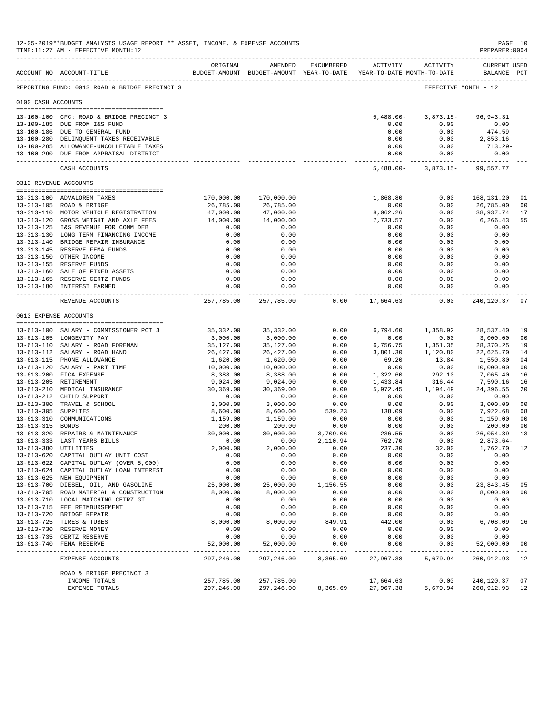|                       | 12-05-2019**BUDGET ANALYSIS USAGE REPORT ** ASSET, INCOME, & EXPENSE ACCOUNTS<br>TIME:11:27 AM - EFFECTIVE MONTH:12 |                         |                          |                       |                                                                                 |                       | PAGE 10<br>PREPARER: 0004          |                |
|-----------------------|---------------------------------------------------------------------------------------------------------------------|-------------------------|--------------------------|-----------------------|---------------------------------------------------------------------------------|-----------------------|------------------------------------|----------------|
|                       | ------------------------------------<br>ACCOUNT NO ACCOUNT-TITLE                                                    | ORIGINAL                | AMENDED                  | ENCUMBERED            | ACTIVITY<br>BUDGET-AMOUNT BUDGET-AMOUNT YEAR-TO-DATE YEAR-TO-DATE MONTH-TO-DATE | ACTIVITY              | <b>CURRENT USED</b><br>BALANCE PCT |                |
|                       | REPORTING FUND: 0013 ROAD & BRIDGE PRECINCT 3                                                                       |                         |                          |                       |                                                                                 | EFFECTIVE MONTH - 12  |                                    |                |
| 0100 CASH ACCOUNTS    |                                                                                                                     |                         |                          |                       |                                                                                 |                       |                                    |                |
|                       |                                                                                                                     |                         |                          |                       |                                                                                 |                       |                                    |                |
|                       | 13-100-100 CFC: ROAD & BRIDGE PRECINCT 3                                                                            |                         |                          |                       | $5,488.00 -$                                                                    | $3,873.15-$           | 96, 943. 31                        |                |
|                       | 13-100-185 DUE FROM I&S FUND                                                                                        |                         |                          |                       | 0.00<br>0.00                                                                    | 0.00<br>0.00          | 0.00<br>474.59                     |                |
|                       | 13-100-186 DUE TO GENERAL FUND<br>13-100-280 DELINQUENT TAXES RECEIVABLE                                            |                         |                          |                       | 0.00                                                                            | 0.00                  | 2,853.16                           |                |
|                       | 13-100-285 ALLOWANCE-UNCOLLETABLE TAXES                                                                             |                         |                          |                       | 0.00                                                                            | 0.00                  | $713.29-$                          |                |
|                       | 13-100-290 DUE FROM APPRAISAL DISTRICT                                                                              |                         |                          |                       | 0.00                                                                            | 0.00                  | 0.00<br>-------------              |                |
|                       | CASH ACCOUNTS                                                                                                       |                         |                          |                       | ------------- -<br>$5,488.00 -$                                                 | 3,873.15-             | 99,557.77                          |                |
| 0313 REVENUE ACCOUNTS |                                                                                                                     |                         |                          |                       |                                                                                 |                       |                                    |                |
|                       | 13-313-100 ADVALOREM TAXES                                                                                          | 170,000.00              | 170,000.00               |                       | 1,868.80                                                                        | 0.00                  | 168,131.20                         | 01             |
|                       | 13-313-105 ROAD & BRIDGE                                                                                            | 26,785.00               | 26,785.00                |                       | 0.00                                                                            | 0.00                  | 26,785.00                          | 00             |
|                       | 13-313-110 MOTOR VEHICLE REGISTRATION                                                                               | 47,000.00               | 47,000.00                |                       | 8,062.26                                                                        | 0.00                  | 38,937.74                          | 17             |
|                       | 13-313-120 GROSS WEIGHT AND AXLE FEES                                                                               | 14,000.00               | 14,000.00                |                       | 7,733.57                                                                        | 0.00                  | 6,266.43                           | 55             |
|                       | 13-313-125 I&S REVENUE FOR COMM DEB                                                                                 | 0.00                    | 0.00                     |                       | 0.00                                                                            | 0.00                  | 0.00                               |                |
|                       | 13-313-130 LONG TERM FINANCING INCOME                                                                               | 0.00                    | 0.00                     |                       | 0.00                                                                            | 0.00                  | 0.00                               |                |
|                       | 13-313-140 BRIDGE REPAIR INSURANCE                                                                                  | 0.00                    | 0.00                     |                       | 0.00                                                                            | 0.00                  | 0.00                               |                |
|                       | 13-313-145 RESERVE FEMA FUNDS                                                                                       | 0.00                    | 0.00                     |                       | 0.00                                                                            | 0.00                  | 0.00                               |                |
|                       | 13-313-150 OTHER INCOME                                                                                             | 0.00                    | 0.00                     |                       | 0.00                                                                            | 0.00                  | 0.00                               |                |
|                       | 13-313-155 RESERVE FUNDS                                                                                            | 0.00                    | 0.00                     |                       | 0.00                                                                            | 0.00                  | 0.00                               |                |
|                       | 13-313-160 SALE OF FIXED ASSETS                                                                                     | 0.00                    | 0.00                     |                       | 0.00                                                                            | 0.00                  | 0.00                               |                |
|                       | 13-313-165 RESERVE CERTZ FUNDS                                                                                      | 0.00                    | 0.00                     |                       | 0.00                                                                            | 0.00                  | 0.00                               |                |
|                       | 13-313-180 INTEREST EARNED                                                                                          | 0.00<br>--------------  | 0.00<br>-------------    |                       | 0.00<br>.                                                                       | 0.00<br>----------    | 0.00<br>-----------                |                |
|                       | REVENUE ACCOUNTS                                                                                                    | 257,785.00              | 257,785.00               | 0.00                  | 17,664.63                                                                       | 0.00                  | 240,120.37                         | 07             |
| 0613 EXPENSE ACCOUNTS |                                                                                                                     |                         |                          |                       |                                                                                 |                       |                                    |                |
|                       |                                                                                                                     |                         |                          |                       |                                                                                 |                       |                                    |                |
|                       | 13-613-100 SALARY - COMMISSIONER PCT 3                                                                              | 35,332.00               | 35, 332.00               | 0.00                  | 6,794.60                                                                        | 1,358.92              | 28,537.40                          | 19             |
|                       | 13-613-105 LONGEVITY PAY<br>13-613-110 SALARY - ROAD FOREMAN                                                        | 3,000.00<br>35,127.00   | 3,000.00<br>35,127.00    | 0.00<br>0.00          | 0.00<br>6,756.75                                                                | 0.00<br>1,351.35      | 3,000.00<br>28,370.25              | 00<br>19       |
|                       | 13-613-112 SALARY - ROAD HAND                                                                                       | 26,427.00               | 26,427.00                | 0.00                  | 3,801.30                                                                        | 1,120.80              | 22,625.70                          | 14             |
|                       | 13-613-115 PHONE ALLOWANCE                                                                                          | 1,620.00                | 1,620.00                 | 0.00                  | 69.20                                                                           | 13.84                 | 1,550.80                           | 04             |
|                       | 13-613-120 SALARY - PART TIME                                                                                       | 10,000.00               | 10,000.00                | 0.00                  | 0.00                                                                            | 0.00                  | 10,000.00                          | 00             |
|                       | 13-613-200 FICA EXPENSE                                                                                             | 8,388.00                | 8,388.00                 | 0.00                  | 1,322.60                                                                        | 292.10                | 7,065.40                           | 16             |
|                       | 13-613-205 RETIREMENT                                                                                               | 9,024.00                | 9,024.00                 | 0.00                  | 1,433.84                                                                        | 316.44                | 7,590.16                           | 16             |
|                       | 13-613-210 MEDICAL INSURANCE                                                                                        | 30,369.00               | 30,369.00                | 0.00                  | 5,972.45                                                                        | 1,194.49              | 24,396.55                          | 20             |
|                       | 13-613-212 CHILD SUPPORT                                                                                            | 0.00                    | 0.00                     | 0.00                  | 0.00                                                                            | 0.00                  | 0.00                               |                |
|                       | 13-613-300 TRAVEL & SCHOOL                                                                                          | 3,000.00                | 3,000.00                 | 0.00                  | 0.00                                                                            | 0.00                  | 3,000.00                           | 0 <sub>0</sub> |
| 13-613-305 SUPPLIES   |                                                                                                                     | 8,600.00                | 8,600.00                 | 539.23                | 138.09                                                                          | 0.00                  | 7,922.68                           | 08             |
| $13 - 613 - 310$      | COMMUNICATIONS                                                                                                      | 1,159.00                | 1,159.00                 | 0.00                  | 0.00                                                                            | 0.00                  | 1,159.00                           | 00             |
| $13 - 613 - 315$      | <b>BONDS</b>                                                                                                        | 200.00                  | 200.00                   | 0.00                  | 0.00                                                                            | 0.00                  | 200.00                             | 00             |
|                       | 13-613-320 REPAIRS & MAINTENANCE                                                                                    | 30,000.00               | 30,000.00                | 3,709.06              | 236.55                                                                          | 0.00                  | 26,054.39                          | 13             |
|                       | 13-613-333 LAST YEARS BILLS                                                                                         | 0.00                    | 0.00                     | 2,110.94              | 762.70                                                                          | 0.00                  | $2,873.64-$                        |                |
|                       | 13-613-380 UTILITIES<br>13-613-620 CAPITAL OUTLAY UNIT COST                                                         | 2,000.00<br>0.00        | 2,000.00<br>0.00         | 0.00<br>0.00          | 237.30<br>0.00                                                                  | 32.00<br>0.00         | 1,762.70<br>0.00                   | 12             |
|                       | 13-613-622 CAPITAL OUTLAY (OVER 5,000)                                                                              | 0.00                    | 0.00                     | 0.00                  | 0.00                                                                            | 0.00                  | 0.00                               |                |
|                       | 13-613-624 CAPITAL OUTLAY LOAN INTEREST                                                                             | 0.00                    | 0.00                     | 0.00                  | 0.00                                                                            | 0.00                  | 0.00                               |                |
|                       | 13-613-625 NEW EQUIPMENT                                                                                            | 0.00                    | 0.00                     | 0.00                  | 0.00                                                                            | 0.00                  | 0.00                               |                |
|                       | 13-613-700 DIESEL, OIL, AND GASOLINE                                                                                | 25,000.00               | 25,000.00                | 1,156.55              | 0.00                                                                            | 0.00                  | 23,843.45                          | 05             |
|                       | 13-613-705 ROAD MATERIAL & CONSTRUCTION                                                                             | 8,000.00                | 8,000.00                 | 0.00                  | 0.00                                                                            | 0.00                  | 8,000.00                           | 00             |
|                       | 13-613-710 LOCAL MATCHING CETRZ GT                                                                                  | 0.00                    | 0.00                     | 0.00                  | 0.00                                                                            | 0.00                  | 0.00                               |                |
|                       | 13-613-715 FEE REIMBURSEMENT                                                                                        | 0.00                    | 0.00                     | 0.00                  | 0.00                                                                            | 0.00                  | 0.00                               |                |
|                       | 13-613-720 BRIDGE REPAIR                                                                                            | 0.00                    | 0.00                     | 0.00                  | 0.00                                                                            | 0.00                  | 0.00                               |                |
|                       | 13-613-725 TIRES & TUBES                                                                                            | 8,000.00                | 8,000.00                 | 849.91                | 442.00                                                                          | 0.00                  | 6,708.09                           | 16             |
|                       | 13-613-730 RESERVE MONEY                                                                                            | 0.00                    | 0.00                     | 0.00                  | 0.00                                                                            | 0.00                  | 0.00                               |                |
|                       | 13-613-735 CERTZ RESERVE                                                                                            | 0.00                    | 0.00                     | 0.00                  | 0.00                                                                            | 0.00                  | 0.00                               |                |
|                       | 13-613-740 FEMA RESERVE                                                                                             | 52,000.00<br>---------- | 52,000.00<br>----------- | 0.00<br>$- - - - - -$ | 0.00<br>$\frac{1}{2}$                                                           | 0.00<br>$- - - - - -$ | 52,000.00<br>-----------           | 00<br>$- - -$  |
|                       | EXPENSE ACCOUNTS                                                                                                    | 297,246.00              | 297,246.00               | 8,365.69              | 27,967.38                                                                       | 5,679.94              | 260,912.93                         | 12             |
|                       | ROAD & BRIDGE PRECINCT 3                                                                                            |                         |                          |                       |                                                                                 |                       |                                    |                |
|                       | INCOME TOTALS                                                                                                       | 257,785.00              | 257,785.00               |                       | 17,664.63                                                                       | 0.00                  | 240,120.37                         | 07             |
|                       | EXPENSE TOTALS                                                                                                      | 297,246.00              | 297,246.00               | 8,365.69              | 27,967.38                                                                       | 5,679.94              | 260,912.93                         | 12             |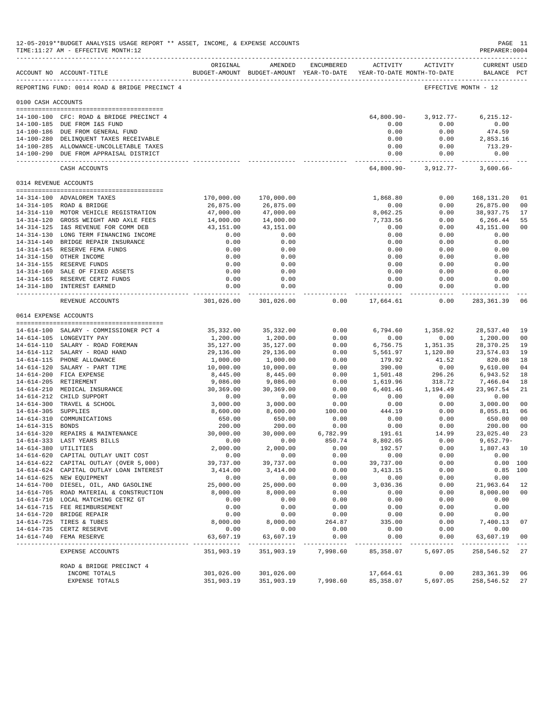|                       | 12-05-2019**BUDGET ANALYSIS USAGE REPORT ** ASSET, INCOME, & EXPENSE ACCOUNTS<br>TIME:11:27 AM - EFFECTIVE MONTH:12 |                       |                                                                                |                  |                               |                                     | PAGE 11<br>PREPARER: 0004          |                |
|-----------------------|---------------------------------------------------------------------------------------------------------------------|-----------------------|--------------------------------------------------------------------------------|------------------|-------------------------------|-------------------------------------|------------------------------------|----------------|
|                       | ACCOUNT NO ACCOUNT-TITLE                                                                                            | ORIGINAL              | AMENDED<br>BUDGET-AMOUNT BUDGET-AMOUNT YEAR-TO-DATE YEAR-TO-DATE MONTH-TO-DATE | ENCUMBERED       | ACTIVITY                      | ACTIVITY                            | <b>CURRENT USED</b><br>BALANCE PCT |                |
|                       | REPORTING FUND: 0014 ROAD & BRIDGE PRECINCT 4                                                                       |                       |                                                                                |                  |                               |                                     | EFFECTIVE MONTH - 12               |                |
| 0100 CASH ACCOUNTS    |                                                                                                                     |                       |                                                                                |                  |                               |                                     |                                    |                |
|                       | 14-100-100 CFC: ROAD & BRIDGE PRECINCT 4                                                                            |                       |                                                                                |                  | 64,800.90-                    | $3,912.77-$                         | $6, 215.12 -$                      |                |
|                       | 14-100-185 DUE FROM I&S FUND                                                                                        |                       |                                                                                |                  | 0.00                          | 0.00                                | 0.00                               |                |
|                       | 14-100-186 DUE FROM GENERAL FUND                                                                                    |                       |                                                                                |                  | 0.00                          | 0.00                                | 474.59                             |                |
|                       | 14-100-280 DELINQUENT TAXES RECEIVABLE                                                                              |                       |                                                                                |                  | 0.00                          | 0.00                                | 2,853.16                           |                |
|                       | 14-100-285 ALLOWANCE-UNCOLLETABLE TAXES                                                                             |                       |                                                                                |                  | 0.00                          | 0.00                                | 713.29-                            |                |
|                       | 14-100-290 DUE FROM APPRAISAL DISTRICT                                                                              |                       |                                                                                |                  | 0.00                          | 0.00<br>-------------- ------------ | 0.00<br>-----------                |                |
|                       | CASH ACCOUNTS                                                                                                       |                       |                                                                                |                  |                               | 64,800.90- 3,912.77-                | $3,600.66 -$                       |                |
| 0314 REVENUE ACCOUNTS |                                                                                                                     |                       |                                                                                |                  |                               |                                     |                                    |                |
|                       | 14-314-100 ADVALOREM TAXES                                                                                          | 170,000.00            | 170,000.00                                                                     |                  | 1,868.80                      | 0.00                                | 168,131.20                         | 01             |
|                       | 14-314-105 ROAD & BRIDGE                                                                                            | 26,875.00             | 26,875.00                                                                      |                  | 0.00                          | 0.00                                | 26,875.00                          | 00             |
|                       | 14-314-110 MOTOR VEHICLE REGISTRATION                                                                               | 47,000.00             | 47,000.00                                                                      |                  | 8,062.25                      | 0.00                                | 38,937.75                          | 17             |
|                       | 14-314-120 GROSS WEIGHT AND AXLE FEES                                                                               | 14,000.00             | 14,000.00                                                                      |                  | 7,733.56                      | 0.00                                | 6,266.44                           | 55             |
|                       | 14-314-125 I&S REVENUE FOR COMM DEB                                                                                 | 43,151.00             | 43,151.00                                                                      |                  | 0.00                          | 0.00                                | 43,151.00                          | 00             |
|                       | 14-314-130 LONG TERM FINANCING INCOME                                                                               | 0.00                  | 0.00                                                                           |                  | 0.00                          | 0.00                                | 0.00                               |                |
|                       | 14-314-140 BRIDGE REPAIR INSURANCE<br>14-314-145 RESERVE FEMA FUNDS                                                 | 0.00                  | 0.00                                                                           |                  | 0.00                          | 0.00                                | 0.00                               |                |
|                       | 14-314-150 OTHER INCOME                                                                                             | 0.00<br>0.00          | 0.00<br>0.00                                                                   |                  | 0.00<br>0.00                  | 0.00<br>0.00                        | 0.00<br>0.00                       |                |
|                       | 14-314-155 RESERVE FUNDS                                                                                            | 0.00                  | 0.00                                                                           |                  | 0.00                          | 0.00                                | 0.00                               |                |
|                       | 14-314-160 SALE OF FIXED ASSETS                                                                                     | 0.00                  | 0.00                                                                           |                  | 0.00                          | 0.00                                | 0.00                               |                |
|                       | 14-314-165 RESERVE CERTZ FUNDS                                                                                      | 0.00                  | 0.00                                                                           |                  | 0.00                          | 0.00                                | 0.00                               |                |
|                       | 14-314-180 INTEREST EARNED<br>--------------------------------                                                      | 0.00<br>-----------   | 0.00                                                                           |                  | 0.00<br>. _ _ _ _ _ _ _ _ _ _ | 0.00<br>$- - - - - -$               | 0.00                               |                |
|                       | REVENUE ACCOUNTS                                                                                                    | 301,026.00            | 301,026.00                                                                     | 0.00             | 17,664.61                     | 0.00                                | 283,361.39                         | 06             |
| 0614 EXPENSE ACCOUNTS |                                                                                                                     |                       |                                                                                |                  |                               |                                     |                                    |                |
|                       | 14-614-100 SALARY - COMMISSIONER PCT 4                                                                              | 35,332.00             | 35,332.00                                                                      | 0.00             | 6,794.60                      | 1,358.92                            | 28,537.40                          | 19             |
|                       | 14-614-105 LONGEVITY PAY                                                                                            | 1,200.00              | 1,200.00                                                                       | 0.00             | 0.00                          | 0.00                                | 1,200.00                           | 00             |
|                       | 14-614-110 SALARY - ROAD FOREMAN                                                                                    | 35,127.00             | 35,127.00                                                                      | 0.00             | 6,756.75                      | 1,351.35                            | 28,370.25                          | 19             |
|                       | 14-614-112 SALARY - ROAD HAND                                                                                       | 29,136.00             | 29,136.00                                                                      | 0.00             | 5,561.97                      | 1,120.80                            | 23,574.03                          | 19             |
|                       | 14-614-115 PHONE ALLOWANCE<br>14-614-120 SALARY - PART TIME                                                         | 1,000.00<br>10,000.00 | 1,000.00<br>10,000.00                                                          | 0.00<br>0.00     | 179.92<br>390.00              | 41.52<br>0.00                       | 820.08<br>9,610.00                 | 18<br>04       |
|                       | 14-614-200 FICA EXPENSE                                                                                             | 8,445.00              | 8,445.00                                                                       | 0.00             | 1,501.48                      | 296.26                              | 6,943.52                           | 18             |
|                       | 14-614-205 RETIREMENT                                                                                               | 9,086.00              | 9,086.00                                                                       | 0.00             | 1,619.96                      | 318.72                              | 7,466.04                           | 18             |
|                       | 14-614-210 MEDICAL INSURANCE                                                                                        | 30,369.00             | 30,369.00                                                                      | 0.00             | 6,401.46                      | 1,194.49                            | 23,967.54                          | 21             |
|                       | 14-614-212 CHILD SUPPORT                                                                                            | 0.00                  | 0.00                                                                           | 0.00             | 0.00                          | 0.00                                | 0.00                               |                |
|                       | 14-614-300 TRAVEL & SCHOOL                                                                                          | 3,000.00              | 3,000.00                                                                       | 0.00             | 0.00                          | 0.00                                | 3,000.00                           | 00             |
| 14-614-305 SUPPLIES   |                                                                                                                     | 8,600.00              | 8,600.00                                                                       | 100.00           | 444.19                        | 0.00                                | 8,055.81                           | 06             |
|                       | 14-614-310 COMMUNICATIONS                                                                                           | 650.00                | 650.00                                                                         | 0.00             | 0.00                          | 0.00                                | 650.00                             | 0 <sub>0</sub> |
| 14-614-315 BONDS      | 14-614-320 REPAIRS & MAINTENANCE                                                                                    | 200.00<br>30,000.00   | 200.00<br>30,000.00                                                            | 0.00<br>6,782.99 | 0.00<br>191.61                | 0.00<br>14.99                       | 200.00<br>23,025.40                | 00<br>23       |
|                       | 14-614-333 LAST YEARS BILLS                                                                                         | 0.00                  | 0.00                                                                           | 850.74           | 8,802.05                      | 0.00                                | $9,652.79-$                        |                |
| 14-614-380 UTILITIES  |                                                                                                                     | 2,000.00              | 2,000.00                                                                       | 0.00             | 192.57                        | 0.00                                | 1,807.43 10                        |                |
|                       | 14-614-620 CAPITAL OUTLAY UNIT COST                                                                                 | 0.00                  | 0.00                                                                           | 0.00             | 0.00                          | 0.00                                | 0.00                               |                |
|                       | 14-614-622 CAPITAL OUTLAY (OVER 5,000)                                                                              | 39,737.00             | 39,737.00                                                                      | 0.00             | 39,737.00                     | 0.00                                |                                    | 0.00 100       |
|                       | 14-614-624 CAPITAL OUTLAY LOAN INTEREST                                                                             | 3,414.00              | 3,414.00                                                                       | 0.00             | 3, 413.15                     | 0.00                                |                                    | $0.85$ 100     |
|                       | 14-614-625 NEW EQUIPMENT                                                                                            | 0.00                  | 0.00                                                                           | 0.00             | 0.00                          | 0.00                                | 0.00                               |                |
|                       | 14-614-700 DIESEL, OIL, AND GASOLINE                                                                                | 25,000.00             | 25,000.00                                                                      | 0.00             | 3,036.36                      | 0.00                                | 21,963.64                          | 12             |
|                       | 14-614-705 ROAD MATERIAL & CONSTRUCTION                                                                             | 8,000.00              | 8,000.00                                                                       | 0.00             | 0.00                          | 0.00                                | 8,000.00                           | 00             |
|                       | 14-614-710 LOCAL MATCHING CETRZ GT<br>14-614-715 FEE REIMBURSEMENT                                                  | 0.00<br>0.00          | 0.00<br>0.00                                                                   | 0.00<br>0.00     | 0.00<br>0.00                  | 0.00<br>0.00                        | 0.00<br>0.00                       |                |
|                       | 14-614-720 BRIDGE REPAIR                                                                                            | 0.00                  | 0.00                                                                           | 0.00             | 0.00                          | 0.00                                | 0.00                               |                |
|                       | 14-614-725 TIRES & TUBES                                                                                            | 8,000.00              | 8,000.00                                                                       | 264.87           | 335.00                        | 0.00                                | 7,400.13                           | 07             |
|                       | 14-614-735 CERTZ RESERVE                                                                                            | 0.00                  | 0.00                                                                           | 0.00             | 0.00                          | 0.00                                | 0.00                               |                |
|                       | 14-614-740 FEMA RESERVE                                                                                             | 63,607.19             | 63,607.19                                                                      | 0.00             | 0.00                          | 0.00                                | 63,607.19                          | 00<br>$- - -$  |
|                       | EXPENSE ACCOUNTS                                                                                                    | 351,903.19            | 351,903.19                                                                     | 7,998.60         | 85,358.07                     | 5,697.05                            | 258,546.52                         | 27             |
|                       | ROAD & BRIDGE PRECINCT 4                                                                                            |                       |                                                                                |                  |                               |                                     |                                    |                |
|                       | INCOME TOTALS                                                                                                       | 301,026.00            | 301,026.00                                                                     |                  | 17,664.61                     | 0.00                                | 283, 361.39                        | 06             |
|                       | EXPENSE TOTALS                                                                                                      | 351,903.19            | 351,903.19                                                                     | 7,998.60         | 85, 358.07                    | 5,697.05                            | 258,546.52                         | 27             |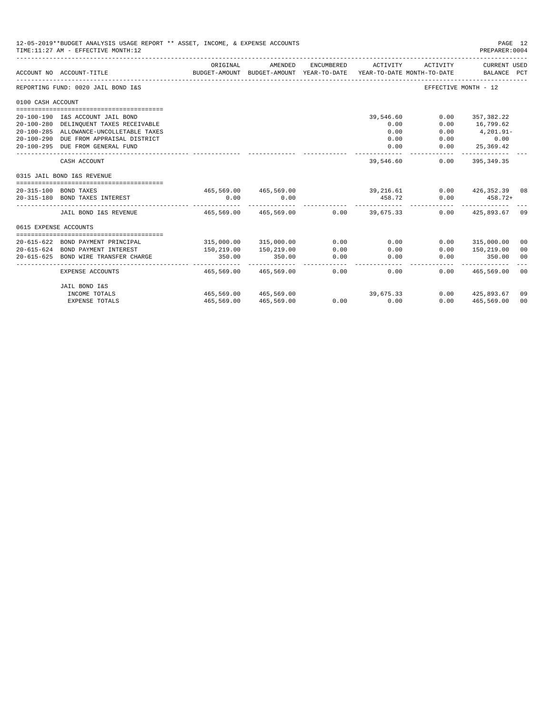|                       | 12-05-2019**BUDGET ANALYSIS USAGE REPORT ** ASSET, INCOME, & EXPENSE ACCOUNTS<br>TIME: 11:27 AM - EFFECTIVE MONTH: 12 |                                              |                                                     |            |                  |                                        | PAGE 12<br>PREPARER: 0004           |                |
|-----------------------|-----------------------------------------------------------------------------------------------------------------------|----------------------------------------------|-----------------------------------------------------|------------|------------------|----------------------------------------|-------------------------------------|----------------|
|                       | ACCOUNT NO ACCOUNT-TITLE                                                                                              | ORIGINAL<br>-------------------------------- | AMENDED<br>BUDGET-AMOUNT BUDGET-AMOUNT YEAR-TO-DATE | ENCUMBERED | ACTIVITY         | ACTIVITY<br>YEAR-TO-DATE MONTH-TO-DATE | <b>CURRENT USED</b><br>BALANCE PCT  |                |
|                       | REPORTING FUND: 0020 JAIL BOND I&S                                                                                    |                                              |                                                     |            |                  |                                        | EFFECTIVE MONTH - 12                |                |
| 0100 CASH ACCOUNT     |                                                                                                                       |                                              |                                                     |            |                  |                                        |                                     |                |
|                       |                                                                                                                       |                                              |                                                     |            |                  |                                        |                                     |                |
|                       | 20-100-190 I&S ACCOUNT JAIL BOND                                                                                      |                                              |                                                     |            | 39,546.60        | 0.00                                   | 357, 382.22                         |                |
|                       | 20-100-280 DELINQUENT TAXES RECEIVABLE                                                                                |                                              |                                                     |            | 0.00             | 0.00                                   | 16,799.62                           |                |
|                       | 20-100-285 ALLOWANCE-UNCOLLETABLE TAXES                                                                               |                                              |                                                     |            | 0.00             | 0.00                                   | 4,201.91-                           |                |
|                       | 20-100-290 DUE FROM APPRAISAL DISTRICT                                                                                |                                              |                                                     |            | 0.00             | 0.00                                   | 0.00                                |                |
|                       | 20-100-295 DUE FROM GENERAL FUND                                                                                      |                                              |                                                     |            | 0.00             | 0.00                                   | 25,369.42                           |                |
|                       | CASH ACCOUNT                                                                                                          |                                              |                                                     |            | 39,546.60        | 0.00                                   | 395, 349.35                         |                |
|                       | 0315 JAIL BOND I&S REVENUE                                                                                            |                                              |                                                     |            |                  |                                        |                                     |                |
|                       |                                                                                                                       |                                              |                                                     |            |                  |                                        |                                     |                |
|                       | 20-315-100 BOND TAXES<br>20-315-180 BOND TAXES INTEREST                                                               | 0.00                                         | $465,569.00$ $465,569.00$ $39,216.61$<br>0.00       |            | 458.72           |                                        | $0.00$ $426,352.39$ 08<br>$458.72+$ |                |
|                       |                                                                                                                       |                                              |                                                     |            |                  | 0.00<br>___________________________    |                                     |                |
|                       | JAIL BOND I&S REVENUE                                                                                                 | 465,569.00 465,569.00                        |                                                     |            | $0.00$ 39.675.33 |                                        | $0.00$ $425.893.67$ 09              |                |
| 0615 EXPENSE ACCOUNTS |                                                                                                                       |                                              |                                                     |            |                  |                                        |                                     |                |
|                       |                                                                                                                       |                                              |                                                     |            |                  |                                        |                                     |                |
|                       | 20-615-622 BOND PAYMENT PRINCIPAL                                                                                     |                                              | 315,000.00 315,000.00                               | 0.00       | 0.00             | 0.00                                   | 315,000.00                          | 00             |
| $20 - 615 - 624$      | BOND PAYMENT INTEREST                                                                                                 | 150,219.00                                   | 150,219.00                                          | 0.00       | 0.00             | 0.00                                   | 150,219.00                          | 00             |
| $20 - 615 - 625$      | BOND WIRE TRANSFER CHARGE                                                                                             | 350.00                                       | 350.00                                              | 0.00       | 0.00             | 0.00                                   | 350.00                              | 00             |
|                       | EXPENSE ACCOUNTS                                                                                                      | 465,569.00                                   | 465,569.00                                          | 0.00       | 0.00             | 0.00                                   | 465,569.00                          | 00             |
|                       | JAIL BOND I&S                                                                                                         |                                              |                                                     |            |                  |                                        |                                     |                |
|                       | INCOME TOTALS                                                                                                         |                                              | 465,569.00 465,569.00                               |            | 39,675.33        | 0.00                                   | 425,893.67                          | 09             |
|                       | <b>EXPENSE TOTALS</b>                                                                                                 | 465,569.00                                   | 465,569.00                                          |            | 0.00<br>0.00     | 0.00                                   | 465,569.00                          | 0 <sup>0</sup> |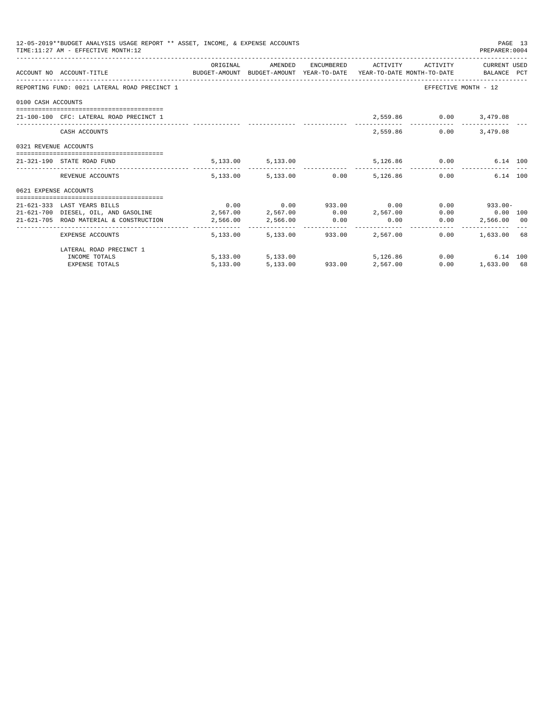|                       | 12-05-2019**BUDGET ANALYSIS USAGE REPORT ** ASSET, INCOME, & EXPENSE ACCOUNTS<br>TIME: 11:27 AM - EFFECTIVE MONTH: 12 |          |                                                           |      |                          |               | PREPARER: 0004         | PAGE 13 |
|-----------------------|-----------------------------------------------------------------------------------------------------------------------|----------|-----------------------------------------------------------|------|--------------------------|---------------|------------------------|---------|
|                       | ACCOUNT NO ACCOUNT-TITLE CONTROL BUDGET-AMOUNT BUDGET-AMOUNT YEAR-TO-DATE YEAR-TO-DATE MONTH-TO-DATE BALANCE PCT      |          | ORIGINAL AMENDED ENCUMBERED ACTIVITY ACTIVITY CURRENTUSED |      |                          |               |                        |         |
|                       | REPORTING FUND: 0021 LATERAL ROAD PRECINCT 1                                                                          |          |                                                           |      |                          |               | EFFECTIVE MONTH - 12   |         |
| 0100 CASH ACCOUNTS    |                                                                                                                       |          |                                                           |      |                          |               |                        |         |
|                       | 21-100-100 CFC: LATERAL ROAD PRECINCT 1                                                                               |          |                                                           |      |                          |               | 2,559.86 0.00 3,479.08 |         |
|                       | CASH ACCOUNTS                                                                                                         |          |                                                           |      |                          | 2,559.86 0.00 | 3,479.08               |         |
| 0321 REVENUE ACCOUNTS |                                                                                                                       |          |                                                           |      |                          |               |                        |         |
|                       | 21-321-190 STATE ROAD FUND                                                                                            |          | 5,133.00 5,133.00 5,126.86 0.00 6.14 100                  |      |                          |               |                        |         |
|                       | REVENUE ACCOUNTS                                                                                                      |          | 5.133.00 5.133.00 0.00 5.126.86 0.00                      |      |                          |               | 6.14 100               |         |
| 0621 EXPENSE ACCOUNTS |                                                                                                                       |          |                                                           |      |                          |               |                        |         |
|                       |                                                                                                                       |          |                                                           |      |                          |               |                        |         |
|                       | 21-621-333 LAST YEARS BILLS                                                                                           |          | $0.00$ $0.00$ $933.00$ $0.00$                             |      |                          |               | $0.00$ 933.00-         |         |
|                       | $21-621-700$ DIESEL, OIL, AND GASOLINE $2,567.00$ $2,567.00$ $0.00$ $2,567.00$                                        |          |                                                           |      |                          |               | $0.00$ $0.00$ $100$    |         |
|                       | 21-621-705 ROAD MATERIAL & CONSTRUCTION 2,566.00 2,566.00                                                             |          |                                                           | 0.00 | 0.00                     | 0.00          | 2,566.00 00            |         |
|                       | EXPENSE ACCOUNTS                                                                                                      |          | 5,133.00 5,133.00 933.00 2,567.00                         |      |                          | 0.00          | 1,633.00 68            |         |
|                       | LATERAL ROAD PRECINCT 1                                                                                               |          |                                                           |      |                          |               |                        |         |
|                       | INCOME TOTALS                                                                                                         |          | 5,133.00 5,133.00                                         |      | 5,126,86                 |               | 0.00<br>6.14 100       |         |
|                       | <b>EXPENSE TOTALS</b>                                                                                                 | 5,133.00 |                                                           |      | 5,133.00 933.00 2,567.00 |               | 0.00<br>1,633.00 68    |         |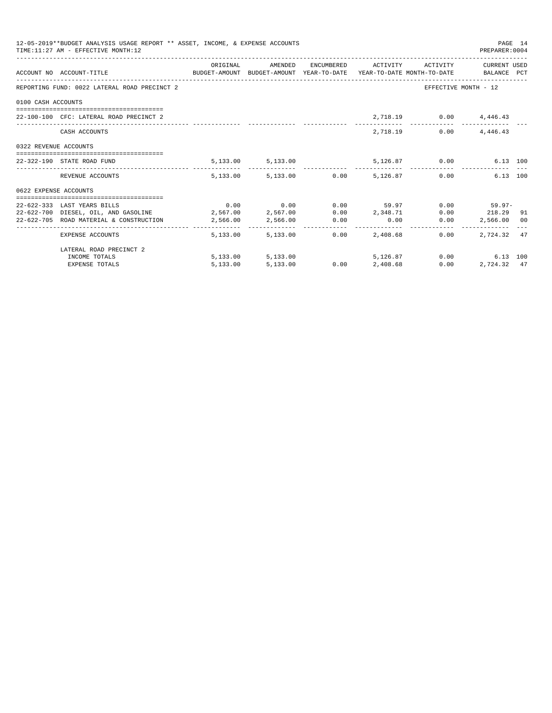|                       | 12-05-2019**BUDGET ANALYSIS USAGE REPORT ** ASSET, INCOME, & EXPENSE ACCOUNTS<br>TIME: 11:27 AM - EFFECTIVE MONTH: 12 |          |                   |      |                                                                   |               | PREPARER: 0004         | PAGE 14 |
|-----------------------|-----------------------------------------------------------------------------------------------------------------------|----------|-------------------|------|-------------------------------------------------------------------|---------------|------------------------|---------|
|                       | ACCOUNT NO ACCOUNT-TITLE CONTROL BUDGET-AMOUNT BUDGET-AMOUNT YEAR-TO-DATE YEAR-TO-DATE MONTH-TO-DATE BALANCE PCT      |          |                   |      | ORIGINAL AMENDED ENCUMBERED ACTIVITY ACTIVITY CURRENTUSED         |               |                        |         |
|                       | REPORTING FUND: 0022 LATERAL ROAD PRECINCT 2                                                                          |          |                   |      |                                                                   |               | EFFECTIVE MONTH - 12   |         |
| 0100 CASH ACCOUNTS    |                                                                                                                       |          |                   |      |                                                                   |               |                        |         |
|                       | 22-100-100 CFC: LATERAL ROAD PRECINCT 2                                                                               |          |                   |      |                                                                   |               | 2,718.19 0.00 4,446.43 |         |
|                       | CASH ACCOUNTS                                                                                                         |          |                   |      |                                                                   | 2,718.19 0.00 | 4,446.43               |         |
| 0322 REVENUE ACCOUNTS |                                                                                                                       |          |                   |      |                                                                   |               |                        |         |
|                       | 22-322-190 STATE ROAD FUND                                                                                            |          |                   |      | 5,133.00 5,133.00 5,126.87 0.00 6.13 100                          |               |                        |         |
|                       | REVENUE ACCOUNTS                                                                                                      |          |                   |      | $5.133.00$ $5.133.00$ $0.00$ $5.126.87$ $0.00$                    |               | 6.13 100               |         |
| 0622 EXPENSE ACCOUNTS |                                                                                                                       |          |                   |      |                                                                   |               |                        |         |
|                       |                                                                                                                       |          |                   |      |                                                                   |               |                        |         |
|                       | 22-622-333 LAST YEARS BILLS                                                                                           |          |                   |      | $0.00$ $0.00$ $0.00$ $59.97$ $0.00$ $59.97$ $0.00$ $59.97$ $0.00$ |               |                        |         |
|                       | 22-622-700 DIESEL, OIL, AND GASOLINE $2,567.00$ $2,567.00$ $0.00$ $2,348.71$ $0.00$ $218.29$ 91                       |          |                   |      |                                                                   |               |                        |         |
|                       | $22-622-705$ ROAD MATERIAL & CONSTRUCTION $2,566.00$ $2,566.00$ $0.00$ $0.00$ $0.00$ $0.00$                           |          |                   |      |                                                                   |               | 2,566.00 00            |         |
|                       | EXPENSE ACCOUNTS                                                                                                      |          | 5,133,00 5,133,00 | 0.00 | 2,408.68                                                          | 0.00          | 2.724.32 47            |         |
|                       | LATERAL ROAD PRECINCT 2                                                                                               |          |                   |      |                                                                   |               |                        |         |
|                       | INCOME TOTALS                                                                                                         |          |                   |      | 5,133.00 5,133.00 5,126.87                                        |               | 0.00<br>6.13 100       |         |
|                       | <b>EXPENSE TOTALS</b>                                                                                                 | 5,133.00 | 5,133.00          |      | $0.00$ $2,408.68$                                                 | 0.00          | 2,724.32 47            |         |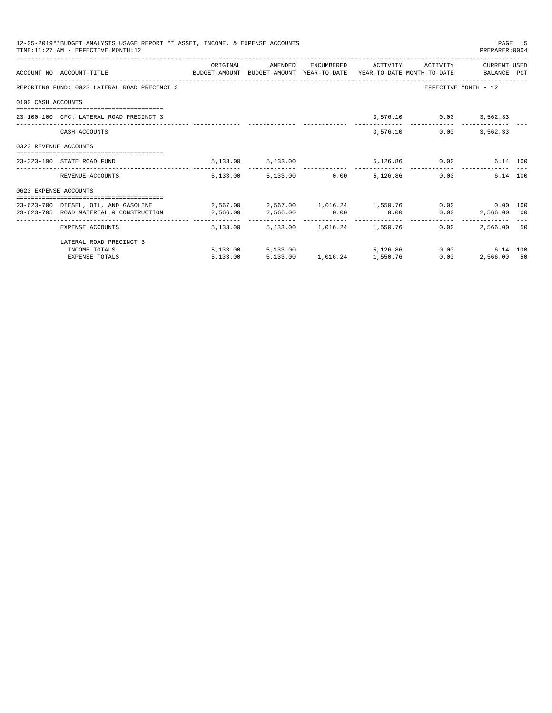|                       | 12-05-2019**BUDGET ANALYSIS USAGE REPORT ** ASSET, INCOME, & EXPENSE ACCOUNTS<br>TIME: 11:27 AM - EFFECTIVE MONTH: 12                     |          |                                                           |             |                        | PREPARER: 0004                | PAGE 15 |
|-----------------------|-------------------------------------------------------------------------------------------------------------------------------------------|----------|-----------------------------------------------------------|-------------|------------------------|-------------------------------|---------|
|                       | ACCOUNT NO ACCOUNT-TITLE CONTROL SUDGET-AMOUNT BUDGET-AMOUNT YEAR-TO-DATE YEAR-TO-DATE MONTH-TO-DATE BALANCE PCT                          |          | ORIGINAL MENDED ENCUMBERED ACTIVITY ACTIVITY CURRENT USED |             |                        |                               |         |
|                       | REPORTING FUND: 0023 LATERAL ROAD PRECINCT 3                                                                                              |          |                                                           |             |                        | EFFECTIVE MONTH - 12          |         |
| 0100 CASH ACCOUNTS    |                                                                                                                                           |          |                                                           |             |                        |                               |         |
|                       | 23-100-100 CFC: LATERAL ROAD PRECINCT 3                                                                                                   |          |                                                           |             | 3,576.10 0.00 3,562.33 |                               |         |
|                       | CASH ACCOUNTS                                                                                                                             |          |                                                           |             | 3,576.10<br>0.00       | 3,562,33                      |         |
| 0323 REVENUE ACCOUNTS |                                                                                                                                           |          |                                                           |             |                        |                               |         |
|                       | 23-323-190 STATE ROAD FUND                                                                                                                |          | 5,133.00 5,133.00 5,136.86 0.00                           |             |                        | 6.14 100                      |         |
|                       | REVENUE ACCOUNTS                                                                                                                          |          | 5,133.00 5,133.00 0.00 5,126.86                           |             |                        | $0.00$ and $0.00$<br>6.14 100 |         |
| 0623 EXPENSE ACCOUNTS |                                                                                                                                           |          |                                                           |             |                        |                               |         |
|                       | 23-623-700 DIESEL, OIL, AND GASOLINE $2,567.00$ $2,567.00$ $1,016.24$ $1,550.76$ $0.00$ $0.00$<br>23-623-705 ROAD MATERIAL & CONSTRUCTION | 2,566.00 | 2,566.00                                                  | $0.00$ 0.00 |                        | $0.00$ 2,566.00 00            |         |
|                       | EXPENSE ACCOUNTS                                                                                                                          |          | 5,133.00 5,133.00 1,016.24 1,550.76                       |             | 0.00                   | 2,566.00 50                   |         |
|                       | LATERAL ROAD PRECINCT 3                                                                                                                   |          |                                                           |             |                        |                               |         |
|                       | INCOME TOTALS                                                                                                                             |          | 5,133.00 5,133.00 5,126.86                                |             |                        | $0.00$ and $0.00$<br>6.14 100 |         |
|                       | <b>EXPENSE TOTALS</b>                                                                                                                     | 5,133.00 | 5,133.00 1,016.24 1,550.76                                |             | 0.00                   | 2,566.00 50                   |         |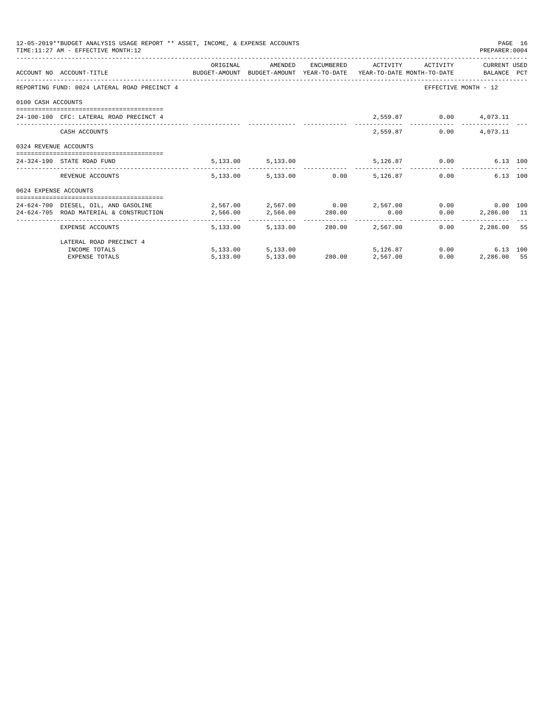|                       | 12-05-2019**BUDGET ANALYSIS USAGE REPORT ** ASSET, INCOME, & EXPENSE ACCOUNTS<br>TIME: 11:27 AM - EFFECTIVE MONTH: 12 |          |                                   |                          |          |                              | PREPARER: 0004                               | PAGE 16 |
|-----------------------|-----------------------------------------------------------------------------------------------------------------------|----------|-----------------------------------|--------------------------|----------|------------------------------|----------------------------------------------|---------|
|                       | ACCOUNT NO ACCOUNT-TITLE COMPUTE SUDGET-AMOUNT BUDGET-AMOUNT YEAR-TO-DATE YEAR-TO-DATE MONTH-TO-DATE BALANCE PCT      | ORIGINAL | AMENDED                           |                          |          | ENCUMBERED ACTIVITY ACTIVITY | CURRENT USED                                 |         |
|                       | REPORTING FUND: 0024 LATERAL ROAD PRECINCT 4                                                                          |          |                                   |                          |          |                              | EFFECTIVE MONTH - 12                         |         |
| 0100 CASH ACCOUNTS    |                                                                                                                       |          |                                   |                          |          |                              |                                              |         |
|                       | 24-100-100 CFC: LATERAL ROAD PRECINCT 4                                                                               |          |                                   |                          |          | 2,559.87 0.00 4,073.11       |                                              |         |
|                       | CASH ACCOUNTS                                                                                                         |          |                                   |                          |          | 2,559.87                     | $0.00$ 4,073.11                              |         |
| 0324 REVENUE ACCOUNTS |                                                                                                                       |          |                                   |                          |          |                              |                                              |         |
|                       | 24-324-190 STATE ROAD FUND                                                                                            |          | 5, 133.00 5, 133.00               |                          |          | 5,126.87 0.00                | 6.13 100                                     |         |
|                       | REVENUE ACCOUNTS                                                                                                      |          | 5,133.00 5,133.00 0.00            |                          | 5,126.87 |                              | 6.13 100<br>0.00                             |         |
| 0624 EXPENSE ACCOUNTS |                                                                                                                       |          |                                   |                          |          |                              |                                              |         |
|                       | 24-624-700 DIESEL, OIL, AND GASOLINE $2,567.00$ $2,567.00$ $0.00$ $2,567.00$ $0.00$ $0.00$ $0.00$                     |          |                                   |                          |          |                              |                                              |         |
|                       | 24-624-705 ROAD MATERIAL & CONSTRUCTION 2.566.00                                                                      |          | 2,566.00 280.00 0.00              |                          |          |                              | $0.00$ 2,286.00 11                           |         |
|                       | EXPENSE ACCOUNTS                                                                                                      |          | 5,133.00 5,133.00 280.00 2,567.00 |                          |          | $0.00 -$                     | -----------------------------<br>2,286.00 55 |         |
|                       | LATERAL ROAD PRECINCT 4                                                                                               |          |                                   |                          |          |                              |                                              |         |
|                       | INCOME TOTALS                                                                                                         |          | 5,133.00 5,133.00                 |                          | 5,126,87 |                              | 0.00<br>6.13 100                             |         |
|                       | <b>EXPENSE TOTALS</b>                                                                                                 | 5,133.00 |                                   | 5,133.00 280.00 2,567.00 |          | 0.00                         | 2,286.00 55                                  |         |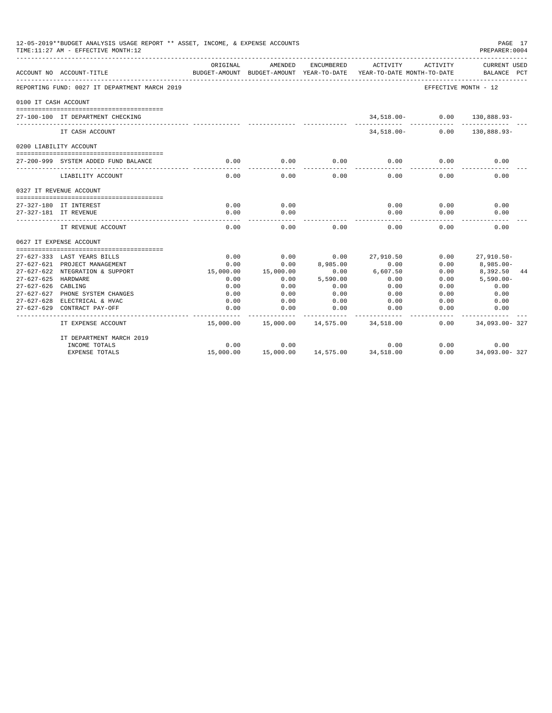|                      | 12-05-2019**BUDGET ANALYSIS USAGE REPORT ** ASSET, INCOME, & EXPENSE ACCOUNTS<br>TIME:11:27 AM - EFFECTIVE MONTH:12 |              |                                                     |                                 |                                        |                      | PAGE 17<br>PREPARER: 0004      |
|----------------------|---------------------------------------------------------------------------------------------------------------------|--------------|-----------------------------------------------------|---------------------------------|----------------------------------------|----------------------|--------------------------------|
|                      | ACCOUNT NO ACCOUNT-TITLE                                                                                            | ORIGINAL     | AMENDED<br>BUDGET-AMOUNT BUDGET-AMOUNT YEAR-TO-DATE | ENCUMBERED                      | ACTIVITY<br>YEAR-TO-DATE MONTH-TO-DATE | ACTIVITY             | CURRENT USED<br>BALANCE PCT    |
|                      | REPORTING FUND: 0027 IT DEPARTMENT MARCH 2019                                                                       |              |                                                     |                                 |                                        | EFFECTIVE MONTH - 12 |                                |
| 0100 IT CASH ACCOUNT |                                                                                                                     |              |                                                     |                                 |                                        |                      |                                |
|                      | 27-100-100 IT DEPARTMENT CHECKING                                                                                   |              |                                                     |                                 |                                        |                      | 34,518.00 - 0.00 130,888.93 -  |
|                      | IT CASH ACCOUNT                                                                                                     |              |                                                     |                                 |                                        |                      | 34,518.00- 0.00 130,888.93-    |
|                      | 0200 LIABILITY ACCOUNT                                                                                              |              |                                                     |                                 |                                        |                      |                                |
|                      |                                                                                                                     |              |                                                     |                                 |                                        |                      |                                |
|                      | 27-200-999 SYSTEM ADDED FUND BALANCE                                                                                | 0.00         | 0.00                                                | 0.00                            | 0.00                                   | 0.00                 | 0.00                           |
|                      | LIABILITY ACCOUNT                                                                                                   | 0.00         | 0.00                                                | 0.00                            | 0.00                                   | 0.00                 | 0.00                           |
|                      | 0327 IT REVENUE ACCOUNT                                                                                             |              |                                                     |                                 |                                        |                      |                                |
|                      |                                                                                                                     |              |                                                     |                                 |                                        |                      |                                |
|                      | 27-327-180 IT INTEREST                                                                                              | 0.00         | 0.00                                                |                                 | 0.00                                   | 0.00                 | 0.00                           |
|                      | 27-327-181 IT REVENUE                                                                                               | 0.00         | 0.00                                                |                                 | 0.00                                   | 0.00                 | 0.00                           |
|                      | IT REVENUE ACCOUNT                                                                                                  | 0.00         | 0.00                                                | 0.00                            | 0.00                                   | 0.00                 | 0.00                           |
|                      | 0627 IT EXPENSE ACCOUNT                                                                                             |              |                                                     |                                 |                                        |                      |                                |
|                      |                                                                                                                     |              |                                                     |                                 |                                        |                      |                                |
|                      | 27-627-333 LAST YEARS BILLS                                                                                         | 0.00<br>0.00 | 0.00                                                | 0.00<br>8,985.00                | 27,910.50                              | 0.00<br>0.00         | $27.910.50 -$                  |
|                      | 27-627-621 PROJECT MANAGEMENT<br>27-627-622 NTEGRATION & SUPPORT                                                    | 15,000.00    | 0.00<br>15,000.00                                   | 0.00                            | 0.00<br>6,607.50                       | 0.00                 | $8,985.00 -$<br>8,392.50<br>44 |
| 27-627-625 HARDWARE  |                                                                                                                     | 0.00         | 0.00                                                | 5,590.00                        | 0.00                                   | 0.00                 | $5,590.00 -$                   |
| 27-627-626 CABLING   |                                                                                                                     | 0.00         | 0.00                                                | 0.00                            | 0.00                                   | 0.00                 | 0.00                           |
|                      | 27-627-627 PHONE SYSTEM CHANGES                                                                                     | 0.00         | 0.00                                                | 0.00                            | 0.00                                   | 0.00                 | 0.00                           |
|                      | 27-627-628 ELECTRICAL & HVAC                                                                                        | 0.00         | 0.00                                                | 0.00                            | 0.00                                   | 0.00                 | 0.00                           |
| $27 - 627 - 629$     | CONTRACT PAY-OFF                                                                                                    | 0.00         | 0.00                                                | 0.00                            | 0.00                                   | 0.00                 | 0.00                           |
|                      | IT EXPENSE ACCOUNT                                                                                                  |              | 15,000.00  15,000.00  14,575.00  34,518.00          |                                 |                                        | 0.00                 | ----------<br>34,093.00-327    |
|                      | IT DEPARTMENT MARCH 2019                                                                                            |              |                                                     |                                 |                                        |                      |                                |
|                      | INCOME TOTALS                                                                                                       | 0.00         | 0.00                                                |                                 | 0.00                                   | 0.00                 | 0.00                           |
|                      | <b>EXPENSE TOTALS</b>                                                                                               | 15,000.00    |                                                     | 15,000.00  14,575.00  34,518.00 |                                        | 0.00                 | 34,093.00-327                  |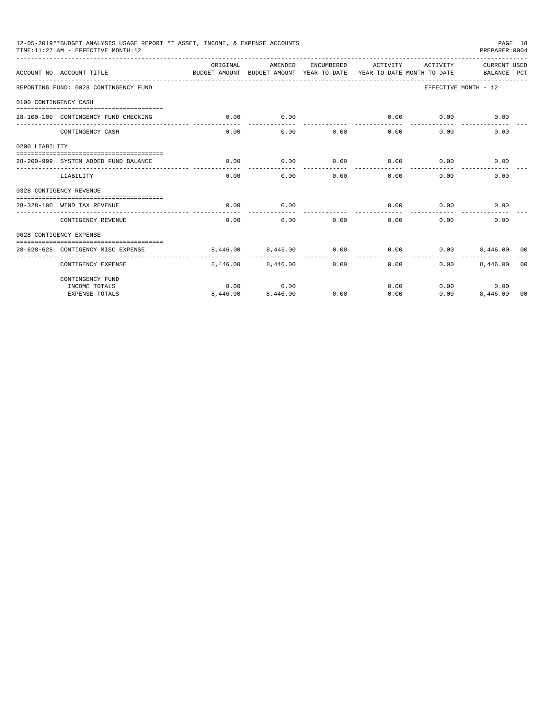|                       | 12-05-2019**BUDGET ANALYSIS USAGE REPORT ** ASSET, INCOME, & EXPENSE ACCOUNTS<br>TIME: 11:27 AM - EFFECTIVE MONTH: 12 |           |                                                                                |                     |          |             | PAGE 18<br>PREPARER: 0004   |                |
|-----------------------|-----------------------------------------------------------------------------------------------------------------------|-----------|--------------------------------------------------------------------------------|---------------------|----------|-------------|-----------------------------|----------------|
|                       | ACCOUNT NO ACCOUNT-TITLE                                                                                              | OR TGTNAL | AMENDED<br>BUDGET-AMOUNT BUDGET-AMOUNT YEAR-TO-DATE YEAR-TO-DATE MONTH-TO-DATE | ENCUMBERED          | ACTIVITY | ACTIVITY    | CURRENT USED<br>BALANCE PCT |                |
|                       | REPORTING FUND: 0028 CONTINGENCY FUND                                                                                 |           |                                                                                |                     |          |             | EFFECTIVE MONTH - 12        |                |
| 0100 CONTINGENCY CASH |                                                                                                                       |           |                                                                                |                     |          |             |                             |                |
|                       | 28-100-100 CONTINGENCY FUND CHECKING                                                                                  | 0.00      | 0.00                                                                           |                     | 0.00     | 0.00        | 0.00                        |                |
|                       |                                                                                                                       |           | $- - - - - - -$                                                                | ---------- <b>-</b> | ------   | $- - - - -$ |                             |                |
|                       | CONTINGENCY CASH                                                                                                      | 0.00      | 0.00                                                                           | 0.00                | 0.00     | 0.00        | 0.00                        |                |
| 0200 LIABILITY        |                                                                                                                       |           |                                                                                |                     |          |             |                             |                |
|                       |                                                                                                                       |           |                                                                                |                     |          |             |                             |                |
|                       | 28-200-999 SYSTEM ADDED FUND BALANCE                                                                                  | 0.00      | 0.00                                                                           | 0.00                | 0.00     | 0.00        | 0.00                        |                |
|                       | LIABILITY                                                                                                             | 0.00      | 0.00                                                                           | 0.00                | 0.00     | 0.00        | 0.00                        |                |
|                       | 0328 CONTIGENCY REVENUE                                                                                               |           |                                                                                |                     |          |             |                             |                |
|                       |                                                                                                                       |           |                                                                                |                     |          |             |                             |                |
|                       | 28-328-100 WIND TAX REVENUE                                                                                           | 0.00      | 0.00                                                                           |                     | 0.00     | 0.00        | 0.00                        |                |
|                       | CONTIGENCY REVENUE                                                                                                    | 0.00      | 0.00                                                                           | 0.00                | 0.00     | 0.00        | 0.00                        |                |
|                       | 0628 CONTIGENCY EXPENSE                                                                                               |           |                                                                                |                     |          |             |                             |                |
|                       |                                                                                                                       |           |                                                                                |                     |          |             |                             |                |
|                       | 28-628-628 CONTIGENCY MISC EXPENSE                                                                                    |           | 8,446,00 8,446,00                                                              | 0.00                | 0.00     | 0.00        | 8,446,00 00                 |                |
|                       | CONTIGENCY EXPENSE                                                                                                    |           | 8,446,00 8,446,00                                                              | 0.00                | 0.00     | 0.00        | 8,446.00                    | 0 <sub>0</sub> |
|                       | CONTINGENCY FUND                                                                                                      |           |                                                                                |                     |          |             |                             |                |
|                       | INCOME TOTALS                                                                                                         | 0.00      | 0.00                                                                           |                     | 0.00     |             | 0.00<br>0.00                |                |
|                       | <b>EXPENSE TOTALS</b>                                                                                                 | 8,446.00  | 8,446.00                                                                       | 0.00                | 0.00     | 0.00        | 8,446.00 00                 |                |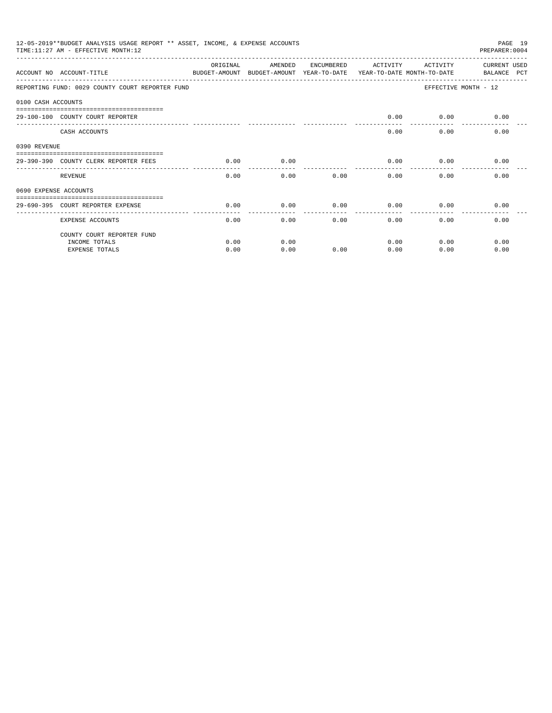|                       | 12-05-2019**BUDGET ANALYSIS USAGE REPORT ** ASSET, INCOME, & EXPENSE ACCOUNTS<br>PAGE 19<br>PREPARER: 0004<br>TIME: 11:27 AM - EFFECTIVE MONTH: 12 |               |                                                     |            |              |                                        |                             |  |  |
|-----------------------|----------------------------------------------------------------------------------------------------------------------------------------------------|---------------|-----------------------------------------------------|------------|--------------|----------------------------------------|-----------------------------|--|--|
|                       | ACCOUNT NO ACCOUNT-TITLE                                                                                                                           | ORIGINAL      | AMENDED<br>BUDGET-AMOUNT BUDGET-AMOUNT YEAR-TO-DATE | ENCUMBERED | ACTIVITY     | ACTIVITY<br>YEAR-TO-DATE MONTH-TO-DATE | CURRENT USED<br>BALANCE PCT |  |  |
|                       | REPORTING FUND: 0029 COUNTY COURT REPORTER FUND                                                                                                    |               |                                                     |            |              |                                        | EFFECTIVE MONTH - 12        |  |  |
| 0100 CASH ACCOUNTS    |                                                                                                                                                    |               |                                                     |            |              |                                        |                             |  |  |
|                       | 29-100-100 COUNTY COURT REPORTER                                                                                                                   |               |                                                     |            | 0.00         |                                        | $0.00$ 0.00                 |  |  |
|                       | CASH ACCOUNTS                                                                                                                                      |               |                                                     |            | 0.00         | 0.00                                   | 0.00                        |  |  |
| 0390 REVENUE          |                                                                                                                                                    |               |                                                     |            |              |                                        |                             |  |  |
|                       | 29-390-390 COUNTY CLERK REPORTER FEES                                                                                                              | 0.00          | 0.00                                                |            | 0.00         | 0.00                                   | 0.00                        |  |  |
|                       | REVENUE                                                                                                                                            | -----<br>0.00 | 0.00                                                | 0.00       | 0.00         | 0.00                                   | 0.00                        |  |  |
| 0690 EXPENSE ACCOUNTS |                                                                                                                                                    |               |                                                     |            |              |                                        |                             |  |  |
|                       | 29-690-395 COURT REPORTER EXPENSE                                                                                                                  | 0.00          | 0.00                                                | 0.00       | 0.00         | 0.00                                   | 0.00                        |  |  |
|                       | <b>EXPENSE ACCOUNTS</b>                                                                                                                            | 0.00          | 0.00                                                |            | 0.00<br>0.00 | 0.00                                   | 0.00                        |  |  |
|                       | COUNTY COURT REPORTER FUND                                                                                                                         |               |                                                     |            |              |                                        |                             |  |  |
|                       | INCOME TOTALS                                                                                                                                      | 0.00          | 0.00                                                |            | 0.00         | 0.00                                   | 0.00                        |  |  |
|                       | <b>EXPENSE TOTALS</b>                                                                                                                              | 0.00          | 0.00                                                | 0.00       | 0.00         | 0.00                                   | 0.00                        |  |  |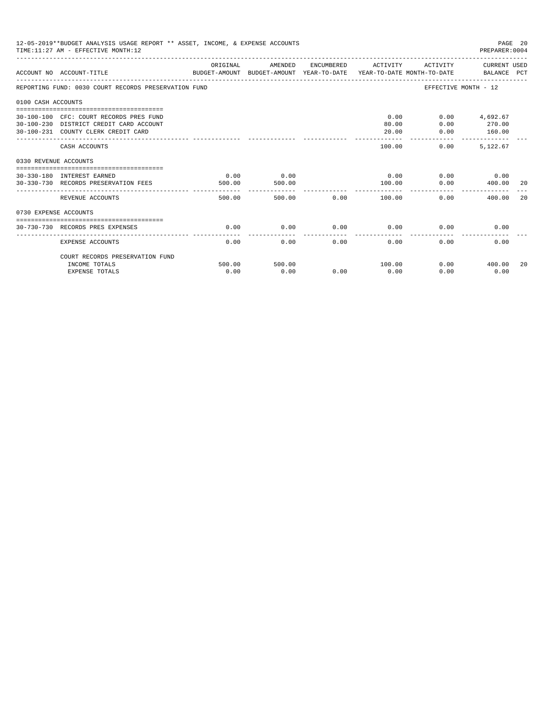|                       | 12-05-2019**BUDGET ANALYSIS USAGE REPORT ** ASSET, INCOME, & EXPENSE ACCOUNTS<br>PAGE 20<br>TIME: 11:27 AM - EFFECTIVE MONTH: 12<br>PREPARER: 0004 |                |                |                |                        |                                           |                                     |     |  |
|-----------------------|----------------------------------------------------------------------------------------------------------------------------------------------------|----------------|----------------|----------------|------------------------|-------------------------------------------|-------------------------------------|-----|--|
|                       | ACCOUNT NO ACCOUNT-TITLE CONTROL SUDGET-AMOUNT BUDGET-AMOUNT YEAR-TO-DATE YEAR-TO-DATE MONTH-TO-DATE BALANCE PCT                                   | ORIGINAL       | AMENDED        |                | ENCUMBERED ACTIVITY    |                                           | ACTIVITY CURRENT USED               |     |  |
|                       | REPORTING FUND: 0030 COURT RECORDS PRESERVATION FUND                                                                                               |                |                |                |                        |                                           | EFFECTIVE MONTH - 12                |     |  |
| 0100 CASH ACCOUNTS    |                                                                                                                                                    |                |                |                |                        |                                           |                                     |     |  |
|                       | 30-100-100 CFC: COURT RECORDS PRES FUND<br>30-100-230 DISTRICT CREDIT CARD ACCOUNT<br>30-100-231 COUNTY CLERK CREDIT CARD                          |                |                |                | 0.00<br>80.00<br>20.00 | 0.00<br>0.00                              | $0.00$ 4,692.67<br>270.00<br>160.00 |     |  |
|                       | CASH ACCOUNTS                                                                                                                                      |                |                |                | 100.00                 | _________________________________<br>0.00 | 5.122.67                            |     |  |
| 0330 REVENUE ACCOUNTS |                                                                                                                                                    |                |                |                |                        |                                           |                                     |     |  |
|                       | 30-330-180 INTEREST EARNED<br>30-330-730 RECORDS PRESERVATION FEES                                                                                 | 0.00<br>500.00 | 0.00<br>500.00 |                | 0.00<br>100.00         | 0.00                                      | $0.00$ 0.00<br>400.00               | -20 |  |
|                       | REVENUE ACCOUNTS                                                                                                                                   | 500.00         |                | 0.00<br>500.00 | -----------<br>100.00  |                                           | 0.00<br>400.00                      | 20  |  |
| 0730 EXPENSE ACCOUNTS |                                                                                                                                                    |                |                |                |                        |                                           |                                     |     |  |
|                       | 30-730-730 RECORDS PRES EXPENSES                                                                                                                   | 0.00           | 0.00           | 0.00           | 0.00                   | 0.00                                      | 0.00                                |     |  |
|                       | <b>EXPENSE ACCOUNTS</b>                                                                                                                            | 0.00           | 0.00           | 0.00           | 0.00                   | 0.00                                      | 0.00                                |     |  |
|                       | COURT RECORDS PRESERVATION FUND<br>INCOME TOTALS                                                                                                   | 500.00         | 500.00         |                | 100.00                 |                                           | $0.00$ 400.00                       | 20  |  |
|                       | <b>EXPENSE TOTALS</b>                                                                                                                              | 0.00           | 0.00           | 0.00           | 0.00                   | 0.00                                      | 0.00                                |     |  |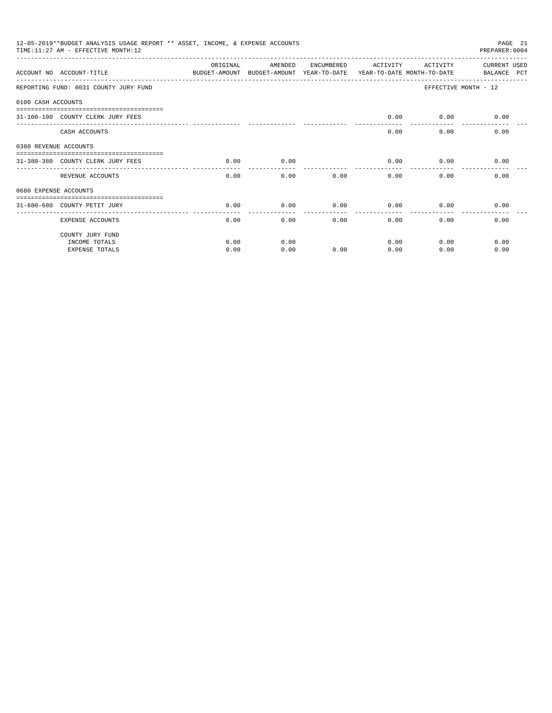|                       | 12-05-2019**BUDGET ANALYSIS USAGE REPORT ** ASSET, INCOME, & EXPENSE ACCOUNTS<br>PAGE 21<br>PREPARER: 0004<br>TIME: 11:27 AM - EFFECTIVE MONTH: 12 |          |                                                                                |            |          |              |                             |  |  |
|-----------------------|----------------------------------------------------------------------------------------------------------------------------------------------------|----------|--------------------------------------------------------------------------------|------------|----------|--------------|-----------------------------|--|--|
|                       | ACCOUNT NO ACCOUNT-TITLE                                                                                                                           | ORIGINAL | AMENDED<br>BUDGET-AMOUNT BUDGET-AMOUNT YEAR-TO-DATE YEAR-TO-DATE MONTH-TO-DATE | ENCUMBERED | ACTIVITY | ACTIVITY     | CURRENT USED<br>BALANCE PCT |  |  |
|                       | REPORTING FUND: 0031 COUNTY JURY FUND                                                                                                              |          |                                                                                |            |          |              | EFFECTIVE MONTH - 12        |  |  |
| 0100 CASH ACCOUNTS    |                                                                                                                                                    |          |                                                                                |            |          |              |                             |  |  |
|                       | 31-100-100 COUNTY CLERK JURY FEES                                                                                                                  |          |                                                                                |            | 0.00     |              | $0.00$ 0.00                 |  |  |
|                       | CASH ACCOUNTS                                                                                                                                      |          |                                                                                |            | 0.00     | 0.00         | 0.00                        |  |  |
| 0380 REVENUE ACCOUNTS |                                                                                                                                                    |          |                                                                                |            |          |              |                             |  |  |
|                       | 31-380-380 COUNTY CLERK JURY FEES                                                                                                                  | 0.00     | 0.00                                                                           |            | 0.00     | 0.00         | 0.00                        |  |  |
|                       | REVENUE ACCOUNTS                                                                                                                                   | 0.00     | 0.00                                                                           | 0.00       | 0.00     | 0.00         | 0.00                        |  |  |
| 0680 EXPENSE ACCOUNTS |                                                                                                                                                    |          |                                                                                |            |          |              |                             |  |  |
|                       | 31-680-680 COUNTY PETIT JURY                                                                                                                       | 0.00     | 0.00                                                                           | 0.00       | 0.00     | 0.00         | 0.00                        |  |  |
|                       | EXPENSE ACCOUNTS                                                                                                                                   | 0.00     | 0.00                                                                           |            | 0.00     | 0.00<br>0.00 | 0.00                        |  |  |
|                       | COUNTY JURY FUND                                                                                                                                   |          |                                                                                |            |          |              |                             |  |  |
|                       | INCOME TOTALS                                                                                                                                      | 0.00     | 0.00                                                                           |            | 0.00     | 0.00         | 0.00                        |  |  |
|                       | <b>EXPENSE TOTALS</b>                                                                                                                              | 0.00     | 0.00                                                                           | 0.00       | 0.00     | 0.00         | 0.00                        |  |  |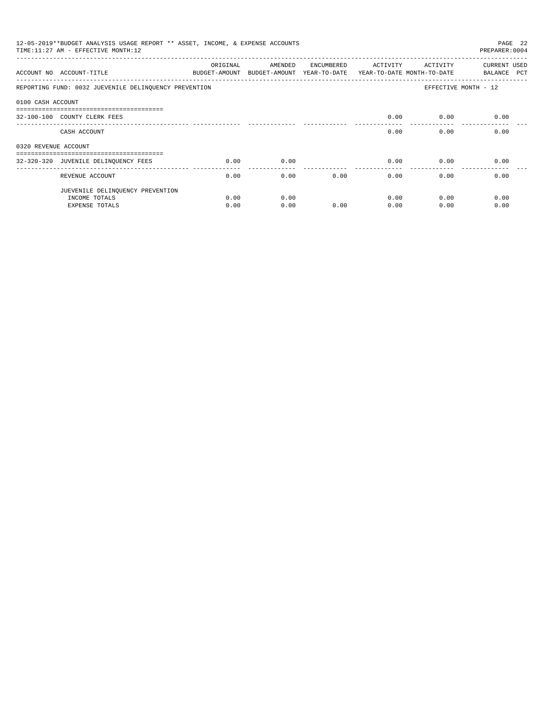| 12-05-2019**BUDGET ANALYSIS USAGE REPORT ** ASSET, INCOME, & EXPENSE ACCOUNTS<br>PAGE 22<br>TIME: 11:27 AM - EFFECTIVE MONTH: 12<br>PREPARER: 0004 |                                                                       |          |                                                                                |            |          |          |                             |  |
|----------------------------------------------------------------------------------------------------------------------------------------------------|-----------------------------------------------------------------------|----------|--------------------------------------------------------------------------------|------------|----------|----------|-----------------------------|--|
|                                                                                                                                                    | ACCOUNT NO ACCOUNT-TITLE                                              | ORIGINAL | AMENDED<br>BUDGET-AMOUNT BUDGET-AMOUNT YEAR-TO-DATE YEAR-TO-DATE MONTH-TO-DATE | ENCUMBERED | ACTIVITY | ACTIVITY | CURRENT USED<br>BALANCE PCT |  |
|                                                                                                                                                    | REPORTING FUND: 0032 JUEVENILE DELINQUENCY PREVENTION                 |          |                                                                                |            |          |          | EFFECTIVE MONTH - 12        |  |
| 0100 CASH ACCOUNT                                                                                                                                  |                                                                       |          |                                                                                |            |          |          |                             |  |
|                                                                                                                                                    | -------------------------------------<br>32-100-100 COUNTY CLERK FEES |          |                                                                                |            | 0.00     | 0.00     | 0.00                        |  |
|                                                                                                                                                    | CASH ACCOUNT                                                          |          |                                                                                |            | 0.00     | 0.00     | 0.00                        |  |
| 0320 REVENUE ACCOUNT                                                                                                                               |                                                                       |          |                                                                                |            |          |          |                             |  |
|                                                                                                                                                    | -------------------------------------                                 |          |                                                                                |            |          |          |                             |  |
|                                                                                                                                                    | 32-320-320 JUVENILE DELINQUENCY FEES                                  | 0.00     | 0.00                                                                           |            | 0.00     | 0.00     | 0.00                        |  |
|                                                                                                                                                    | REVENUE ACCOUNT                                                       | 0.00     | 0.00                                                                           | 0.00       | 0.00     | 0.00     | 0.00                        |  |
|                                                                                                                                                    | JUEVENILE DELINQUENCY PREVENTION                                      |          |                                                                                |            |          |          |                             |  |
|                                                                                                                                                    | INCOME TOTALS                                                         | 0.00     | 0.00                                                                           |            | 0.00     | 0.00     | 0.00                        |  |
|                                                                                                                                                    | EXPENSE TOTALS                                                        | 0.00     | 0.00                                                                           | 0.00       | 0.00     | 0.00     | 0.00                        |  |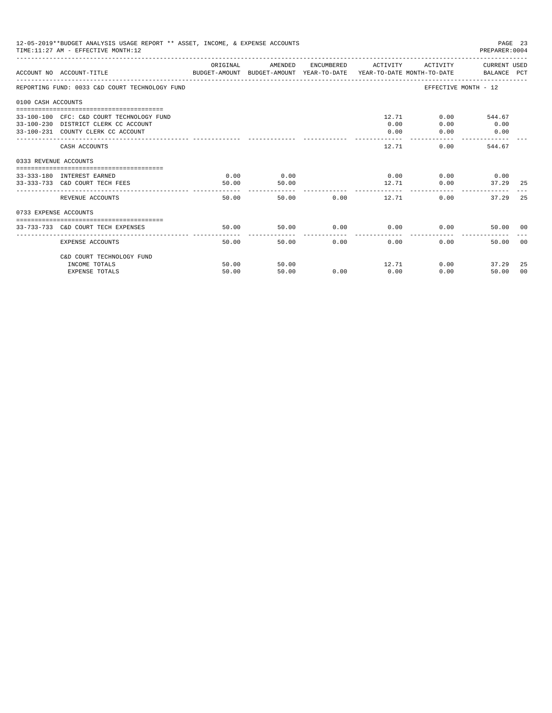| 12-05-2019**BUDGET ANALYSIS USAGE REPORT ** ASSET, INCOME, & EXPENSE ACCOUNTS<br>TIME: 11:27 AM - EFFECTIVE MONTH: 12<br>PREPARER: 0004 |                                                                                                                         |               |               |                             |              |                                              |                               |       |
|-----------------------------------------------------------------------------------------------------------------------------------------|-------------------------------------------------------------------------------------------------------------------------|---------------|---------------|-----------------------------|--------------|----------------------------------------------|-------------------------------|-------|
|                                                                                                                                         | BUDGET-AMOUNT BUDGET-AMOUNT YEAR-TO-DATE  YEAR-TO-DATE MONTH-TO-DATE     BALANCE PCT<br>ACCOUNT NO ACCOUNT-TITLE        | ORIGINAL      |               | AMENDED ENCUMBERED ACTIVITY |              |                                              | ACTIVITY CURRENT USED         |       |
|                                                                                                                                         | REPORTING FUND: 0033 C&D COURT TECHNOLOGY FUND                                                                          |               |               |                             |              |                                              | EFFECTIVE MONTH - 12          |       |
| 0100 CASH ACCOUNTS                                                                                                                      |                                                                                                                         |               |               |                             |              |                                              |                               |       |
|                                                                                                                                         | 33-100-100 CFC: C&D COURT TECHNOLOGY FUND<br>33-100-230 DISTRICT CLERK CC ACCOUNT<br>33-100-231 COUNTY CLERK CC ACCOUNT |               |               |                             | 0.00<br>0.00 | 12.71 \<br>0.00<br>0.00                      | $0.00$ 544.67<br>0.00<br>0.00 |       |
|                                                                                                                                         | CASH ACCOUNTS                                                                                                           |               |               |                             | 12.71        |                                              | 0.00<br>544.67                |       |
| 0333 REVENUE ACCOUNTS                                                                                                                   |                                                                                                                         |               |               |                             |              |                                              |                               |       |
|                                                                                                                                         | 33-333-180 INTEREST EARNED<br>33-333-733 C&D COURT TECH FEES                                                            | 0.00<br>50.00 | 0.00<br>50.00 |                             |              | $0.00$ $0.00$ $0.00$ $0.00$<br>12.71<br>0.00 | 37.29 25                      |       |
|                                                                                                                                         | REVENUE ACCOUNTS                                                                                                        | 50.00         |               | 50.00 0.00                  |              | 12.71                                        | 0.00<br>37.29                 | 2.5   |
| 0733 EXPENSE ACCOUNTS                                                                                                                   |                                                                                                                         |               |               |                             |              |                                              |                               |       |
|                                                                                                                                         | 33-733-733 C&D COURT TECH EXPENSES                                                                                      | 50.00         | 50.00         | $0.00$ 0.00                 |              |                                              | 0.00<br>50.00 00              |       |
|                                                                                                                                         | EXPENSE ACCOUNTS                                                                                                        | 50.00         |               | 50.00                       | 0.00<br>0.00 |                                              | 0.00<br>50.00                 | - 0.0 |
|                                                                                                                                         | C&D COURT TECHNOLOGY FUND                                                                                               |               |               |                             |              |                                              |                               |       |
|                                                                                                                                         | INCOME TOTALS                                                                                                           | 50.00         | 50.00         |                             |              | 12.71                                        | 0.00<br>37.29                 | -25   |
|                                                                                                                                         | <b>EXPENSE TOTALS</b>                                                                                                   | 50.00         | 50.00         | 0.00                        | 0.00         | 0.00                                         | 50.00                         | - 0.0 |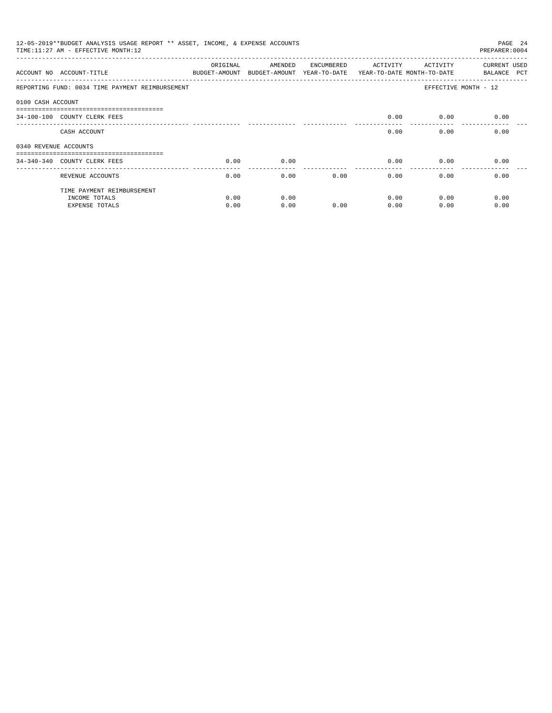|                       | 12-05-2019**BUDGET ANALYSIS USAGE REPORT ** ASSET, INCOME, & EXPENSE ACCOUNTS<br>TIME: 11:27 AM - EFFECTIVE MONTH: 12 |                           |                                       |            |                                        |                       | PAGE 24<br>PREPARER: 0004   |
|-----------------------|-----------------------------------------------------------------------------------------------------------------------|---------------------------|---------------------------------------|------------|----------------------------------------|-----------------------|-----------------------------|
|                       | ACCOUNT NO ACCOUNT-TITLE                                                                                              | ORIGINAL<br>BUDGET-AMOUNT | AMENDED<br>BUDGET-AMOUNT YEAR-TO-DATE | ENCUMBERED | ACTIVITY<br>YEAR-TO-DATE MONTH-TO-DATE | ACTIVITY              | CURRENT USED<br>BALANCE PCT |
|                       | REPORTING FUND: 0034 TIME PAYMENT REIMBURSEMENT                                                                       |                           |                                       |            |                                        | EFFECTIVE MONTH - 12  |                             |
| 0100 CASH ACCOUNT     |                                                                                                                       |                           |                                       |            |                                        |                       |                             |
|                       | ------------------------------<br>34-100-100 COUNTY CLERK FEES                                                        |                           |                                       |            | 0.00                                   | 0.00                  | 0.00                        |
|                       | CASH ACCOUNT                                                                                                          |                           |                                       |            | 0.00                                   | 0.00                  | 0.00                        |
| 0340 REVENUE ACCOUNTS |                                                                                                                       |                           |                                       |            |                                        |                       |                             |
|                       | 34-340-340 COUNTY CLERK FEES                                                                                          | 0.00                      | 0.00                                  |            | 0.00                                   | 0.00                  | 0.00                        |
|                       | REVENUE ACCOUNTS                                                                                                      | 0.00                      | 0.00                                  | 0.00       | 0.00                                   | -------------<br>0.00 | 0.00                        |
|                       | TIME PAYMENT REIMBURSEMENT                                                                                            |                           |                                       |            |                                        |                       |                             |
|                       | INCOME TOTALS                                                                                                         | 0.00                      | 0.00                                  |            | 0.00                                   | 0.00                  | 0.00                        |
|                       | <b>EXPENSE TOTALS</b>                                                                                                 | 0.00                      | 0.00                                  | 0.00       | 0.00                                   | 0.00                  | 0.00                        |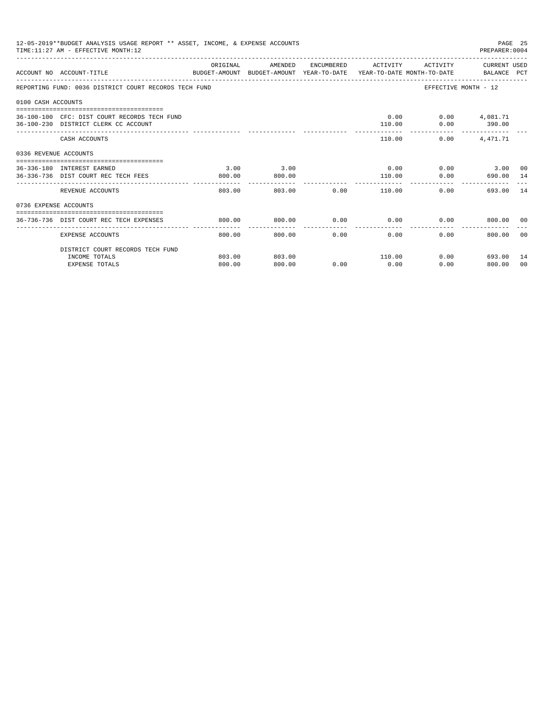|                       | 12-05-2019**BUDGET ANALYSIS USAGE REPORT ** ASSET, INCOME, & EXPENSE ACCOUNTS<br>TIME: 11:27 AM - EFFECTIVE MONTH: 12 |                           |                  |      |                |                          | PAGE 25<br>PREPARER: 0004                    |          |
|-----------------------|-----------------------------------------------------------------------------------------------------------------------|---------------------------|------------------|------|----------------|--------------------------|----------------------------------------------|----------|
|                       | ACCOUNT NO ACCOUNT-TITLE<br>BUDGET-AMOUNT BUDGET-AMOUNT YEAR-TO-DATE YEAR-TO-DATE MONTH-TO-DATE BALANCE PCT           | ORIGINAL                  | AMENDED          |      |                |                          | ENCUMBERED ACTIVITY ACTIVITY CURRENT USED    |          |
|                       | REPORTING FUND: 0036 DISTRICT COURT RECORDS TECH FUND                                                                 |                           |                  |      |                |                          | EFFECTIVE MONTH - 12                         |          |
| 0100 CASH ACCOUNTS    |                                                                                                                       |                           |                  |      |                |                          |                                              |          |
|                       | 36-100-100 CFC: DIST COURT RECORDS TECH FUND<br>36-100-230 DISTRICT CLERK CC ACCOUNT                                  |                           |                  |      | 110.00         | $0.00$ $0.00$ $4.081.71$ | $0.00$ 390.00                                |          |
|                       | CASH ACCOUNTS                                                                                                         |                           |                  |      |                | 110.00                   | 0.00<br>4,471.71                             |          |
| 0336 REVENUE ACCOUNTS |                                                                                                                       |                           |                  |      |                |                          |                                              |          |
|                       | 36-336-180 INTEREST EARNED<br>36-336-736 DIST COURT REC TECH FEES                                                     | 3.00<br>800.00            | 3.00<br>800.00   |      | 110.00         |                          | $0.00$ $0.00$ $3.00$ $0$<br>$0.00$ 690.00 14 |          |
|                       | REVENUE ACCOUNTS                                                                                                      | $- - - - - - -$<br>803.00 | 803.00           |      | $0.00$ 110.00  |                          | 693.00<br>0.00                               | 14       |
| 0736 EXPENSE ACCOUNTS |                                                                                                                       |                           |                  |      |                |                          |                                              |          |
|                       | 36-736-736 DIST COURT REC TECH EXPENSES                                                                               | 800.00                    | 800.00           | 0.00 |                |                          | $0.00$ $0.00$ $800.00$ 00                    |          |
|                       | EXPENSE ACCOUNTS                                                                                                      | 800.00                    | 800.00           | 0.00 | 0.00           | 0.00                     | 800.00                                       | 00       |
|                       | DISTRICT COURT RECORDS TECH FUND                                                                                      |                           |                  |      |                |                          |                                              |          |
|                       | INCOME TOTALS<br><b>EXPENSE TOTALS</b>                                                                                | 803.00<br>800.00          | 803.00<br>800.00 | 0.00 | 110.00<br>0.00 |                          | $0.00$ 693.00<br>0.00<br>800.00              | 14<br>00 |
|                       |                                                                                                                       |                           |                  |      |                |                          |                                              |          |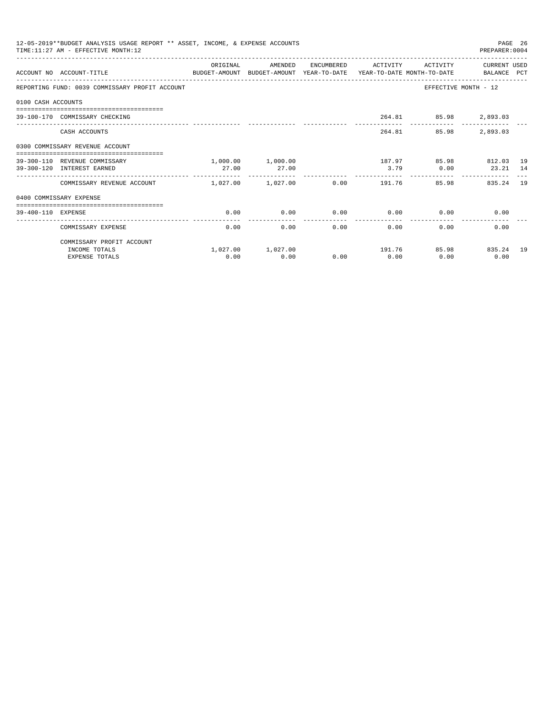|                    | 12-05-2019**BUDGET ANALYSIS USAGE REPORT ** ASSET, INCOME, & EXPENSE ACCOUNTS<br>TIME: 11:27 AM - EFFECTIVE MONTH: 12 |          |                       |                                   |                       |                                        | PAGE 26<br>PREPARER: 0004 |  |
|--------------------|-----------------------------------------------------------------------------------------------------------------------|----------|-----------------------|-----------------------------------|-----------------------|----------------------------------------|---------------------------|--|
|                    | ACCOUNT NO ACCOUNT-TITLE<br>BUDGET-AMOUNT BUDGET-AMOUNT YEAR-TO-DATE YEAR-TO-DATE MONTH-TO-DATE BALANCE PCT           | ORIGINAL | AMENDED               |                                   | ENCUMBERED ACTIVITY   | ACTIVITY                               | CURRENT USED              |  |
|                    | REPORTING FUND: 0039 COMMISSARY PROFIT ACCOUNT                                                                        |          |                       |                                   |                       | EFFECTIVE MONTH - 12                   |                           |  |
| 0100 CASH ACCOUNTS |                                                                                                                       |          |                       |                                   |                       |                                        |                           |  |
|                    | 39-100-170 COMMISSARY CHECKING                                                                                        |          |                       |                                   |                       | 264.81 85.98 2,893.03                  |                           |  |
|                    | CASH ACCOUNTS                                                                                                         |          |                       |                                   |                       | 264.81 85.98                           | 2,893.03                  |  |
|                    | 0300 COMMISSARY REVENUE ACCOUNT                                                                                       |          |                       |                                   |                       |                                        |                           |  |
|                    | 39-300-110 REVENUE COMMISSARY                                                                                         |          | 1,000.00 1,000.00     |                                   |                       | 187.97 85.98 812.03 19                 |                           |  |
|                    | 39-300-120 INTEREST EARNED                                                                                            | 27.00    | 27.00                 | _________________________________ | 3.79                  | 0.00                                   | 23.21 14                  |  |
|                    | COMMISSARY REVENUE ACCOUNT 1.027.00 1.027.00                                                                          |          |                       |                                   | $0.00$ 191.76         | 85.98                                  | 835.24 19                 |  |
|                    | 0400 COMMISSARY EXPENSE                                                                                               |          |                       |                                   |                       |                                        |                           |  |
| 39-400-110 EXPENSE | =====================================                                                                                 | 0.00     | 0.00                  |                                   |                       | $0.00$ $0.00$ $0.00$ $0.00$            | 0.00                      |  |
|                    | COMMISSARY EXPENSE                                                                                                    | 0.00     | 0.00                  | ------------                      | -------------<br>0.00 | $0.00$ and $0.00$<br>$0.00$ and $0.00$ | 0.00                      |  |
|                    | COMMISSARY PROFIT ACCOUNT                                                                                             |          |                       |                                   |                       |                                        |                           |  |
|                    | INCOME TOTALS                                                                                                         |          | $1.027.00$ $1.027.00$ |                                   |                       | 191.76 85.98 835.24 19                 |                           |  |
|                    | <b>EXPENSE TOTALS</b>                                                                                                 | 0.00     | 0.00                  | 0.00                              | 0.00                  | 0.00                                   | 0.00                      |  |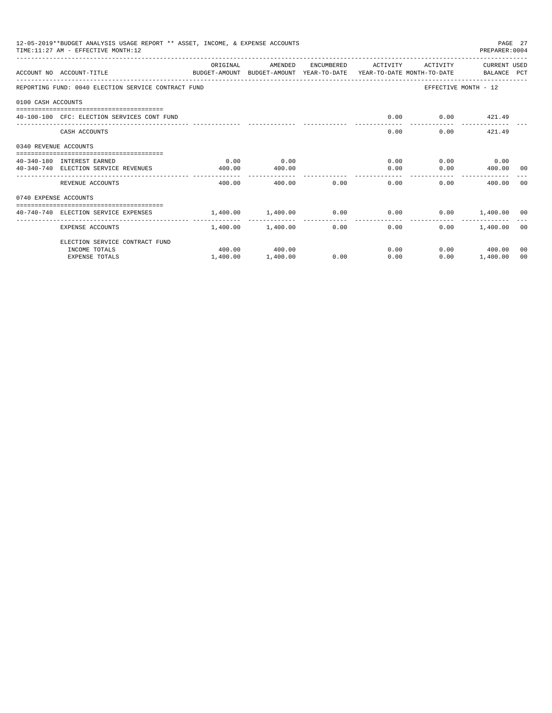|                       | 12-05-2019**BUDGET ANALYSIS USAGE REPORT ** ASSET, INCOME, & EXPENSE ACCOUNTS<br>TIME: 11:27 AM - EFFECTIVE MONTH: 12 |                                                            |                   |              |                                       |                   | PREPARER: 0004       | PAGE 27 |
|-----------------------|-----------------------------------------------------------------------------------------------------------------------|------------------------------------------------------------|-------------------|--------------|---------------------------------------|-------------------|----------------------|---------|
|                       | ACCOUNT NO ACCOUNT-TITLE<br>BUDGET-AMOUNT BUDGET-AMOUNT YEAR-TO-DATE YEAR-TO-DATE MONTH-TO-DATE BALANCE PCT           | ORIGINAL                                                   | AMENDED           |              | ENCUMBERED ACTIVITY                   | ACTIVITY          | CURRENT USED         |         |
|                       | REPORTING FUND: 0040 ELECTION SERVICE CONTRACT FUND                                                                   |                                                            |                   |              |                                       |                   | EFFECTIVE MONTH - 12 |         |
| 0100 CASH ACCOUNTS    |                                                                                                                       |                                                            |                   |              |                                       |                   |                      |         |
|                       | 40-100-100 CFC: ELECTION SERVICES CONT FUND                                                                           |                                                            |                   |              | 0.00                                  |                   | $0.00$ $421.49$      |         |
|                       | CASH ACCOUNTS                                                                                                         |                                                            |                   |              | 0.00                                  |                   | $0.00$ $421.49$      |         |
| 0340 REVENUE ACCOUNTS |                                                                                                                       |                                                            |                   |              |                                       |                   |                      |         |
|                       | 40-340-180 INTEREST EARNED                                                                                            | 0.00                                                       | 0.00              |              |                                       | 0.00              | $0.00$ 0.00          |         |
|                       | 40-340-740 ELECTION SERVICE REVENUES                                                                                  | 400.00                                                     | 400.00            |              |                                       | 0.00              | $0.00$ 400.00 00     |         |
|                       | REVENUE ACCOUNTS                                                                                                      | 400.00                                                     | 400.00            | 0.00         | 0.00                                  |                   | 0.00<br>400.00       | - 00    |
| 0740 EXPENSE ACCOUNTS |                                                                                                                       |                                                            |                   |              |                                       |                   |                      |         |
|                       | 40-740-740 ELECTION SERVICE EXPENSES                                                                                  | $1,400.00$ $1,400.00$ $0.00$ $0.00$ $0.00$ $1,400.00$ $00$ |                   |              |                                       |                   |                      |         |
|                       | EXPENSE ACCOUNTS                                                                                                      |                                                            | 1,400.00 1,400.00 | ------------ | ----------------<br>$0.00$ and $0.00$ | $0.00$ and $0.00$ | $0.00$ 1.400.00 00   |         |
|                       | ELECTION SERVICE CONTRACT FUND                                                                                        |                                                            |                   |              |                                       |                   |                      |         |
|                       | INCOME TOTALS                                                                                                         |                                                            | 400.00 400.00     |              |                                       | 0.00              | $0.00$ 400.00        | 00      |
|                       | <b>EXPENSE TOTALS</b>                                                                                                 | 1,400.00                                                   | 1,400.00          | 0.00         | 0.00                                  | 0.00              | 1,400.00             | 00      |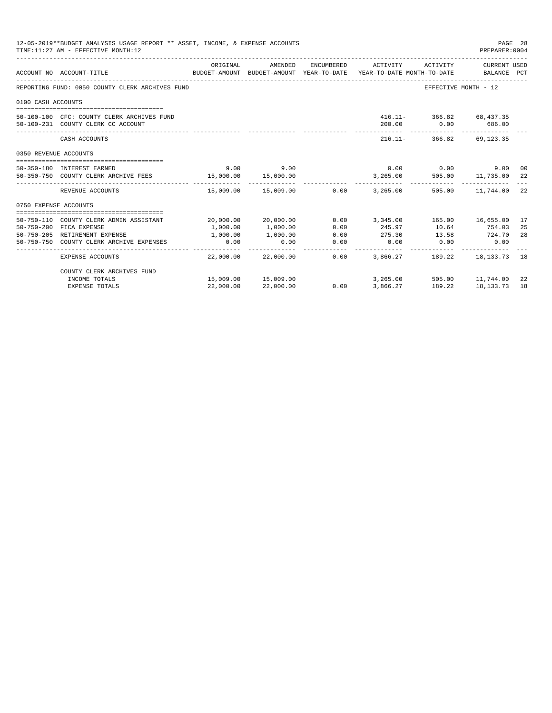|                       | 12-05-2019**BUDGET ANALYSIS USAGE REPORT ** ASSET, INCOME, & EXPENSE ACCOUNTS<br>TIME: 11:27 AM - EFFECTIVE MONTH: 12 |           |                            |                               |                                  |                                            | PAGE 28<br>PREPARER: 0004 |     |
|-----------------------|-----------------------------------------------------------------------------------------------------------------------|-----------|----------------------------|-------------------------------|----------------------------------|--------------------------------------------|---------------------------|-----|
|                       | ACCOUNT NO ACCOUNT-TITLE<br>BUDGET-AMOUNT BUDGET-AMOUNT YEAR-TO-DATE YEAR-TO-DATE MONTH-TO-DATE   BALANCE PCT         | ORIGINAL  | AMENDED                    | ENCUMBERED                    | ACTIVITY                         | ACTIVITY                                   | CURRENT USED              |     |
|                       |                                                                                                                       |           |                            |                               |                                  |                                            |                           |     |
|                       | REPORTING FUND: 0050 COUNTY CLERK ARCHIVES FUND                                                                       |           |                            |                               |                                  | EFFECTIVE MONTH - 12                       |                           |     |
| 0100 CASH ACCOUNTS    |                                                                                                                       |           |                            |                               |                                  |                                            |                           |     |
|                       |                                                                                                                       |           |                            |                               |                                  | 416.11- 366.82 68.437.35                   |                           |     |
|                       | 50-100-100 CFC: COUNTY CLERK ARCHIVES FUND<br>50-100-231 COUNTY CLERK CC ACCOUNT                                      |           |                            |                               |                                  | 200.00 0.00 686.00                         |                           |     |
|                       | CASH ACCOUNTS                                                                                                         |           |                            |                               |                                  | 216.11- 366.82 69.123.35                   |                           |     |
| 0350 REVENUE ACCOUNTS |                                                                                                                       |           |                            |                               |                                  |                                            |                           |     |
|                       |                                                                                                                       |           |                            |                               |                                  |                                            |                           |     |
|                       | 50-350-180 INTEREST EARNED                                                                                            |           | $9.00$ $9.00$              |                               |                                  | $0.00$ 0.00                                | 9.00 00                   |     |
|                       | 50-350-750 COUNTY CLERK ARCHIVE FEES 15,000.00 15,000.00                                                              |           |                            |                               |                                  | 3,265.00 505.00 11,735.00                  |                           | 22  |
|                       | REVENUE ACCOUNTS                                                                                                      |           | 15,009.00  15,009.00  0.00 |                               | 3,265.00                         |                                            | 505.00 11,744.00          | 22  |
| 0750 EXPENSE ACCOUNTS |                                                                                                                       |           |                            |                               |                                  |                                            |                           |     |
|                       | 50-750-110 COUNTY CLERK ADMIN ASSISTANT                                                                               |           | 20,000.00 20,000.00        |                               | $0.00$ 3,345.00 165.00 16,655.00 |                                            |                           | 17  |
|                       | 50-750-200 FICA EXPENSE                                                                                               | 1,000.00  | 1,000.00                   | 0.00                          | 245.97                           | 10.64 754.03                               |                           | 25  |
|                       | 50-750-205 RETIREMENT EXPENSE                                                                                         | 1,000.00  | 1,000.00                   | 0.00                          | 275.30                           | 13.58 724.70                               |                           | 28  |
|                       | 50-750-750 COUNTY CLERK ARCHIVE EXPENSES                                                                              | 0.00      | 0.00                       | 0.00                          | 0.00                             |                                            | $0.00$ 0.00               |     |
|                       | EXPENSE ACCOUNTS                                                                                                      |           | 22,000.00 22,000.00        | ------------ <i>-</i><br>0.00 |                                  | -------------<br>3,866.27 189.22 18,133.73 |                           | 18  |
|                       | COUNTY CLERK ARCHIVES FUND                                                                                            |           |                            |                               |                                  |                                            |                           |     |
|                       | INCOME TOTALS                                                                                                         |           | 15,009.00 15,009.00        |                               |                                  | 3,265.00 505.00 11,744.00                  |                           | -22 |
|                       | <b>EXPENSE TOTALS</b>                                                                                                 | 22,000.00 | 22,000.00                  | 0.00                          | 3,866.27                         | 189.22                                     | 18, 133, 73               | 18  |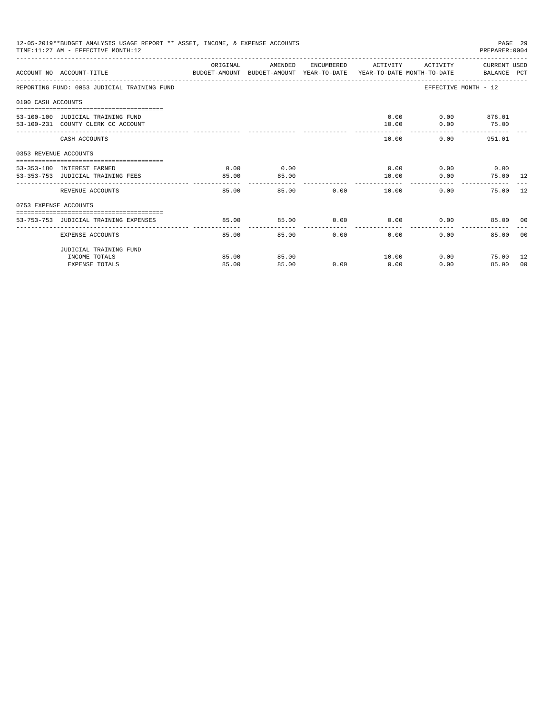|                       | 12-05-2019**BUDGET ANALYSIS USAGE REPORT ** ASSET, INCOME, & EXPENSE ACCOUNTS<br>TIME: 11:27 AM - EFFECTIVE MONTH: 12 |          |         |               |                     |                        | PAGE 29<br>PREPARER: 0004                        |    |
|-----------------------|-----------------------------------------------------------------------------------------------------------------------|----------|---------|---------------|---------------------|------------------------|--------------------------------------------------|----|
|                       | ACCOUNT NO ACCOUNT-TITLE CONTROL BUDGET-AMOUNT BUDGET-AMOUNT YEAR-TO-DATE YEAR-TO-DATE MONTH-TO-DATE BALANCE PCT      | ORIGINAL | AMENDED |               | ENCUMBERED ACTIVITY |                        | ACTIVITY CURRENT USED                            |    |
|                       | REPORTING FUND: 0053 JUDICIAL TRAINING FUND                                                                           |          |         |               |                     |                        | EFFECTIVE MONTH - 12                             |    |
| 0100 CASH ACCOUNTS    |                                                                                                                       |          |         |               |                     |                        |                                                  |    |
|                       |                                                                                                                       |          |         |               |                     |                        |                                                  |    |
|                       | 53-100-100 JUDICIAL TRAINING FUND                                                                                     |          |         |               |                     | $0.00$ $0.00$ $876.01$ |                                                  |    |
|                       | 53-100-231 COUNTY CLERK CC ACCOUNT                                                                                    |          |         |               | 10.00<br>-------    |                        | $0.00$ 75.00<br>------------ -------------       |    |
|                       | CASH ACCOUNTS                                                                                                         |          |         |               | 10.00               |                        | $0.00$ 951.01                                    |    |
| 0353 REVENUE ACCOUNTS |                                                                                                                       |          |         |               |                     |                        |                                                  |    |
|                       | 53-353-180 INTEREST EARNED                                                                                            | 0.00     | 0.00    |               |                     | $0.00$ 0.00 0.00 0.00  |                                                  |    |
|                       | 53-353-753 JUDICIAL TRAINING FEES                                                                                     | 85.00    | 85.00   |               | 10.00               | 0.00                   | 75.00 12                                         |    |
|                       |                                                                                                                       |          |         |               |                     |                        |                                                  |    |
|                       | REVENUE ACCOUNTS                                                                                                      | 85.00    |         | 85.00         | 0.00                | 10.00                  | 0.00<br>75.00 12                                 |    |
| 0753 EXPENSE ACCOUNTS |                                                                                                                       |          |         |               |                     |                        |                                                  |    |
|                       |                                                                                                                       |          |         |               |                     |                        |                                                  |    |
|                       | 53-753-753 JUDICIAL TRAINING EXPENSES                                                                                 | 85.00    | 85.00   |               |                     |                        | $0.00$ $0.00$ $0.00$ $0.00$ $0.50$ $0.00$ $0.00$ |    |
|                       | EXPENSE ACCOUNTS                                                                                                      | 85.00    |         | 0.00<br>85.00 | 0.00                | 0.00                   | 85.00 00                                         |    |
|                       | JUDICIAL TRAINING FUND                                                                                                |          |         |               |                     |                        |                                                  |    |
|                       | INCOME TOTALS                                                                                                         | 85.00    | 85.00   |               | 10.00               |                        | $0.00$ 75.00 12                                  |    |
|                       | <b>EXPENSE TOTALS</b>                                                                                                 | 85.00    | 85.00   | 0.00          | 0.00                | 0.00                   | 85.00                                            | 00 |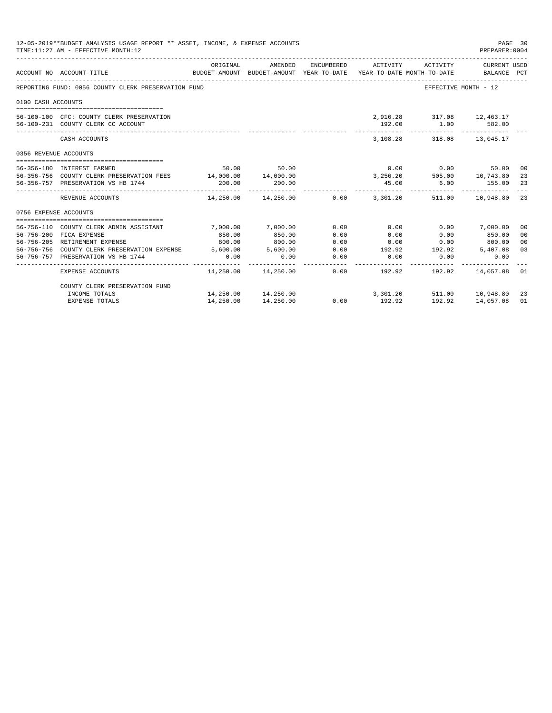|                       | 12-05-2019**BUDGET ANALYSIS USAGE REPORT ** ASSET, INCOME, & EXPENSE ACCOUNTS<br>TIME: 11:27 AM - EFFECTIVE MONTH: 12 |             |                               |                 |                     |                           | PAGE 30<br>PREPARER: 0004                                                                       |                |
|-----------------------|-----------------------------------------------------------------------------------------------------------------------|-------------|-------------------------------|-----------------|---------------------|---------------------------|-------------------------------------------------------------------------------------------------|----------------|
|                       | ACCOUNT NO ACCOUNT-TITLE                                                                                              | ORIGINAL    | AMENDED                       |                 | ENCUMBERED ACTIVITY | ACTIVITY                  | CURRENT USED<br>BUDGET-AMOUNT BUDGET-AMOUNT YEAR-TO-DATE YEAR-TO-DATE MONTH-TO-DATE BALANCE PCT |                |
|                       | REPORTING FUND: 0056 COUNTY CLERK PRESERVATION FUND                                                                   |             |                               |                 |                     |                           | EFFECTIVE MONTH - 12                                                                            |                |
| 0100 CASH ACCOUNTS    |                                                                                                                       |             |                               |                 |                     |                           |                                                                                                 |                |
|                       |                                                                                                                       |             |                               |                 |                     |                           |                                                                                                 |                |
|                       | 56-100-100 CFC: COUNTY CLERK PRESERVATION                                                                             |             |                               |                 |                     | 2,916.28 317.08 12,463.17 |                                                                                                 |                |
|                       | 56-100-231 COUNTY CLERK CC ACCOUNT                                                                                    |             |                               |                 | 192.00              |                           | $1.00$ 582.00                                                                                   |                |
|                       | CASH ACCOUNTS                                                                                                         |             |                               |                 |                     | 3.108.28 318.08 13.045.17 |                                                                                                 |                |
| 0356 REVENUE ACCOUNTS |                                                                                                                       |             |                               |                 |                     |                           |                                                                                                 |                |
|                       | 56-356-180 INTEREST EARNED                                                                                            |             | 50.00 50.00                   |                 |                     | $0.00$ 0.00               | 50.00 00                                                                                        |                |
|                       | 56-356-756 COUNTY CLERK PRESERVATION FEES 14,000.00 14,000.00                                                         |             |                               |                 |                     |                           | 3, 256. 20 505. 00 10, 743. 80                                                                  | 23             |
|                       | 56-356-757 PRESERVATION VS HB 1744                                                                                    | 200.00      | 200.00                        |                 | 45.00               |                           | $6.00$ 155.00                                                                                   | 23             |
|                       | REVENUE ACCOUNTS                                                                                                      | ----------- |                               |                 |                     |                           | $14,250.00$ $14,250.00$ $0.00$ $3,301.20$ $511.00$ $10,948.80$ 23                               |                |
| 0756 EXPENSE ACCOUNTS |                                                                                                                       |             |                               |                 |                     |                           |                                                                                                 |                |
|                       |                                                                                                                       |             |                               |                 |                     |                           |                                                                                                 |                |
|                       | 56-756-110 COUNTY CLERK ADMIN ASSISTANT                                                                               | 7,000.00    | 7.000.00                      | 0.00            | 0.00                |                           | $0.00$ 7,000.00                                                                                 | 00             |
|                       | 56-756-200 FICA EXPENSE                                                                                               | 850.00      | 850.00                        | 0.00            | 0.00                | 0.00                      | 850.00                                                                                          | 0 <sub>0</sub> |
|                       | 56-756-205 RETIREMENT EXPENSE                                                                                         | 800.00      | 800.00                        | 0.00            |                     | $0.00$ $0.00$ $800.00$    |                                                                                                 | 0 <sup>0</sup> |
|                       | 56-756-756 COUNTY CLERK PRESERVATION EXPENSE 5.600.00 5.600.00                                                        |             |                               | 0.00            |                     |                           | 192.92 192.92 5,407.08                                                                          | 03             |
|                       | 56-756-757 PRESERVATION VS HB 1744                                                                                    | 0.00        | 0.00<br>- - - - - - - - - - - | 0.00<br>------- | 0.00                | 0.00<br>.                 | 0.00                                                                                            |                |
|                       | EXPENSE ACCOUNTS                                                                                                      |             |                               |                 |                     |                           | $14.250.00$ $14.250.00$ $0.00$ $192.92$ $192.92$ $14.057.08$ 01                                 |                |
|                       | COUNTY CLERK PRESERVATION FUND                                                                                        |             |                               |                 |                     |                           |                                                                                                 |                |
|                       | INCOME TOTALS                                                                                                         |             | 14,250.00  14,250.00          |                 |                     |                           | 3,301.20 511.00 10,948.80 23                                                                    |                |
|                       | <b>EXPENSE TOTALS</b>                                                                                                 | 14,250.00   | 14,250.00                     | 0.00            | 192.92              | 192.92                    | 14,057.08                                                                                       | 01             |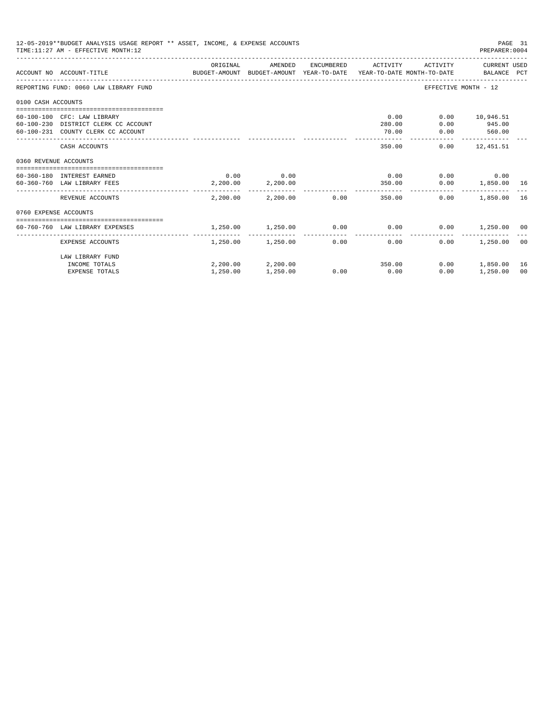| ACTIVITY CURRENT USED<br>BUDGET-AMOUNT BUDGET-AMOUNT YEAR-TO-DATE YEAR-TO-DATE MONTH-TO-DATE BALANCE PCT<br>EFFECTIVE MONTH - 12 |                                                                                                                                                                                                          |
|----------------------------------------------------------------------------------------------------------------------------------|----------------------------------------------------------------------------------------------------------------------------------------------------------------------------------------------------------|
|                                                                                                                                  |                                                                                                                                                                                                          |
|                                                                                                                                  |                                                                                                                                                                                                          |
|                                                                                                                                  |                                                                                                                                                                                                          |
|                                                                                                                                  |                                                                                                                                                                                                          |
|                                                                                                                                  |                                                                                                                                                                                                          |
|                                                                                                                                  |                                                                                                                                                                                                          |
|                                                                                                                                  |                                                                                                                                                                                                          |
|                                                                                                                                  | <sup>16</sup>                                                                                                                                                                                            |
|                                                                                                                                  |                                                                                                                                                                                                          |
|                                                                                                                                  |                                                                                                                                                                                                          |
|                                                                                                                                  |                                                                                                                                                                                                          |
|                                                                                                                                  | 00                                                                                                                                                                                                       |
|                                                                                                                                  | $0.00$ 10,946.51<br>945.00<br>560.00<br>-------------<br>$0.00$ 12,451.51<br>$0.00$ 0.00<br>$0.00$ 1,850.00 16<br>$0.00$ 1,850.00<br>$0.00$ 1,250.00 00<br>1,250.00 00<br>$0.00$ 1,850.00 16<br>1,250.00 |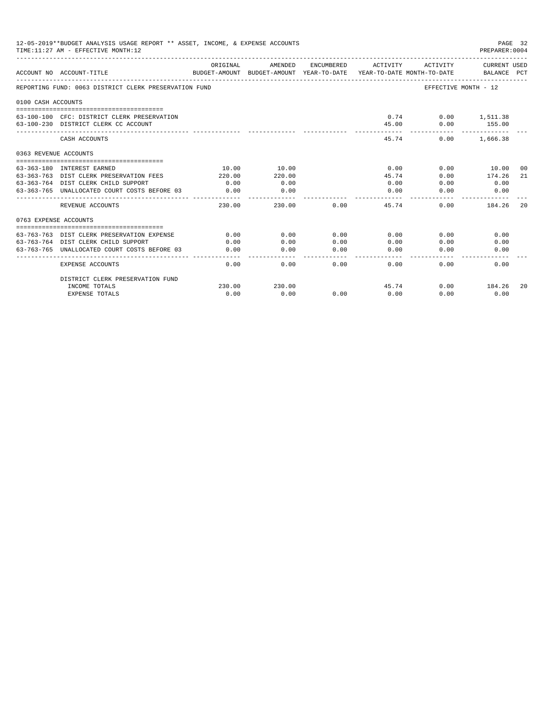|                       | 12-05-2019**BUDGET ANALYSIS USAGE REPORT ** ASSET, INCOME, & EXPENSE ACCOUNTS<br>TIME: 11:27 AM - EFFECTIVE MONTH: 12 |                       |                                                     |            |                         |                                        | PAGE 32<br>PREPARER: 0004          |       |
|-----------------------|-----------------------------------------------------------------------------------------------------------------------|-----------------------|-----------------------------------------------------|------------|-------------------------|----------------------------------------|------------------------------------|-------|
|                       | ACCOUNT NO ACCOUNT-TITLE                                                                                              | ORIGINAL              | AMENDED<br>BUDGET-AMOUNT BUDGET-AMOUNT YEAR-TO-DATE | ENCUMBERED | ACTIVITY                | ACTIVITY<br>YEAR-TO-DATE MONTH-TO-DATE | <b>CURRENT USED</b><br>BALANCE PCT |       |
|                       | REPORTING FUND: 0063 DISTRICT CLERK PRESERVATION FUND                                                                 |                       |                                                     |            |                         |                                        | EFFECTIVE MONTH - 12               |       |
| 0100 CASH ACCOUNTS    |                                                                                                                       |                       |                                                     |            |                         |                                        |                                    |       |
|                       | 63-100-100 CFC: DISTRICT CLERK PRESERVATION<br>63-100-230 DISTRICT CLERK CC ACCOUNT                                   |                       |                                                     |            | 0.74<br>45.00           | 0.00                                   | $0.00$ 1,511.38<br>155.00          |       |
|                       | CASH ACCOUNTS                                                                                                         |                       |                                                     |            | 45.74                   | 0.00                                   | 1,666.38                           |       |
| 0363 REVENUE ACCOUNTS |                                                                                                                       |                       |                                                     |            |                         |                                        |                                    |       |
|                       |                                                                                                                       |                       |                                                     |            |                         |                                        |                                    |       |
|                       | 63-363-180 INTEREST EARNED                                                                                            | 10.00                 | 10.00                                               |            | 0.00                    | 0.00                                   | 10.00                              | - 0.0 |
|                       | 63-363-763 DIST CLERK PRESERVATION FEES                                                                               | 220.00                | 220.00                                              |            | 45.74                   | 0.00                                   | 174.26                             | 21    |
|                       | 63-363-764 DIST CLERK CHILD SUPPORT                                                                                   | 0.00                  | 0.00                                                |            | 0.00                    | 0.00                                   | 0.00                               |       |
|                       | 63-363-765 UNALLOCATED COURT COSTS BEFORE 03                                                                          | 0.00<br>------------- | 0.00<br>-------                                     |            | 0.00<br>$- - - - - - -$ | 0.00                                   | 0.00                               |       |
|                       | REVENUE ACCOUNTS                                                                                                      | 230.00                | 230.00                                              | 0.00       | 45.74                   | 0.00                                   | 184.26                             | 2.0   |
| 0763 EXPENSE ACCOUNTS |                                                                                                                       |                       |                                                     |            |                         |                                        |                                    |       |
|                       |                                                                                                                       |                       |                                                     |            |                         |                                        |                                    |       |
|                       | 63-763-763 DIST CLERK PRESERVATION EXPENSE                                                                            | 0.00                  | 0.00                                                | 0.00       | 0.00                    | 0.00                                   | 0.00                               |       |
|                       | 63-763-764 DIST CLERK CHILD SUPPORT                                                                                   | 0.00                  | 0.00                                                | 0.00       | 0.00                    | 0.00                                   | 0.00                               |       |
|                       | 63-763-765 UNALLOCATED COURT COSTS BEFORE 03                                                                          | 0.00                  | 0.00                                                | 0.00       | 0.00<br>$- - - -$       | 0.00                                   | 0.00                               |       |
|                       | <b>EXPENSE ACCOUNTS</b>                                                                                               | 0.00                  | 0.00                                                | 0.00       | 0.00                    | 0.00                                   | 0.00                               |       |
|                       | DISTRICT CLERK PRESERVATION FUND                                                                                      |                       |                                                     |            |                         |                                        |                                    |       |
|                       | INCOME TOTALS                                                                                                         | 230.00                | 230.00                                              |            | 45.74                   | 0.00                                   | 184.26                             | 20    |
|                       | <b>EXPENSE TOTALS</b>                                                                                                 | 0.00                  | 0.00                                                | 0.00       | 0.00                    | 0.00                                   | 0.00                               |       |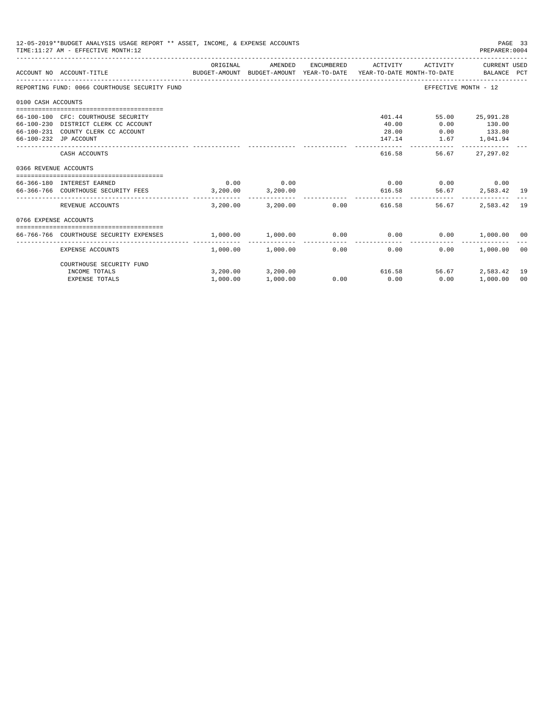|                       | 12-05-2019**BUDGET ANALYSIS USAGE REPORT ** ASSET, INCOME, & EXPENSE ACCOUNTS<br>TIME: 11:27 AM - EFFECTIVE MONTH: 12                      |                                            |                               |                      |                       |                                        | PAGE 33<br>PREPARER: 0004                  |                      |
|-----------------------|--------------------------------------------------------------------------------------------------------------------------------------------|--------------------------------------------|-------------------------------|----------------------|-----------------------|----------------------------------------|--------------------------------------------|----------------------|
|                       | BUDGET-AMOUNT BUDGET-AMOUNT YEAR-TO-DATE YEAR-TO-DATE MONTH-TO-DATE     BALANCE PCT<br>ACCOUNT NO ACCOUNT-TITLE                            | ORIGINAL                                   | AMENDED                       | ENCUMBERED           | ACTIVITY              | ACTIVITY                               | CURRENT USED                               |                      |
|                       | REPORTING FUND: 0066 COURTHOUSE SECURITY FUND                                                                                              |                                            |                               |                      |                       |                                        | EFFECTIVE MONTH - 12                       |                      |
| 0100 CASH ACCOUNTS    |                                                                                                                                            |                                            |                               |                      |                       |                                        |                                            |                      |
|                       | 66-100-100 CFC: COURTHOUSE SECURITY<br>66-100-230 DISTRICT CLERK CC ACCOUNT<br>66-100-231 COUNTY CLERK CC ACCOUNT<br>66-100-232 JP ACCOUNT |                                            |                               |                      | 40.00<br>28.00        | 401.44<br>0.00<br>147.14 1.67 1,041.94 | 55.00 25,991.28<br>130.00<br>$0.00$ 133.80 |                      |
|                       | CASH ACCOUNTS                                                                                                                              |                                            |                               |                      | 616.58                | 56.67                                  | 27,297.02                                  |                      |
| 0366 REVENUE ACCOUNTS |                                                                                                                                            |                                            |                               |                      |                       |                                        |                                            |                      |
|                       | --------------------------------------<br>66-366-180 INTEREST EARNED<br>66-366-766 COURTHOUSE SECURITY FEES 3.200.00 3.200.00              | 0.00                                       | 0.00                          |                      |                       | $0.00$ $0.00$ $0.00$ $0.00$<br>616.58  | 56.67 2.583.42 19                          |                      |
|                       | REVENUE ACCOUNTS                                                                                                                           | 3,200.00                                   |                               | 3,200.00 0.00        | -----------<br>616.58 | 56.67                                  | 2,583.42                                   | 19                   |
| 0766 EXPENSE ACCOUNTS |                                                                                                                                            |                                            |                               |                      |                       |                                        |                                            |                      |
|                       | 66-766-766 COURTHOUSE SECURITY EXPENSES                                                                                                    | $1,000.00$ $1,000.00$ $0.00$ $0.00$ $0.00$ |                               |                      |                       |                                        | $0.00$ 1,000.00 00                         |                      |
|                       | EXPENSE ACCOUNTS                                                                                                                           |                                            | $1.000.00$ $1.000.00$         | ------------<br>0.00 | -------------<br>0.00 | 0.00                                   | 1,000.00                                   | ററ                   |
|                       | COURTHOUSE SECURITY FUND                                                                                                                   |                                            |                               |                      |                       |                                        |                                            |                      |
|                       | INCOME TOTALS<br><b>EXPENSE TOTALS</b>                                                                                                     | 1,000.00                                   | 3,200.00 3,200.00<br>1,000.00 | 0.00                 | 0.00                  | 616.58<br>56.67<br>0.00                | 2,583.42<br>1,000.00                       | 19<br>0 <sup>0</sup> |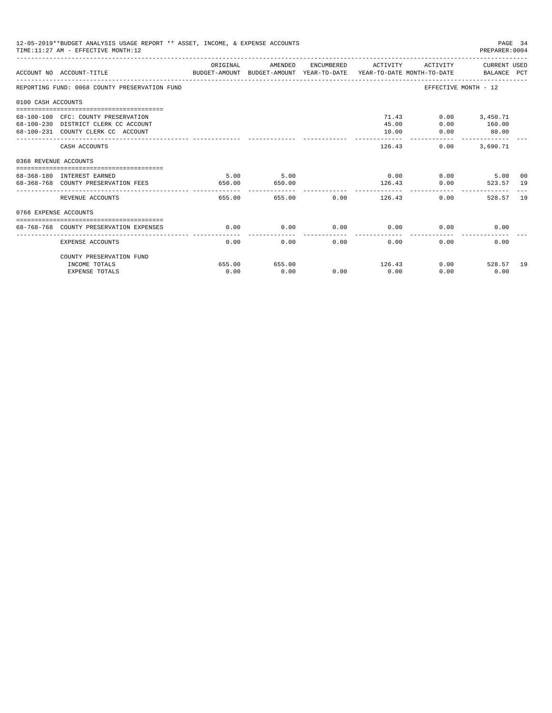|                       | 12-05-2019**BUDGET ANALYSIS USAGE REPORT ** ASSET, INCOME, & EXPENSE ACCOUNTS<br>TIME: 11:27 AM - EFFECTIVE MONTH: 12  |                |                                 |      |                                  |                       | PAGE 34<br>PREPARER: 0004                           |               |
|-----------------------|------------------------------------------------------------------------------------------------------------------------|----------------|---------------------------------|------|----------------------------------|-----------------------|-----------------------------------------------------|---------------|
|                       | ACCOUNT NO ACCOUNT-TITLE COMPARENT AND BUDGET-AMOUNT BUDGET-AMOUNT YEAR-TO-DATE YEAR-TO-DATE MONTH-TO-DATE BALANCE PCT | ORIGINAL       | AMENDED                         |      | ENCUMBERED ACTIVITY              |                       | ACTIVITY CURRENT USED                               |               |
|                       | REPORTING FUND: 0068 COUNTY PRESERVATION FUND                                                                          |                |                                 |      |                                  |                       | EFFECTIVE MONTH - 12                                |               |
| 0100 CASH ACCOUNTS    |                                                                                                                        |                |                                 |      |                                  |                       |                                                     |               |
|                       | 68-100-100 CFC: COUNTY PRESERVATION<br>68-100-230 DISTRICT CLERK CC ACCOUNT<br>68-100-231 COUNTY CLERK CC ACCOUNT      |                |                                 |      | 45.00<br>10.00<br>______________ | 71.43<br>0.00<br>0.00 | $0.00$ 3,450.71<br>160.00<br>80.00<br>------------- |               |
|                       | CASH ACCOUNTS                                                                                                          |                |                                 |      |                                  | 126.43                | $0.00$ 3,690.71                                     |               |
| 0368 REVENUE ACCOUNTS |                                                                                                                        |                |                                 |      |                                  |                       |                                                     |               |
|                       | 68-368-180 INTEREST EARNED<br>68-368-768 COUNTY PRESERVATION FEES                                                      | 5.00<br>650.00 | 5.00<br>650.00<br>------------- |      | 126.43                           |                       | $0.00$ $0.00$ $5.00$<br>0.00<br>523.57 19           | 00            |
|                       | REVENUE ACCOUNTS                                                                                                       | 655.00         |                                 |      | 655.00 0.00 126.43               |                       | 0.00<br>528.57                                      | <sup>19</sup> |
| 0768 EXPENSE ACCOUNTS |                                                                                                                        |                |                                 |      |                                  |                       |                                                     |               |
|                       | 68-768-768 COUNTY PRESERVATION EXPENSES                                                                                | 0.00           | 0.00                            |      | $0.00$ 0.00                      |                       | 0.00<br>0.00                                        |               |
|                       | <b>EXPENSE ACCOUNTS</b>                                                                                                | 0.00           | 0.00                            | 0.00 | 0.00                             | 0.00                  | 0.00                                                |               |
|                       | COUNTY PRESERVATION FUND                                                                                               |                |                                 |      |                                  |                       |                                                     |               |
|                       | INCOME TOTALS                                                                                                          | 655.00         | 655.00                          |      | 126.43                           |                       | $0.00$ 528.57                                       | 19            |
|                       | <b>EXPENSE TOTALS</b>                                                                                                  | 0.00           | 0.00                            | 0.00 | 0.00                             | 0.00                  | 0.00                                                |               |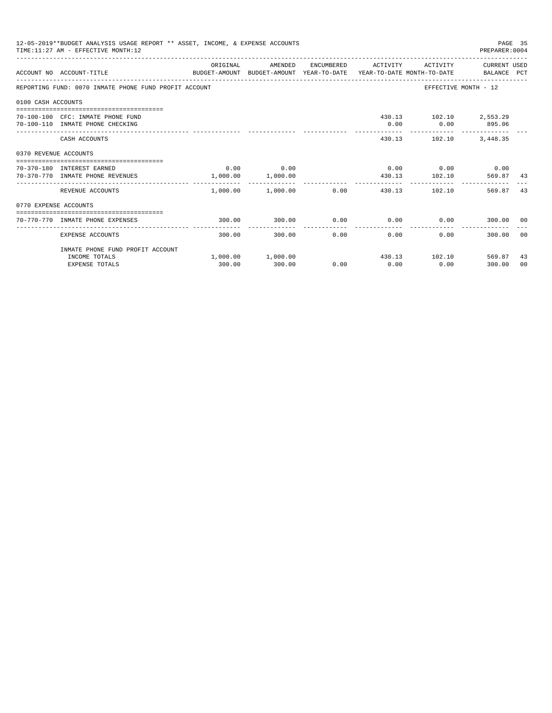| ORIGINAL<br>AMENDED<br>ENCUMBERED ACTIVITY<br>ACTIVITY CURRENT USED<br>ACCOUNT NO ACCOUNT-TITLE<br>BUDGET-AMOUNT BUDGET-AMOUNT YEAR-TO-DATE YEAR-TO-DATE MONTH-TO-DATE BALANCE PCT<br>REPORTING FUND: 0070 INMATE PHONE FUND PROFIT ACCOUNT<br>EFFECTIVE MONTH - 12<br>0100 CASH ACCOUNTS | PREPARER: 0004     |
|-------------------------------------------------------------------------------------------------------------------------------------------------------------------------------------------------------------------------------------------------------------------------------------------|--------------------|
|                                                                                                                                                                                                                                                                                           |                    |
|                                                                                                                                                                                                                                                                                           |                    |
|                                                                                                                                                                                                                                                                                           |                    |
| 430.13 102.10 2,553.29<br>70-100-100 CFC: INMATE PHONE FUND<br>70-100-110 INMATE PHONE CHECKING<br>0.00<br>$0.00$ 895.06<br>________________________________                                                                                                                              |                    |
| 430.13 102.10 3,448.35<br>CASH ACCOUNTS                                                                                                                                                                                                                                                   |                    |
| 0370 REVENUE ACCOUNTS                                                                                                                                                                                                                                                                     |                    |
| $0.00$ 0.00<br>$0.00$ $0.00$ $0.00$ $0.00$ $0.00$<br>70-370-180 INTEREST EARNED<br>1,000.00 1,000.00<br>430.13 102.10 569.87<br>70-370-770 INMATE PHONE REVENUES                                                                                                                          | -43                |
| $1.000.00$ $1.000.00$ 0.00<br>REVENUE ACCOUNTS<br>430.13 102.10                                                                                                                                                                                                                           | 569.87<br>43       |
| 0770 EXPENSE ACCOUNTS                                                                                                                                                                                                                                                                     |                    |
| $0.00$ $0.00$ $0.00$ $0.00$<br>300.00<br>300.00<br>70-770-770 INMATE PHONE EXPENSES                                                                                                                                                                                                       | 300.00 00          |
| 0.00<br>0.00<br>0.00<br>EXPENSE ACCOUNTS<br>300.00<br>300.00                                                                                                                                                                                                                              | 300.00 00          |
| INMATE PHONE FUND PROFIT ACCOUNT                                                                                                                                                                                                                                                          |                    |
| $1,000.00$ $1,000.00$<br>430.13 102.10 569.87<br>INCOME TOTALS<br>300.00<br>0.00<br>0.00<br>0.00<br>300.00<br><b>EXPENSE TOTALS</b>                                                                                                                                                       | 43<br>300.00<br>00 |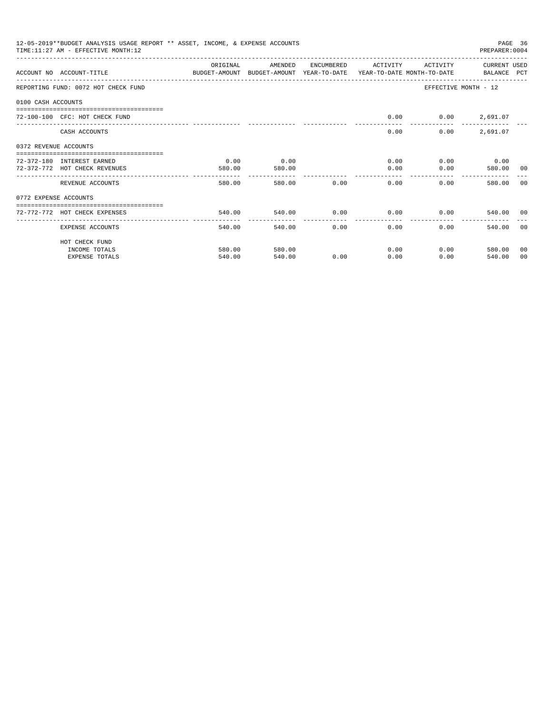|                       | 12-05-2019**BUDGET ANALYSIS USAGE REPORT ** ASSET, INCOME, & EXPENSE ACCOUNTS<br>PAGE 36<br>TIME: 11:27 AM - EFFECTIVE MONTH: 12<br>PREPARER: 0004 |          |               |             |                      |                                                                                                                                                                                                                             |                 |       |  |
|-----------------------|----------------------------------------------------------------------------------------------------------------------------------------------------|----------|---------------|-------------|----------------------|-----------------------------------------------------------------------------------------------------------------------------------------------------------------------------------------------------------------------------|-----------------|-------|--|
|                       | ACCOUNT NO ACCOUNT-TITLE                                                                                                                           | ORIGINAL | AMENDED       | ENCUMBERED  | ACTIVITY             | ACTIVITY<br>BUDGET-AMOUNT BUDGET-AMOUNT YEAR-TO-DATE YEAR-TO-DATE MONTH-TO-DATE BALANCE PCT                                                                                                                                 | CURRENT USED    |       |  |
|                       | REPORTING FUND: 0072 HOT CHECK FUND                                                                                                                |          |               |             |                      | EFFECTIVE MONTH - 12                                                                                                                                                                                                        |                 |       |  |
| 0100 CASH ACCOUNTS    |                                                                                                                                                    |          |               |             |                      |                                                                                                                                                                                                                             |                 |       |  |
|                       | 72-100-100 CFC: HOT CHECK FUND                                                                                                                     |          |               |             | 0.00                 |                                                                                                                                                                                                                             | $0.00$ 2,691.07 |       |  |
|                       | CASH ACCOUNTS                                                                                                                                      |          |               |             | 0.00                 | 0.00                                                                                                                                                                                                                        | 2,691.07        |       |  |
| 0372 REVENUE ACCOUNTS |                                                                                                                                                    |          |               |             |                      |                                                                                                                                                                                                                             |                 |       |  |
|                       | 72-372-180 INTEREST EARNED                                                                                                                         | 0.00     | 0.00          |             |                      | $0.00$ and $0.00$ and $0.00$ and $0.00$ and $0.00$ and $0.00$ and $0.00$ and $0.00$ and $0.00$ and $0.00$ and $0.00$ and $0.00$ and $0.00$ and $0.00$ and $0.00$ and $0.00$ and $0.00$ and $0.00$ and $0.00$ and $0.00$ and | $0.00$ 0.00     |       |  |
|                       | 72-372-772 HOT CHECK REVENUES                                                                                                                      | 580.00   | 580.00        |             | 0.00                 | 0.00                                                                                                                                                                                                                        | 580.00 00       |       |  |
|                       | REVENUE ACCOUNTS                                                                                                                                   | 580.00   | ------------- | 580.00 0.00 | 0.00                 | ------------------------------<br>0.00                                                                                                                                                                                      | 580.00          | - 0.0 |  |
| 0772 EXPENSE ACCOUNTS |                                                                                                                                                    |          |               |             |                      |                                                                                                                                                                                                                             |                 |       |  |
|                       | -----------------------------<br>72-772-772 HOT CHECK EXPENSES                                                                                     | 540.00   | 540.00        |             |                      | $0.00$ $0.00$ $0.00$ $0.00$ $0.540.00$ $00$                                                                                                                                                                                 |                 |       |  |
|                       | EXPENSE ACCOUNTS                                                                                                                                   | 540.00   | 540.00        | 0.00        | ------------<br>0.00 | 0.00                                                                                                                                                                                                                        | 540.00 00       |       |  |
|                       | HOT CHECK FUND                                                                                                                                     |          |               |             |                      |                                                                                                                                                                                                                             |                 |       |  |
|                       | INCOME TOTALS                                                                                                                                      | 580.00   | 580.00        |             | 0.00                 | $0.00$ and $0.00$                                                                                                                                                                                                           | 580.00          | 00    |  |
|                       | <b>EXPENSE TOTALS</b>                                                                                                                              | 540.00   | 540.00        | 0.00        | 0.00                 | 0.00                                                                                                                                                                                                                        | 540.00          | 00    |  |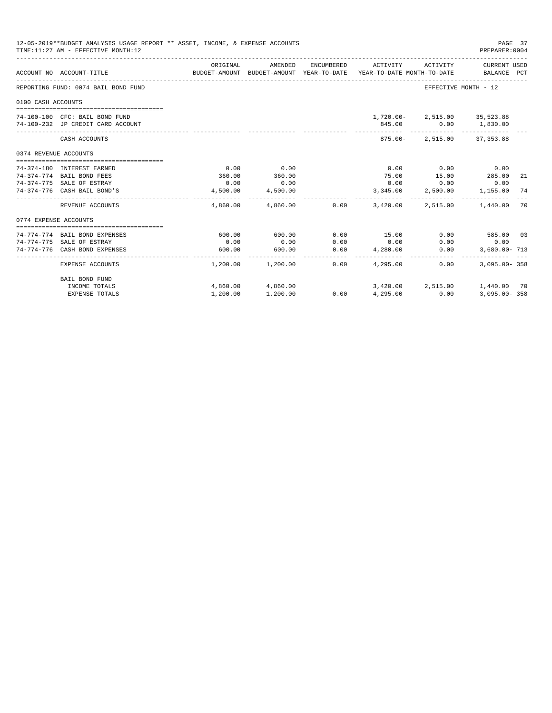|                       | 12-05-2019**BUDGET ANALYSIS USAGE REPORT ** ASSET, INCOME, & EXPENSE ACCOUNTS<br>TIME: 11:27 AM - EFFECTIVE MONTH: 12 |          |                       |               |                                                                                 |                                                                        | PAGE 37<br>PREPARER: 0004   |     |
|-----------------------|-----------------------------------------------------------------------------------------------------------------------|----------|-----------------------|---------------|---------------------------------------------------------------------------------|------------------------------------------------------------------------|-----------------------------|-----|
|                       | ACCOUNT NO ACCOUNT-TITLE                                                                                              | ORIGINAL | AMENDED               | ENCUMBERED    | ACTIVITY<br>BUDGET-AMOUNT BUDGET-AMOUNT YEAR-TO-DATE YEAR-TO-DATE MONTH-TO-DATE | ACTIVITY                                                               | CURRENT USED<br>BALANCE PCT |     |
|                       | REPORTING FUND: 0074 BAIL BOND FUND                                                                                   |          |                       |               |                                                                                 | EFFECTIVE MONTH - 12                                                   |                             |     |
| 0100 CASH ACCOUNTS    |                                                                                                                       |          |                       |               |                                                                                 |                                                                        |                             |     |
|                       | 74-100-100 CFC: BAIL BOND FUND<br>74-100-232 JP CREDIT CARD ACCOUNT                                                   |          |                       |               |                                                                                 | 1,720.00-2,515.00 35,523.88<br>845.00   0.00   1,830.00<br>----------- |                             |     |
|                       | CASH ACCOUNTS                                                                                                         |          |                       |               | 875.00-                                                                         |                                                                        | 2,515.00 37,353.88          |     |
| 0374 REVENUE ACCOUNTS |                                                                                                                       |          |                       |               |                                                                                 |                                                                        |                             |     |
|                       |                                                                                                                       | 0.00     | 0.00                  |               | 0.00                                                                            | $0.00$ 0.00                                                            |                             |     |
|                       | 74-374-180 INTEREST EARNED<br>74-374-774 BAIL BOND FEES                                                               | 360.00   | 360.00                |               | 75.00                                                                           | 15.00                                                                  | 285.00                      | -21 |
|                       | 74-374-775 SALE OF ESTRAY                                                                                             | 0.00     | 0.00                  |               | 0.00                                                                            | 0.00                                                                   | 0.00                        |     |
|                       | 74-374-776 CASH BAIL BOND'S                                                                                           | 4,500.00 | 4,500.00              |               | 3,345.00                                                                        |                                                                        | 2,500.00 1,155.00           | 74  |
|                       | REVENUE ACCOUNTS                                                                                                      | 4,860,00 |                       | 4,860.00 0.00 | 3,420,00                                                                        | 2,515.00                                                               | 1,440.00                    | 70  |
| 0774 EXPENSE ACCOUNTS |                                                                                                                       |          |                       |               |                                                                                 |                                                                        |                             |     |
|                       |                                                                                                                       |          |                       |               |                                                                                 |                                                                        |                             |     |
|                       | 74-774-774 BAIL BOND EXPENSES                                                                                         | 600.00   | 600.00                | 0.00          | 15.00                                                                           | 0.00                                                                   | 585.00 03                   |     |
|                       | 74-774-775 SALE OF ESTRAY                                                                                             | 0.00     | 0.00                  | 0.00          | 0.00                                                                            | 0.00                                                                   | 0.00                        |     |
|                       | 74-774-776 CASH BOND EXPENSES                                                                                         | 600.00   | 600.00                | 0.00          | 4,280.00                                                                        | 0.00                                                                   | $3.680.00 - 713$            |     |
|                       | EXPENSE ACCOUNTS                                                                                                      |          | $1,200.00$ $1,200.00$ | 0.00          | 4,295,00                                                                        | 0.00                                                                   | $3.095.00 - 358$            |     |
|                       | <b>BAIL BOND FUND</b>                                                                                                 |          |                       |               |                                                                                 |                                                                        |                             |     |
|                       | INCOME TOTALS                                                                                                         |          | 4,860.00 4,860.00     |               |                                                                                 | 3,420.00 2,515.00                                                      | 1,440.00 70                 |     |
|                       | <b>EXPENSE TOTALS</b>                                                                                                 | 1,200.00 | 1,200.00              | 0.00          | 4,295.00                                                                        | 0.00                                                                   | $3.095.00 - 358$            |     |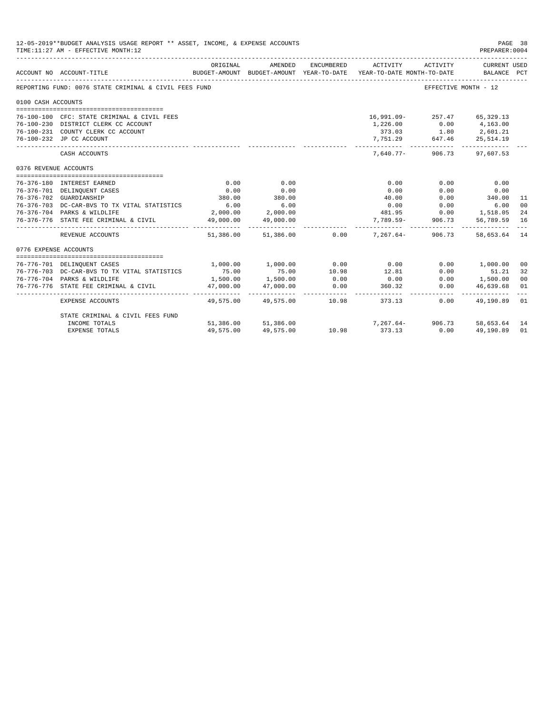|                       | 12-05-2019**BUDGET ANALYSIS USAGE REPORT ** ASSET, INCOME, & EXPENSE ACCOUNTS<br>PAGE 38<br>TIME: 11:27 AM - EFFECTIVE MONTH: 12<br>PREPARER: 0004 |           |                     |            |                                                                                 |                      |                               |               |  |
|-----------------------|----------------------------------------------------------------------------------------------------------------------------------------------------|-----------|---------------------|------------|---------------------------------------------------------------------------------|----------------------|-------------------------------|---------------|--|
|                       | ACCOUNT NO ACCOUNT-TITLE                                                                                                                           | ORIGINAL  | AMENDED             | ENCUMBERED | ACTIVITY<br>BUDGET-AMOUNT BUDGET-AMOUNT YEAR-TO-DATE YEAR-TO-DATE MONTH-TO-DATE | ACTIVITY             | CURRENT USED<br>BALANCE PCT   |               |  |
|                       | REPORTING FUND: 0076 STATE CRIMINAL & CIVIL FEES FUND                                                                                              |           |                     |            |                                                                                 | EFFECTIVE MONTH - 12 |                               |               |  |
| 0100 CASH ACCOUNTS    |                                                                                                                                                    |           |                     |            |                                                                                 |                      |                               |               |  |
|                       |                                                                                                                                                    |           |                     |            |                                                                                 |                      |                               |               |  |
|                       | 76-100-100 CFC: STATE CRIMINAL & CIVIL FEES                                                                                                        |           |                     |            | 16,991.09-257.47 65,329.13                                                      |                      |                               |               |  |
|                       | 76-100-230 DISTRICT CLERK CC ACCOUNT                                                                                                               |           |                     |            | 1,226.00 0.00 4,163.00                                                          |                      |                               |               |  |
|                       | 76-100-231 COUNTY CLERK CC ACCOUNT                                                                                                                 |           |                     |            |                                                                                 | 373.03 1.80 2,601.21 |                               |               |  |
|                       | 76-100-232 JP CC ACCOUNT                                                                                                                           |           |                     |            | 7,751.29 647.46                                                                 |                      | 25,514.19                     |               |  |
|                       | CASH ACCOUNTS                                                                                                                                      |           |                     |            |                                                                                 | 7,640.77-906.73      | 97,607.53                     |               |  |
| 0376 REVENUE ACCOUNTS |                                                                                                                                                    |           |                     |            |                                                                                 |                      |                               |               |  |
|                       | 76-376-180 INTEREST EARNED                                                                                                                         | 0.00      | 0.00                |            | 0.00                                                                            | 0.00                 | 0.00                          |               |  |
|                       | 76-376-701 DELINQUENT CASES                                                                                                                        | 0.00      | 0.00                |            | 0.00                                                                            | 0.00                 | 0.00                          |               |  |
|                       | 76-376-702 GUARDIANSHIP                                                                                                                            | 380.00    | 380.00              |            | 40.00                                                                           | 0.00                 | 340.00                        | 11            |  |
|                       | 76-376-703 DC-CAR-BVS TO TX VITAL STATISTICS                                                                                                       | 6.00      | 6.00                |            | 0.00                                                                            | 0.00                 | 6.00                          | 00            |  |
|                       | 76-376-704 PARKS & WILDLIFE                                                                                                                        |           | 2,000.00 2,000.00   |            |                                                                                 |                      | 481.95 0.00 1,518.05          | 24            |  |
|                       | 76-376-776 STATE FEE CRIMINAL & CIVIL                                                                                                              | 49,000.00 | 49,000.00           |            | 7,789.59- 906.73                                                                |                      | 56,789.59                     | 16            |  |
|                       | REVENUE ACCOUNTS                                                                                                                                   |           | .                   |            | $51.386.00$ $51.386.00$ $0.00$ $7.267.64$                                       | 906.73               | -------------<br>58,653.64 14 | $\frac{1}{2}$ |  |
| 0776 EXPENSE ACCOUNTS |                                                                                                                                                    |           |                     |            |                                                                                 |                      |                               |               |  |
|                       | 76-776-701 DELINQUENT CASES                                                                                                                        | 1,000.00  | 1,000.00            | 0.00       | 0.00                                                                            |                      | 0.00 1,000.00                 | 00            |  |
|                       | 76-776-703 DC-CAR-BVS TO TX VITAL STATISTICS                                                                                                       | 75.00     |                     | 10.98      | 12.81                                                                           | 0.00                 | 51.21                         | 32            |  |
|                       | 76-776-704 PARKS & WILDLIFE                                                                                                                        | 1,500.00  | 75.00<br>1,500.00   | 0.00       | 0.00                                                                            |                      | $0.00$ 1,500.00               | 00            |  |
|                       | 76-776-776 STATE FEE CRIMINAL & CIVIL                                                                                                              | 47,000.00 | 47,000.00           | 0.00       | 360.32                                                                          | 0.00                 | 46,639.68                     | 01            |  |
|                       |                                                                                                                                                    |           |                     |            |                                                                                 |                      |                               |               |  |
|                       | EXPENSE ACCOUNTS                                                                                                                                   |           | 49,575.00 49,575.00 |            | 10.98 373.13                                                                    | 0.00                 | 49,190.89 01                  |               |  |
|                       | STATE CRIMINAL & CIVIL FEES FUND                                                                                                                   |           |                     |            |                                                                                 |                      |                               |               |  |
|                       | INCOME TOTALS                                                                                                                                      |           | 51,386.00 51,386.00 | 10.98      | 7, 267.64 - 906.73 58, 653.64 14                                                |                      |                               |               |  |
|                       | <b>EXPENSE TOTALS</b>                                                                                                                              | 49,575.00 | 49,575.00           | 10.98      | 373.13                                                                          | 0.00                 | 49,190.89                     | 01            |  |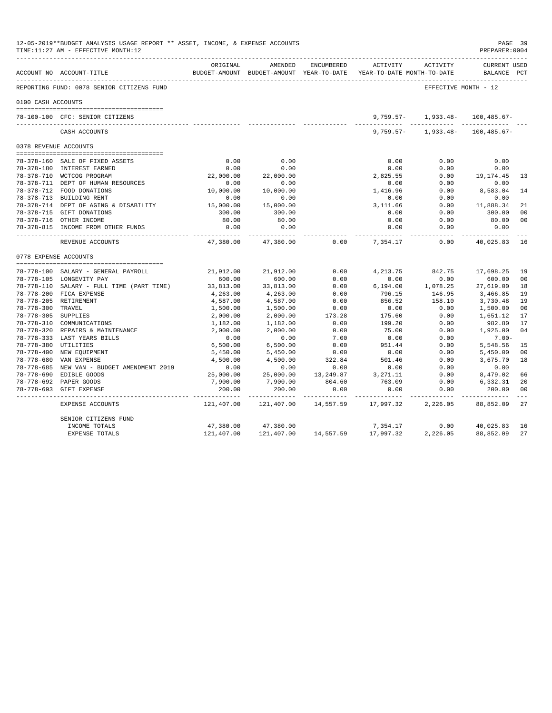|                       | 12-05-2019**BUDGET ANALYSIS USAGE REPORT ** ASSET, INCOME, & EXPENSE ACCOUNTS<br>TIME:11:27 AM - EFFECTIVE MONTH:12 |                 |                                                                                |            |                         |                                      | PAGE 39<br>PREPARER: 0004          |                      |
|-----------------------|---------------------------------------------------------------------------------------------------------------------|-----------------|--------------------------------------------------------------------------------|------------|-------------------------|--------------------------------------|------------------------------------|----------------------|
|                       | ACCOUNT NO ACCOUNT-TITLE                                                                                            | ORIGINAL        | AMENDED<br>BUDGET-AMOUNT BUDGET-AMOUNT YEAR-TO-DATE YEAR-TO-DATE MONTH-TO-DATE | ENCUMBERED |                         | ACTIVITY ACTIVITY                    | <b>CURRENT USED</b><br>BALANCE PCT |                      |
|                       | REPORTING FUND: 0078 SENIOR CITIZENS FUND                                                                           |                 |                                                                                |            |                         | EFFECTIVE MONTH - 12                 |                                    |                      |
| 0100 CASH ACCOUNTS    |                                                                                                                     |                 |                                                                                |            |                         |                                      |                                    |                      |
|                       | 78-100-100 CFC: SENIOR CITIZENS                                                                                     |                 |                                                                                |            |                         | $9,759.57 - 1,933.48 -$              | 100,485.67-                        |                      |
|                       | CASH ACCOUNTS                                                                                                       |                 |                                                                                |            |                         | $9.759.57 - 1.933.48 - 100.485.67 -$ |                                    |                      |
|                       | 0378 REVENUE ACCOUNTS                                                                                               |                 |                                                                                |            |                         |                                      |                                    |                      |
|                       |                                                                                                                     |                 |                                                                                |            |                         |                                      |                                    |                      |
|                       | 78-378-160 SALE OF FIXED ASSETS                                                                                     | 0.00            | 0.00                                                                           |            | 0.00                    | 0.00                                 | 0.00                               |                      |
|                       | 78-378-180 INTEREST EARNED                                                                                          | 0.00            | 0.00                                                                           |            | 0.00                    | 0.00                                 | 0.00                               |                      |
|                       | 78-378-710 WCTCOG PROGRAM                                                                                           | 22,000.00       | 22,000.00                                                                      |            | 2,825.55                | 0.00                                 | 19,174.45                          | 13                   |
|                       | 78-378-711 DEPT OF HUMAN RESOURCES                                                                                  | 0.00            | 0.00                                                                           |            | 0.00                    | 0.00                                 | 0.00                               |                      |
|                       | 78-378-712 FOOD DONATIONS                                                                                           | 10,000.00       | 10,000.00                                                                      |            | 1,416.96                | 0.00                                 | 8,583.04                           | 14                   |
|                       | 78-378-713 BUILDING RENT                                                                                            | 0.00            | 0.00                                                                           |            | 0.00                    | 0.00                                 | 0.00                               |                      |
|                       | 78-378-714 DEPT OF AGING & DISABILITY                                                                               | 15,000.00       | 15,000.00                                                                      |            | 3,111.66                | 0.00                                 | 11,888.34                          | 21<br>0 <sub>0</sub> |
|                       | 78-378-715 GIFT DONATIONS<br>78-378-716 OTHER INCOME                                                                | 300.00<br>80.00 | 300.00<br>80.00                                                                |            | 0.00<br>0.00            | 0.00<br>0.00                         | 300.00<br>80.00                    | 0 <sub>0</sub>       |
|                       | 78-378-815 INCOME FROM OTHER FUNDS                                                                                  | 0.00            | 0.00                                                                           |            | 0.00                    | 0.00                                 | 0.00                               |                      |
|                       |                                                                                                                     | -----------     | -----------                                                                    |            |                         | -------                              |                                    |                      |
|                       | REVENUE ACCOUNTS                                                                                                    | 47,380.00       | 47,380.00                                                                      | 0.00       | 7,354.17                | 0.00                                 | 40,025.83                          | 16                   |
| 0778 EXPENSE ACCOUNTS |                                                                                                                     |                 |                                                                                |            |                         |                                      |                                    |                      |
|                       | 78-778-100 SALARY - GENERAL PAYROLL                                                                                 | 21,912.00       | 21,912.00                                                                      | 0.00       | 4, 213.75               | 842.75                               | 17,698.25                          | 19                   |
|                       | 78-778-105 LONGEVITY PAY                                                                                            | 600.00          | 600.00                                                                         | 0.00       | 0.00                    | 0.00                                 | 600.00                             | 00                   |
|                       | 78-778-110 SALARY - FULL TIME (PART TIME)                                                                           | 33,813.00       | 33,813.00                                                                      | 0.00       | 6, 194.00               | 1,078.25                             | 27,619.00                          | 18                   |
|                       | 78-778-200 FICA EXPENSE                                                                                             | 4,263.00        | 4,263.00                                                                       | 0.00       | 796.15                  | 146.95                               | 3,466.85                           | 19                   |
|                       | 78-778-205 RETIREMENT                                                                                               | 4,587.00        | 4,587.00                                                                       | 0.00       | 856.52                  | 158.10                               | 3,730.48                           | 19                   |
| 78-778-300 TRAVEL     |                                                                                                                     | 1,500.00        | 1,500.00                                                                       | 0.00       | 0.00                    | 0.00                                 | 1,500.00                           | 00                   |
| 78-778-305 SUPPLIES   |                                                                                                                     | 2,000.00        | 2,000.00                                                                       | 173.28     | 175.60                  | 0.00                                 | 1,651.12                           | 17                   |
|                       | 78-778-310 COMMUNICATIONS                                                                                           | 1,182.00        | 1,182.00                                                                       | 0.00       | 199.20                  | 0.00                                 | 982.80                             | 17                   |
|                       | 78-778-320 REPAIRS & MAINTENANCE                                                                                    | 2,000.00        | 2,000.00                                                                       | 0.00       | 75.00                   | 0.00                                 | 1,925.00                           | 04                   |
|                       | 78-778-333 LAST YEARS BILLS                                                                                         | 0.00            | 0.00                                                                           | 7.00       | 0.00                    | 0.00                                 | $7.00 -$                           |                      |
| 78-778-380 UTILITIES  |                                                                                                                     | 6,500.00        | 6,500.00                                                                       | 0.00       | 951.44                  | 0.00                                 | 5,548.56                           | 15                   |
|                       | 78-778-400 NEW EQUIPMENT                                                                                            | 5,450.00        | 5,450.00                                                                       | 0.00       | 0.00                    | 0.00                                 | 5,450.00                           | 00                   |
|                       | 78-778-680 VAN EXPENSE                                                                                              | 4,500.00        | 4,500.00                                                                       | 322.84     | 501.46                  | 0.00                                 | 3,675.70                           | 18                   |
|                       | 78-778-685 NEW VAN - BUDGET AMENDMENT 2019                                                                          | 0.00            | 0.00                                                                           | 0.00       | 0.00                    | 0.00                                 | 0.00                               |                      |
|                       | 78-778-690 EDIBLE GOODS                                                                                             | 25,000.00       | 25,000.00                                                                      | 13,249.87  | 3, 271.11               | 0.00                                 | 8,479.02                           | 66                   |
|                       | 78-778-692 PAPER GOODS                                                                                              | 7,900.00        | 7,900.00                                                                       | 804.60     | 763.09                  | 0.00                                 | 6,332.31                           | 20                   |
|                       | 78-778-693 GIFT EXPENSE                                                                                             | 200.00          | 200.00                                                                         | 0.00       | 0.00                    | 0.00                                 | 200.00                             | 00                   |
|                       | EXPENSE ACCOUNTS                                                                                                    | .<br>121,407.00 | .<br>121,407.00                                                                | 14,557.59  | -------- -<br>17,997.32 | 2,226.05                             | 88,852.09                          | 27                   |
|                       | SENIOR CITIZENS FUND                                                                                                |                 |                                                                                |            |                         |                                      |                                    |                      |
|                       | INCOME TOTALS                                                                                                       | 47,380.00       | 47,380.00                                                                      |            | 7,354.17                | 0.00                                 | 40,025.83                          | 16                   |
|                       | <b>EXPENSE TOTALS</b>                                                                                               | 121,407.00      | 121,407.00                                                                     |            | 14,557.59 17,997.32     | 2,226.05                             | 88,852.09                          | 27                   |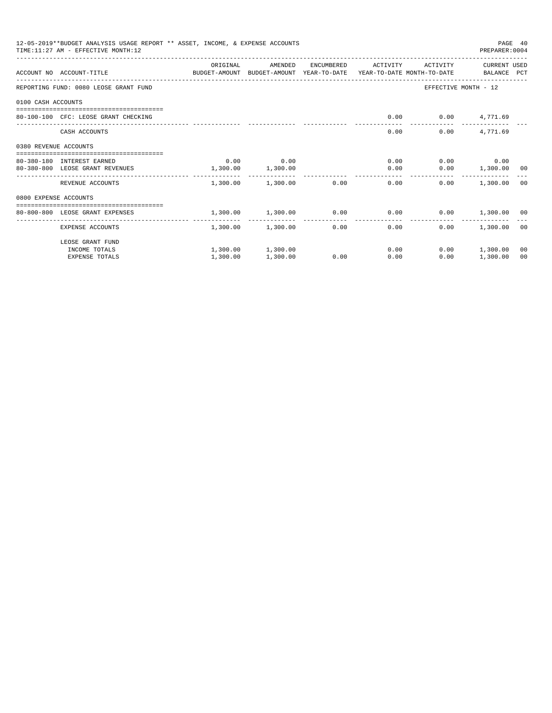| 12-05-2019**BUDGET ANALYSIS USAGE REPORT ** ASSET, INCOME, & EXPENSE ACCOUNTS<br>PAGE 40<br>TIME: 11:27 AM - EFFECTIVE MONTH: 12<br>PREPARER: 0004 |                                                                                                                  |          |                                    |            |                      |                               |                    |    |
|----------------------------------------------------------------------------------------------------------------------------------------------------|------------------------------------------------------------------------------------------------------------------|----------|------------------------------------|------------|----------------------|-------------------------------|--------------------|----|
|                                                                                                                                                    | ACCOUNT NO ACCOUNT-TITLE CONTROL SUDGET-AMOUNT BUDGET-AMOUNT YEAR-TO-DATE YEAR-TO-DATE MONTH-TO-DATE BALANCE PCT | ORIGINAL | AMENDED                            | ENCUMBERED | ACTIVITY             | ACTIVITY                      | CURRENT USED       |    |
|                                                                                                                                                    | REPORTING FUND: 0080 LEOSE GRANT FUND                                                                            |          |                                    |            |                      | EFFECTIVE MONTH - 12          |                    |    |
| 0100 CASH ACCOUNTS                                                                                                                                 |                                                                                                                  |          |                                    |            |                      |                               |                    |    |
|                                                                                                                                                    | 80-100-100 CFC: LEOSE GRANT CHECKING                                                                             |          |                                    |            | 0.00                 | $0.00$ 4,771.69               |                    |    |
|                                                                                                                                                    | CASH ACCOUNTS                                                                                                    |          |                                    |            | 0.00                 | 0.00                          | 4,771.69           |    |
| 0380 REVENUE ACCOUNTS                                                                                                                              |                                                                                                                  |          |                                    |            |                      |                               |                    |    |
|                                                                                                                                                    | 80-380-180 INTEREST EARNED                                                                                       | 0.00     | 0.00                               |            |                      | 0.00                          | $0.00$ 0.00        |    |
|                                                                                                                                                    | 80-380-800 LEOSE GRANT REVENUES                                                                                  | 1,300.00 | 1,300.00                           |            | 0.00                 |                               | $0.00$ 1,300.00 00 |    |
|                                                                                                                                                    | REVENUE ACCOUNTS                                                                                                 |          | 1,300.00 1,300.00                  | 0.00       |                      | 0.00<br>0.00                  | 1,300.00 00        |    |
| 0800 EXPENSE ACCOUNTS                                                                                                                              |                                                                                                                  |          |                                    |            |                      |                               |                    |    |
|                                                                                                                                                    | =================================<br>80-800-800 LEOSE GRANT EXPENSES                                             |          | 1,300.00 1,300.00 0.00             |            |                      | $0.00$ $0.00$ $1,300.00$ $00$ |                    |    |
|                                                                                                                                                    | EXPENSE ACCOUNTS                                                                                                 | -------  | -------------<br>1,300.00 1,300.00 |            | ------------<br>0.00 | 0.00<br>0.00                  | 1,300.00 00        |    |
|                                                                                                                                                    | LEOSE GRANT FUND                                                                                                 |          |                                    |            |                      |                               |                    |    |
|                                                                                                                                                    | INCOME TOTALS                                                                                                    |          | 1,300.00 1,300.00                  |            | 0.00                 |                               | $0.00$ 1,300.00    | 00 |
|                                                                                                                                                    | <b>EXPENSE TOTALS</b>                                                                                            | 1,300.00 | 1,300.00                           | 0.00       | 0.00                 | 0.00                          | 1,300.00           | 00 |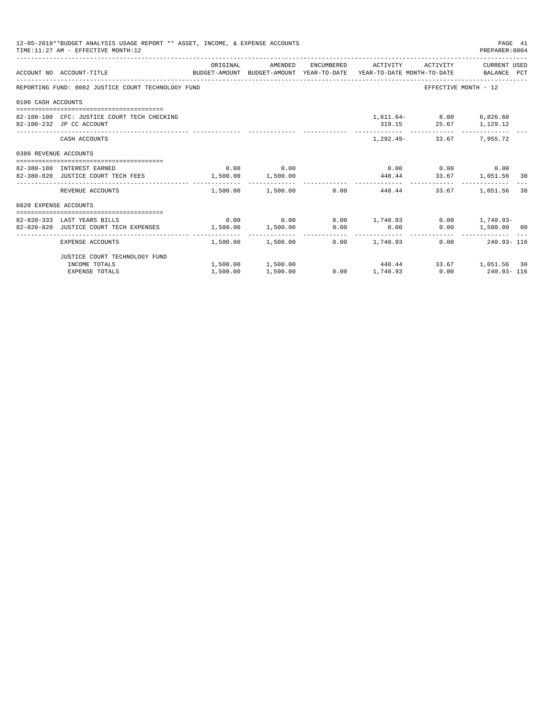|                       | 12-05-2019**BUDGET ANALYSIS USAGE REPORT ** ASSET, INCOME, & EXPENSE ACCOUNTS<br>PAGE 41<br>TIME: 11:27 AM - EFFECTIVE MONTH: 12<br>PREPARER: 0004 |          |             |  |                                                          |                                                  |                   |  |  |  |
|-----------------------|----------------------------------------------------------------------------------------------------------------------------------------------------|----------|-------------|--|----------------------------------------------------------|--------------------------------------------------|-------------------|--|--|--|
|                       | ACCOUNT NO ACCOUNT-TITLE CONTROL SUDGET-AMOUNT BUDGET-AMOUNT YEAR-TO-DATE YEAR-TO-DATE MONTH-TO-DATE BALANCE PCT                                   | ORIGINAL |             |  | AMENDED ENCUMBERED ACTIVITY ACTIVITY CURRENT_USED        |                                                  |                   |  |  |  |
|                       | REPORTING FUND: 0082 JUSTICE COURT TECHNOLOGY FUND                                                                                                 |          |             |  |                                                          | EFFECTIVE MONTH - 12                             |                   |  |  |  |
| 0100 CASH ACCOUNTS    |                                                                                                                                                    |          |             |  |                                                          |                                                  |                   |  |  |  |
|                       | 82-100-100 CFC: JUSTICE COURT TECH CHECKING<br>82-100-232 JP CC ACCOUNT                                                                            |          |             |  |                                                          | 1,611.64- 8.00 6,826.60<br>319.15 25.67 1,129.12 |                   |  |  |  |
|                       | CASH ACCOUNTS                                                                                                                                      |          |             |  |                                                          | 1,292.49- 33.67 7,955.72                         |                   |  |  |  |
| 0380 REVENUE ACCOUNTS |                                                                                                                                                    |          |             |  |                                                          |                                                  |                   |  |  |  |
|                       | 82-380-180 INTEREST EARNED                                                                                                                         |          | $0.00$ 0.00 |  |                                                          | $0.00$ $0.00$ $0.00$ $0.00$                      |                   |  |  |  |
|                       | 82-380-820 JUSTICE COURT TECH FEES 1,500.00 1,500.00                                                                                               |          |             |  | 448.44 33.67 1,051.56 30                                 |                                                  |                   |  |  |  |
|                       | REVENUE ACCOUNTS                                                                                                                                   |          |             |  | $1.500.00$ $1.500.00$ $0.00$ $448.44$                    |                                                  | 33.67 1.051.56 30 |  |  |  |
| 0820 EXPENSE ACCOUNTS |                                                                                                                                                    |          |             |  |                                                          |                                                  |                   |  |  |  |
|                       |                                                                                                                                                    |          |             |  |                                                          |                                                  |                   |  |  |  |
|                       | 82-820-333 LAST YEARS BILLS                                                                                                                        |          |             |  | $0.00$ $0.00$ $0.00$ $1,740.93$ $0.00$ $1,740.93$ $0.00$ |                                                  |                   |  |  |  |
|                       | 82-820-820 JUSTICE COURT TECH EXPENSES                                                                                                             |          |             |  | $1,500.00$ $1,500.00$ $0.00$ $0.00$                      |                                                  | 0.00 1,500.00 00  |  |  |  |
|                       | EXPENSE ACCOUNTS                                                                                                                                   |          |             |  | $1,500.00$ $1,500.00$ $0.00$ $1,740.93$                  |                                                  | $0.00$ 240.93-116 |  |  |  |
|                       | JUSTICE COURT TECHNOLOGY FUND                                                                                                                      |          |             |  |                                                          |                                                  |                   |  |  |  |
|                       | INCOME TOTALS                                                                                                                                      |          |             |  | $1,500.00$ $1,500.00$ $448.44$ $33.67$ $1,051.56$ 30     |                                                  |                   |  |  |  |
|                       | <b>EXPENSE TOTALS</b>                                                                                                                              | 1,500.00 | 1,500.00    |  | $0.00$ 1,740.93 0.00 240.93-116                          |                                                  |                   |  |  |  |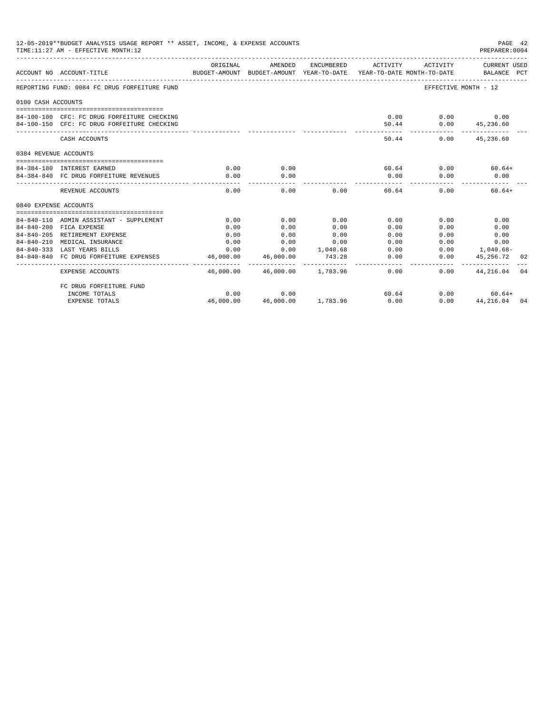|                       | 12-05-2019**BUDGET ANALYSIS USAGE REPORT ** ASSET, INCOME, & EXPENSE ACCOUNTS<br>PAGE 42<br>TIME: 11:27 AM - EFFECTIVE MONTH: 12<br>PREPARER: 0004 |           |                                                     |            |                                         |                         |                                   |  |  |  |
|-----------------------|----------------------------------------------------------------------------------------------------------------------------------------------------|-----------|-----------------------------------------------------|------------|-----------------------------------------|-------------------------|-----------------------------------|--|--|--|
|                       | ACCOUNT NO ACCOUNT-TITLE                                                                                                                           | ORIGINAL  | AMENDED<br>BUDGET-AMOUNT BUDGET-AMOUNT YEAR-TO-DATE | ENCUMBERED | YEAR-TO-DATE MONTH-TO-DATE              | ACTIVITY ACTIVITY       | CURRENT USED<br>BALANCE PCT       |  |  |  |
|                       | REPORTING FUND: 0084 FC DRUG FORFEITURE FUND                                                                                                       |           |                                                     |            |                                         | EFFECTIVE MONTH - 12    |                                   |  |  |  |
| 0100 CASH ACCOUNTS    |                                                                                                                                                    |           |                                                     |            |                                         |                         |                                   |  |  |  |
|                       | 84-100-100 CFC: FC DRUG FORFEITURE CHECKING                                                                                                        |           |                                                     |            |                                         | $0.00$ $0.00$ $0.00$    |                                   |  |  |  |
|                       | 84-100-150 CFC: FC DRUG FORFEITURE CHECKING                                                                                                        |           |                                                     |            |                                         | 50.44 0.00 45,236.60    |                                   |  |  |  |
|                       | CASH ACCOUNTS                                                                                                                                      |           |                                                     |            | 50.44                                   |                         | -------------<br>$0.00$ 45,236.60 |  |  |  |
| 0384 REVENUE ACCOUNTS |                                                                                                                                                    |           |                                                     |            |                                         |                         |                                   |  |  |  |
|                       | 84-384-180 INTEREST EARNED                                                                                                                         | 0.00      | 0.00                                                |            |                                         | $60.64$ $0.00$ $60.64+$ |                                   |  |  |  |
|                       | 84-384-840 FC DRUG FORFEITURE REVENUES                                                                                                             | 0.00      | 0.00                                                |            | 0.00                                    | 0.00                    | 0.00                              |  |  |  |
|                       | REVENUE ACCOUNTS                                                                                                                                   | 0.00      |                                                     | 0.00       | .<br>$0.00$ and $0.00$<br>60.64         | 0.00                    | $60.64+$                          |  |  |  |
| 0840 EXPENSE ACCOUNTS |                                                                                                                                                    |           |                                                     |            |                                         |                         |                                   |  |  |  |
|                       |                                                                                                                                                    |           |                                                     |            |                                         |                         |                                   |  |  |  |
|                       | 84-840-110 ADMIN ASSISTANT - SUPPLEMENT                                                                                                            | 0.00      | 0.00                                                | 0.00       | 0.00                                    | 0.00                    | 0.00                              |  |  |  |
|                       | 84-840-200 FICA EXPENSE                                                                                                                            | 0.00      | 0.00                                                | 0.00       | 0.00                                    | 0.00                    | 0.00                              |  |  |  |
|                       | 84-840-205 RETIREMENT EXPENSE                                                                                                                      | 0.00      | 0.00                                                | 0.00       | 0.00                                    | 0.00                    | 0.00                              |  |  |  |
|                       | 84-840-210 MEDICAL INSURANCE                                                                                                                       | 0.00      | 0.00                                                | 0.00       | 0.00                                    | 0.00                    | 0.00                              |  |  |  |
|                       | 84-840-333 LAST YEARS BILLS                                                                                                                        | 0.00      | 0.00                                                | 1,040.68   | 0.00                                    |                         | $0.00$ 1,040.68-                  |  |  |  |
|                       | 84-840-840 FC DRUG FORFEITURE EXPENSES                                                                                                             | 46,000.00 | 46,000.00                                           | 743.28     | 0.00                                    | 0.00                    | 45,256.72 02                      |  |  |  |
|                       | EXPENSE ACCOUNTS                                                                                                                                   |           | 46,000.00 46,000.00 1,783.96                        |            | 0.00                                    |                         | $0.00$ $44.216.04$ 04             |  |  |  |
|                       | FC DRUG FORFEITURE FUND                                                                                                                            |           |                                                     |            |                                         |                         |                                   |  |  |  |
|                       | INCOME TOTALS                                                                                                                                      | 0.00      | 0.00                                                |            | 60.64                                   |                         | $0.00$ 60.64+                     |  |  |  |
|                       | <b>EXPENSE TOTALS</b>                                                                                                                              |           |                                                     |            | $46,000.00$ $46,000.00$ $1,783.96$ 0.00 |                         | $0.00$ $44.216.04$ 04             |  |  |  |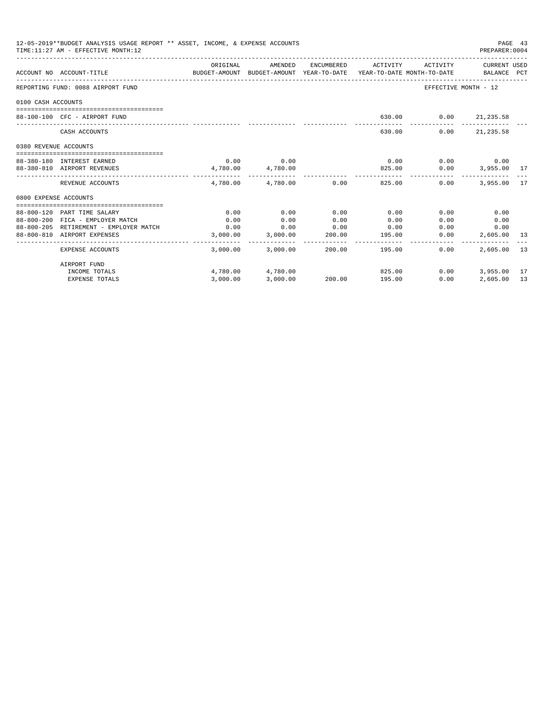|                       | 12-05-2019**BUDGET ANALYSIS USAGE REPORT ** ASSET, INCOME, & EXPENSE ACCOUNTS<br>TIME: 11:27 AM - EFFECTIVE MONTH: 12 |                                                                                             |                        |              |                                           |                                         | PAGE 43<br>PREPARER: 0004   |    |
|-----------------------|-----------------------------------------------------------------------------------------------------------------------|---------------------------------------------------------------------------------------------|------------------------|--------------|-------------------------------------------|-----------------------------------------|-----------------------------|----|
|                       | ACCOUNT NO ACCOUNT-TITLE                                                                                              | ORIGINAL<br>BUDGET-AMOUNT BUDGET-AMOUNT YEAR-TO-DATE YEAR-TO-DATE MONTH-TO-DATE BALANCE PCT | AMENDED                |              | ENCUMBERED ACTIVITY ACTIVITY CURRENT USED |                                         |                             |    |
|                       | REPORTING FUND: 0088 AIRPORT FUND                                                                                     |                                                                                             |                        |              |                                           | EFFECTIVE MONTH - 12                    |                             |    |
| 0100 CASH ACCOUNTS    |                                                                                                                       |                                                                                             |                        |              |                                           |                                         |                             |    |
|                       | 88-100-100 CFC - AIRPORT FUND                                                                                         |                                                                                             |                        |              |                                           | 630.00 0.00 21,235.58                   |                             |    |
|                       | CASH ACCOUNTS                                                                                                         |                                                                                             |                        |              | ______________<br>630.00                  | _______________________________<br>0.00 | 21, 235.58                  |    |
| 0380 REVENUE ACCOUNTS |                                                                                                                       |                                                                                             |                        |              |                                           |                                         |                             |    |
|                       | 88-380-180 INTEREST EARNED                                                                                            | 0.00                                                                                        | 0.00                   |              | 0.00                                      | $0.00$ 0.00                             |                             |    |
|                       | 88-380-810 AIRPORT REVENUES                                                                                           | 4,780.00 4,780.00                                                                           |                        |              |                                           | 825.00   0.00   3,955.00   17           |                             |    |
|                       | REVENUE ACCOUNTS                                                                                                      |                                                                                             | 4,780.00 4,780.00 0.00 |              | 825.00                                    | _____________________________<br>0.00   | 3,955,00 17                 |    |
| 0800 EXPENSE ACCOUNTS |                                                                                                                       |                                                                                             |                        |              |                                           |                                         |                             |    |
|                       |                                                                                                                       |                                                                                             |                        |              |                                           |                                         |                             |    |
|                       | 88-800-120 PART TIME SALARY                                                                                           | 0.00                                                                                        | 0.00                   | 0.00         | 0.00                                      | 0.00                                    | 0.00                        |    |
|                       | 88-800-200 FICA - EMPLOYER MATCH<br>88-800-205 RETIREMENT - EMPLOYER MATCH                                            | 0.00                                                                                        | 0.00<br>0.00           | 0.00<br>0.00 | 0.00                                      | 0.00                                    | 0.00                        |    |
|                       | 88-800-810 AIRPORT EXPENSES                                                                                           | 0.00                                                                                        | 3,000.00 3,000.00      | 200.00       | 0.00<br>195.00                            |                                         | 0.00<br>0.00<br>2,605.00 13 |    |
|                       |                                                                                                                       |                                                                                             |                        |              |                                           | 0.00                                    |                             |    |
|                       | <b>EXPENSE ACCOUNTS</b>                                                                                               |                                                                                             | 3,000.00 3,000.00      |              | 200.00 195.00                             | 0.00                                    | 2,605,00 13                 |    |
|                       | AIRPORT FUND                                                                                                          |                                                                                             |                        |              |                                           |                                         |                             |    |
|                       | INCOME TOTALS                                                                                                         |                                                                                             | 4,780.00 4,780.00      |              | 825.00                                    | 0.00                                    | 3,955.00 17                 |    |
|                       | <b>EXPENSE TOTALS</b>                                                                                                 | 3,000.00                                                                                    | 3,000.00               |              | 200.00 195.00                             | 0.00                                    | 2,605.00                    | 13 |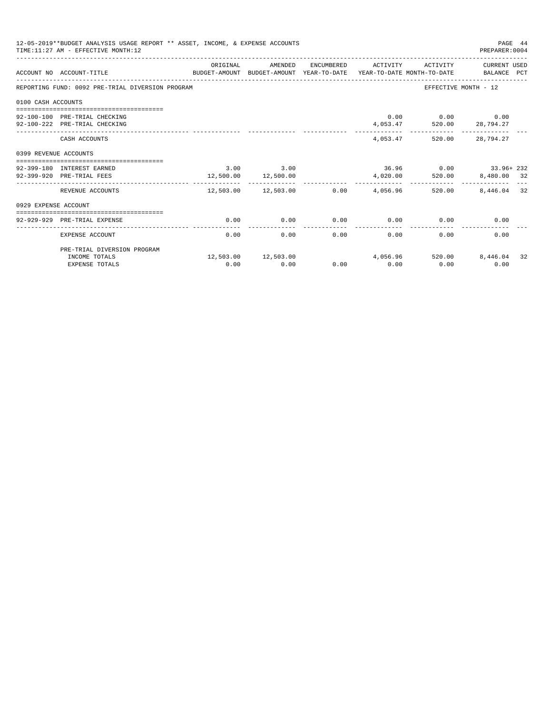|                       | 12-05-2019**BUDGET ANALYSIS USAGE REPORT ** ASSET, INCOME, & EXPENSE ACCOUNTS<br>PAGE 44<br>PREPARER: 0004<br>TIME: 11:27 AM - EFFECTIVE MONTH: 12 |               |                                                   |      |                     |                                                                                        |                       |    |  |  |
|-----------------------|----------------------------------------------------------------------------------------------------------------------------------------------------|---------------|---------------------------------------------------|------|---------------------|----------------------------------------------------------------------------------------|-----------------------|----|--|--|
|                       | BUDGET-AMOUNT BUDGET-AMOUNT YEAR-TO-DATE YEAR-TO-DATE MONTH-TO-DATE BALANCE PCT<br>ACCOUNT NO ACCOUNT-TITLE                                        | ORIGINAL      | AMENDED                                           |      | ENCUMBERED ACTIVITY |                                                                                        | ACTIVITY CURRENT USED |    |  |  |
|                       | REPORTING FUND: 0092 PRE-TRIAL DIVERSION PROGRAM                                                                                                   |               |                                                   |      |                     |                                                                                        | EFFECTIVE MONTH - 12  |    |  |  |
| 0100 CASH ACCOUNTS    |                                                                                                                                                    |               |                                                   |      |                     |                                                                                        |                       |    |  |  |
|                       |                                                                                                                                                    |               |                                                   |      |                     |                                                                                        |                       |    |  |  |
|                       | 92-100-100 PRE-TRIAL CHECKING                                                                                                                      |               |                                                   |      |                     | $0.00$ $0.00$ $0.00$ $0.00$<br>$4,053.47 \qquad \qquad 520.00 \qquad \qquad 28,794.27$ |                       |    |  |  |
|                       | 92-100-222 PRE-TRIAL CHECKING                                                                                                                      |               |                                                   |      |                     |                                                                                        |                       |    |  |  |
|                       | CASH ACCOUNTS                                                                                                                                      |               |                                                   |      |                     | 4,053.47 520.00 28,794.27                                                              |                       |    |  |  |
| 0399 REVENUE ACCOUNTS |                                                                                                                                                    |               |                                                   |      |                     |                                                                                        |                       |    |  |  |
|                       |                                                                                                                                                    |               |                                                   |      |                     | $36.96$ 0.00 $33.96 + 232$                                                             |                       |    |  |  |
|                       | 92-399-180 INTEREST EARNED<br>92-399-920 PRE-TRIAL FEES                                                                                            | $3.00$ $3.00$ |                                                   |      |                     |                                                                                        |                       |    |  |  |
|                       |                                                                                                                                                    |               | 12,500.00 12,500.00<br>__________________________ |      |                     | $4,020.00$ 520.00 8,480.00 32                                                          |                       |    |  |  |
|                       | REVENUE ACCOUNTS                                                                                                                                   |               |                                                   |      |                     | $12.503.00$ $12.503.00$ 0.00 $4.056.96$ 520.00                                         | 8,446.04 32           |    |  |  |
| 0929 EXPENSE ACCOUNT  |                                                                                                                                                    |               |                                                   |      |                     |                                                                                        |                       |    |  |  |
|                       |                                                                                                                                                    |               |                                                   |      |                     |                                                                                        |                       |    |  |  |
|                       | 92-929-929 PRE-TRIAL EXPENSE                                                                                                                       | 0.00          | 0.00                                              | 0.00 |                     | $0.00$ 0.00                                                                            | 0.00                  |    |  |  |
|                       | EXPENSE ACCOUNT                                                                                                                                    | 0.00          | 0.00                                              | 0.00 | 0.00                | 0.00                                                                                   | 0.00                  |    |  |  |
|                       | PRE-TRIAL DIVERSION PROGRAM                                                                                                                        |               |                                                   |      |                     |                                                                                        |                       |    |  |  |
|                       | INCOME TOTALS                                                                                                                                      |               |                                                   |      |                     | $12,503.00$ $12,503.00$ $4,056.96$ $520.00$                                            | 8,446.04              | 32 |  |  |
|                       | <b>EXPENSE TOTALS</b>                                                                                                                              | 0.00          | 0.00                                              | 0.00 | 0.00                | 0.00                                                                                   | 0.00                  |    |  |  |